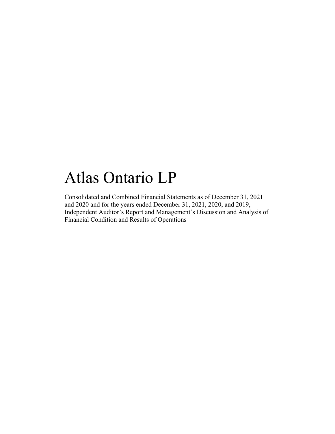# Atlas Ontario LP

Consolidated and Combined Financial Statements as of December 31, 2021 and 2020 and for the years ended December 31, 2021, 2020, and 2019, Independent Auditor's Report and Management's Discussion and Analysis of Financial Condition and Results of Operations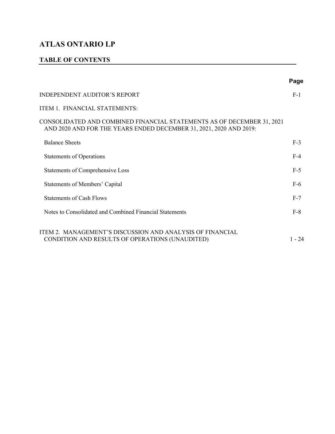# **TABLE OF CONTENTS**

| <b>INDEPENDENT AUDITOR'S REPORT</b>                                                                                                          | $F-1$    |
|----------------------------------------------------------------------------------------------------------------------------------------------|----------|
| ITEM 1. FINANCIAL STATEMENTS:                                                                                                                |          |
| CONSOLIDATED AND COMBINED FINANCIAL STATEMENTS AS OF DECEMBER 31, 2021<br>AND 2020 AND FOR THE YEARS ENDED DECEMBER 31, 2021, 2020 AND 2019: |          |
| <b>Balance Sheets</b>                                                                                                                        | $F-3$    |
| <b>Statements of Operations</b>                                                                                                              | $F-4$    |
| Statements of Comprehensive Loss                                                                                                             | $F-5$    |
| Statements of Members' Capital                                                                                                               | $F-6$    |
| <b>Statements of Cash Flows</b>                                                                                                              | $F-7$    |
| Notes to Consolidated and Combined Financial Statements                                                                                      | $F-8$    |
| ITEM 2. MANAGEMENT'S DISCUSSION AND ANALYSIS OF FINANCIAL<br>CONDITION AND RESULTS OF OPERATIONS (UNAUDITED)                                 | $1 - 24$ |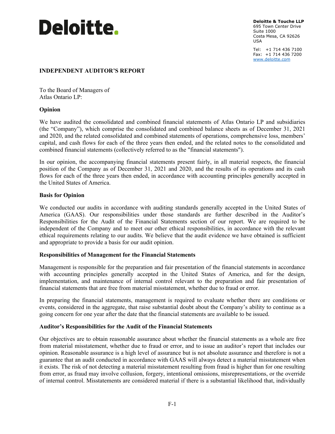<span id="page-2-0"></span>

**Deloitte & Touche LLP**  695 Town Center Drive Suite 1000 Costa Mesa, CA 92626 USA

Tel: +1 714 436 7100 Fax: +1 714 436 7200 www.deloitte.com

### **INDEPENDENT AUDITOR'S REPORT**

To the Board of Managers of Atlas Ontario LP:

### **Opinion**

We have audited the consolidated and combined financial statements of Atlas Ontario LP and subsidiaries (the "Company"), which comprise the consolidated and combined balance sheets as of December 31, 2021 and 2020, and the related consolidated and combined statements of operations, comprehensive loss, members' capital, and cash flows for each of the three years then ended, and the related notes to the consolidated and combined financial statements (collectively referred to as the "financial statements").

In our opinion, the accompanying financial statements present fairly, in all material respects, the financial position of the Company as of December 31, 2021 and 2020, and the results of its operations and its cash flows for each of the three years then ended, in accordance with accounting principles generally accepted in the United States of America.

### **Basis for Opinion**

We conducted our audits in accordance with auditing standards generally accepted in the United States of America (GAAS). Our responsibilities under those standards are further described in the Auditor's Responsibilities for the Audit of the Financial Statements section of our report. We are required to be independent of the Company and to meet our other ethical responsibilities, in accordance with the relevant ethical requirements relating to our audits. We believe that the audit evidence we have obtained is sufficient and appropriate to provide a basis for our audit opinion.

### **Responsibilities of Management for the Financial Statements**

Management is responsible for the preparation and fair presentation of the financial statements in accordance with accounting principles generally accepted in the United States of America, and for the design, implementation, and maintenance of internal control relevant to the preparation and fair presentation of financial statements that are free from material misstatement, whether due to fraud or error.

In preparing the financial statements, management is required to evaluate whether there are conditions or events, considered in the aggregate, that raise substantial doubt about the Company's ability to continue as a going concern for one year after the date that the financial statements are available to be issued.

### **Auditor's Responsibilities for the Audit of the Financial Statements**

Our objectives are to obtain reasonable assurance about whether the financial statements as a whole are free from material misstatement, whether due to fraud or error, and to issue an auditor's report that includes our opinion. Reasonable assurance is a high level of assurance but is not absolute assurance and therefore is not a guarantee that an audit conducted in accordance with GAAS will always detect a material misstatement when it exists. The risk of not detecting a material misstatement resulting from fraud is higher than for one resulting from error, as fraud may involve collusion, forgery, intentional omissions, misrepresentations, or the override of internal control. Misstatements are considered material if there is a substantial likelihood that, individually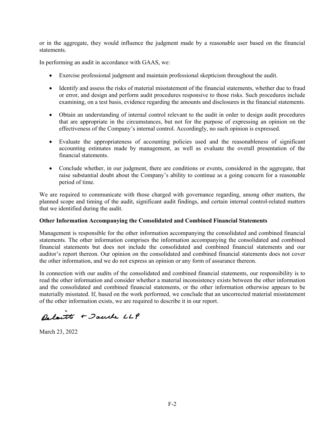or in the aggregate, they would influence the judgment made by a reasonable user based on the financial statements.

In performing an audit in accordance with GAAS, we:

- Exercise professional judgment and maintain professional skepticism throughout the audit.
- Identify and assess the risks of material misstatement of the financial statements, whether due to fraud or error, and design and perform audit procedures responsive to those risks. Such procedures include examining, on a test basis, evidence regarding the amounts and disclosures in the financial statements.
- Obtain an understanding of internal control relevant to the audit in order to design audit procedures that are appropriate in the circumstances, but not for the purpose of expressing an opinion on the effectiveness of the Company's internal control. Accordingly, no such opinion is expressed.
- Evaluate the appropriateness of accounting policies used and the reasonableness of significant accounting estimates made by management, as well as evaluate the overall presentation of the financial statements.
- Conclude whether, in our judgment, there are conditions or events, considered in the aggregate, that raise substantial doubt about the Company's ability to continue as a going concern for a reasonable period of time.

We are required to communicate with those charged with governance regarding, among other matters, the planned scope and timing of the audit, significant audit findings, and certain internal control-related matters that we identified during the audit.

### **Other Information Accompanying the Consolidated and Combined Financial Statements**

Management is responsible for the other information accompanying the consolidated and combined financial statements. The other information comprises the information accompanying the consolidated and combined financial statements but does not include the consolidated and combined financial statements and our auditor's report thereon. Our opinion on the consolidated and combined financial statements does not cover the other information, and we do not express an opinion or any form of assurance thereon.

In connection with our audits of the consolidated and combined financial statements, our responsibility is to read the other information and consider whether a material inconsistency exists between the other information and the consolidated and combined financial statements, or the other information otherwise appears to be materially misstated. If, based on the work performed, we conclude that an uncorrected material misstatement of the other information exists, we are required to describe it in our report.

Deloitte + Jours LLP

March 23, 2022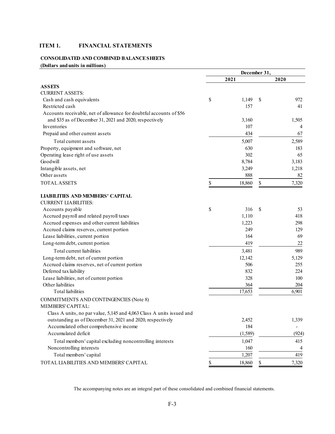# **ITEM 1. FINANCIAL STATEMENTS**

# **CONSOLIDATED AND COMBINED BALANCE SHEETS**

**(Dollars and units in millions)** 

|                                                                       | December 31, |          |    |                |
|-----------------------------------------------------------------------|--------------|----------|----|----------------|
|                                                                       |              | 2021     |    | 2020           |
| <b>ASSETS</b>                                                         |              |          |    |                |
| <b>CURRENT ASSETS:</b>                                                |              |          |    |                |
| Cash and cash equivalents                                             | \$           | 1,149    | \$ | 972            |
| Restricted cash                                                       |              | 157      |    | 41             |
| Accounts receivable, net of allowance for doubtful accounts of \$56   |              |          |    |                |
| and \$35 as of December 31, 2021 and 2020, respectively               |              | 3,160    |    | 1,505          |
| Inventories                                                           |              | 107      |    | 4              |
| Prepaid and other current assets                                      |              | 434      |    | 67             |
| Total current assets                                                  |              | 5,007    |    | 2,589          |
| Property, equipment and software, net                                 |              | 630      |    | 183            |
| Operating lease right of use assets                                   |              | 302      |    | 65             |
| Goodwill                                                              |              | 8,784    |    | 3,183          |
| Intangible assets, net                                                |              | 3,249    |    | 1,218          |
| Other assets                                                          |              | 888      |    | 82             |
| <b>TOTAL ASSETS</b>                                                   | \$           | 18,860   | \$ | 7,320          |
| <b>LIABILITIES AND MEMBERS' CAPITAL</b>                               |              |          |    |                |
| <b>CURRENT LIABILITIES:</b>                                           |              |          |    |                |
| Accounts payable                                                      | \$           | 316      | \$ | 53             |
| Accrued payroll and related payroll taxes                             |              | 1,110    |    | 418            |
| Accrued expenses and other current liabilities                        |              | 1,223    |    | 298            |
| Accrued claims reserves, current portion                              |              | 249      |    | 129            |
| Lease liabilities, current portion                                    |              | 164      |    | 69             |
| Long-term debt, current portion                                       |              | 419      |    | 22             |
| Total current liabilities                                             |              | 3,481    |    | 989            |
| Long-term debt, net of current portion                                |              | 12,142   |    | 5,129          |
| Accrued claims reserves, net of current portion                       |              | 506      |    | 255            |
| Deferred tax liability                                                |              | 832      |    | 224            |
| Lease liabilities, net of current portion                             |              | 328      |    | 100            |
| Other liabilities                                                     |              | 364      |    | 204            |
| Total liabilities                                                     |              | 17,653   |    | 6,901          |
| COMMITMENTS AND CONTINGENCIES (Note 8)                                |              |          |    |                |
| <b>MEMBERS' CAPITAL:</b>                                              |              |          |    |                |
| Class A units, no par value, 5,145 and 4,063 Class A units issued and |              |          |    |                |
| outstanding as of December 31, 2021 and 2020, respectively            |              | 2,452    |    | 1,339          |
| Accumulated other comprehensive income                                |              | 184      |    |                |
| Accumulated deficit                                                   |              | (1, 589) |    | (924)          |
| Total members' capital excluding noncontrolling interests             |              | 1,047    |    | 415            |
| Noncontrolling interests                                              |              | 160      |    | $\overline{4}$ |
| Total members' capital                                                |              | 1,207    |    | 419            |
| TOTAL LIABILITIES AND MEMBERS' CAPITAL                                | \$           | 18,860   | \$ | 7,320          |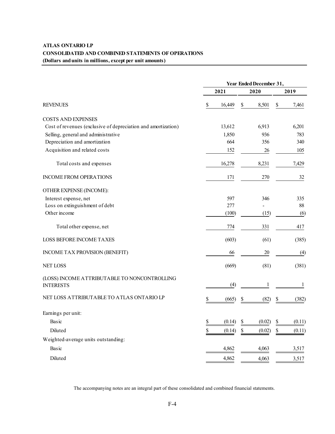# <span id="page-5-0"></span> **(Dollars and units in millions, except per unit amounts) ATLAS ONTARIO LP CONSOLIDATED AND COMBINED STATEMENTS OF OPERATIONS**

|                                                               | Year Ended December 31, |        |    |              |      |        |
|---------------------------------------------------------------|-------------------------|--------|----|--------------|------|--------|
|                                                               | 2021                    |        |    | 2020         | 2019 |        |
| <b>REVENUES</b>                                               | \$                      | 16,449 | \$ | 8,501        | \$   | 7,461  |
| <b>COSTS AND EXPENSES</b>                                     |                         |        |    |              |      |        |
| Cost of revenues (exclusive of depreciation and amortization) |                         | 13,612 |    | 6,913        |      | 6,201  |
| Selling, general and administrative                           |                         | 1,850  |    | 936          |      | 783    |
| Depreciation and amortization                                 |                         | 664    |    | 356          |      | 340    |
| Acquisition and related costs                                 |                         | 152    |    | 26           |      | 105    |
| Total costs and expenses                                      |                         | 16,278 |    | 8,231        |      | 7,429  |
| <b>INCOME FROM OPERATIONS</b>                                 |                         | 171    |    | 270          |      | 32     |
| OTHER EXPENSE (INCOME):                                       |                         |        |    |              |      |        |
| Interest expense, net                                         |                         | 597    |    | 346          |      | 335    |
| Loss on extinguishment of debt                                |                         | 277    |    |              |      | 88     |
| Other income                                                  |                         | (100)  |    | (15)         |      | (6)    |
| Total other expense, net                                      |                         | 774    |    | 331          |      | 417    |
| LOSS BEFORE INCOME TAXES                                      |                         | (603)  |    | (61)         |      | (385)  |
| INCOME TAX PROVISION (BENEFIT)                                |                         | 66     |    | 20           |      | (4)    |
| <b>NET LOSS</b>                                               |                         | (669)  |    | (81)         |      | (381)  |
| (LOSS) INCOME ATTRIBUTABLE TO NONCONTROLLING                  |                         |        |    |              |      |        |
| <b>INTERESTS</b>                                              |                         | (4)    |    | $\mathbf{1}$ |      | 1      |
| NET LOSS ATTRIBUTABLE TO ATLAS ONTARIO LP                     | \$                      | (665)  | \$ | (82)         | \$   | (382)  |
| Earnings per unit:                                            |                         |        |    |              |      |        |
| Basic                                                         | \$                      | (0.14) | \$ | (0.02)       | \$   | (0.11) |
| Diluted                                                       | \$                      | (0.14) | \$ | (0.02)       | \$   | (0.11) |
| Weighted-average units outstanding:                           |                         |        |    |              |      |        |
| Basic                                                         |                         | 4,862  |    | 4,063        |      | 3,517  |
| Diluted                                                       |                         | 4,862  |    | 4,063        |      | 3,517  |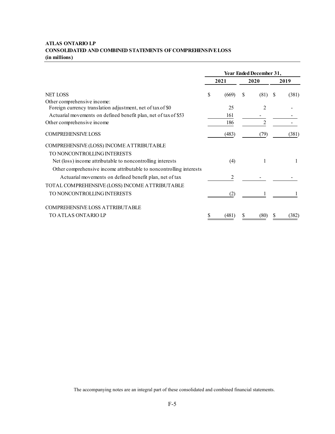### <span id="page-6-0"></span>**ATLAS ONTARIO LP CONSOLIDATED AND COMBINED STATEMENTS OF COMPREHENSIVELOSS (in millions)**

|                                                                     |      | Year Ended December 31, |      |                |   |       |
|---------------------------------------------------------------------|------|-------------------------|------|----------------|---|-------|
|                                                                     | 2021 |                         | 2020 |                |   | 2019  |
| <b>NET LOSS</b>                                                     | \$   | (669)                   | S    | (81)           | S | (381) |
| Other comprehensive income:                                         |      |                         |      |                |   |       |
| Foreign currency translation adjustment, net of tax of \$0          |      | 25                      |      | $\mathfrak{D}$ |   |       |
| Actuarial movements on defined benefit plan, net of tax of \$53     |      | 161                     |      |                |   |       |
| Other comprehensive income                                          |      | 186                     |      | 2              |   |       |
| <b>COMPREHENSIVE LOSS</b>                                           |      | (483)                   |      | (79)           |   | (381) |
| COMPREHENSIVE (LOSS) INCOME ATTRIBUTABLE                            |      |                         |      |                |   |       |
| TO NONCONTROLLING INTERESTS                                         |      |                         |      |                |   |       |
| Net (loss) income attributable to noncontrolling interests          |      | (4)                     |      |                |   | 1     |
| Other comprehensive income attributable to noncontrolling interests |      |                         |      |                |   |       |
| Actuarial movements on defined benefit plan, net of tax             |      |                         |      |                |   |       |
| TOTAL COMPREHENSIVE (LOSS) INCOME ATTRIBUTABLE                      |      |                         |      |                |   |       |
| TO NONCONTROLLING INTERESTS                                         |      | (2)                     |      |                |   |       |
| COMPREHENSIVE LOSS ATTRIBUTABLE                                     |      |                         |      |                |   |       |
| <b>TO ATLAS ONTARIO LP</b>                                          |      | (481)                   |      | (80)           |   | (382) |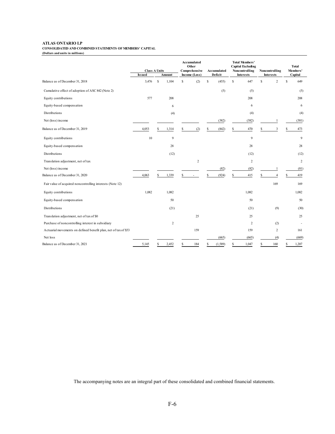### **ATLAS ONTARIO LP CONSOLIDATED AND COMBINED STATEMENTS OF MEMBERS' CAPITAL (Dollars and units in millions)**

|                                                                 | <b>Class A Units</b> |              |                |   | Accumulated<br>Other<br>Comprehensive | Accumulated |    | <b>Total Members'</b><br><b>Capital Excluding</b><br>Noncontrolling |             | Noncontrolling   |   | <b>Total</b><br>Members' |
|-----------------------------------------------------------------|----------------------|--------------|----------------|---|---------------------------------------|-------------|----|---------------------------------------------------------------------|-------------|------------------|---|--------------------------|
|                                                                 | <b>Issued</b>        |              | Amount         |   | Income (Loss)                         | Deficit     |    | <b>Interests</b>                                                    |             | <b>Interests</b> |   | Capital                  |
| Balance as of December 31, 2018                                 | 3,476                | <sup>S</sup> | 1,104          | S | (2)                                   | \$<br>(455) | S  | 647                                                                 | $\mathbf S$ | 2                | S | 649                      |
| Cumulative effect of adoption of ASC 842 (Note 2)               |                      |              |                |   |                                       | (5)         |    | (5)                                                                 |             |                  |   | (5)                      |
| Equity contributions                                            | 577                  |              | 208            |   |                                       |             |    | 208                                                                 |             |                  |   | 208                      |
| Equity-based compensation                                       |                      |              | 6              |   |                                       |             |    | 6                                                                   |             |                  |   | 6                        |
| Distributions                                                   |                      |              | (4)            |   |                                       |             |    | (4)                                                                 |             |                  |   | (4)                      |
| Net (loss) income                                               |                      |              |                |   |                                       | (382)       |    | (382)                                                               |             | 1                |   | (381)                    |
| Balance as of December 31, 2019                                 | 4,053                |              | 1,314          |   | (2)                                   | (842)       |    | 470                                                                 |             | 3                |   | 473                      |
| Equity contributions                                            | 10                   |              | 9              |   |                                       |             |    | 9                                                                   |             |                  |   | 9                        |
| Equity-based compensation                                       |                      |              | 28             |   |                                       |             |    | 28                                                                  |             |                  |   | 28                       |
| Distributions                                                   |                      |              | (12)           |   |                                       |             |    | (12)                                                                |             |                  |   | (12)                     |
| Translation adjustment, net of tax                              |                      |              |                |   | $\overline{c}$                        |             |    | $\overline{c}$                                                      |             |                  |   | $\overline{c}$           |
| Net (loss) income                                               |                      |              |                |   |                                       | (82)        |    | (82)                                                                |             |                  |   | (81)                     |
| Balance as of December 31, 2020                                 | 4,063                | S            | 1,339          |   |                                       | (924)       | \$ | 415                                                                 |             | 4                |   | 419                      |
| Fair value of acquired noncontrolling interests (Note 12)       |                      |              |                |   |                                       |             |    |                                                                     |             | 169              |   | 169                      |
| Equity contributions                                            | 1,082                |              | 1,082          |   |                                       |             |    | 1,082                                                               |             |                  |   | 1,082                    |
| Equity-based compensation                                       |                      |              | 50             |   |                                       |             |    | 50                                                                  |             |                  |   | 50                       |
| <b>Distributions</b>                                            |                      |              | (21)           |   |                                       |             |    | (21)                                                                |             | (9)              |   | (30)                     |
| Translation adjustment, net of tax of \$0                       |                      |              |                |   | 25                                    |             |    | 25                                                                  |             |                  |   | 25                       |
| Purchase of noncontrolling interest in subsidiary               |                      |              | $\overline{c}$ |   |                                       |             |    | $\overline{c}$                                                      |             | (2)              |   |                          |
| Actuarial movements on defined benefit plan, net of tax of \$53 |                      |              |                |   | 159                                   |             |    | 159                                                                 |             | $\boldsymbol{2}$ |   | 161                      |
| Net loss                                                        |                      |              |                |   |                                       | (665)       |    | (665)                                                               |             | (4)              |   | (669)                    |
| Balance as of December 31, 2021                                 | 5,145                |              | 2,452          |   | <u>184</u>                            | (1, 589)    |    | 1,047                                                               |             | 160              |   | 1,207                    |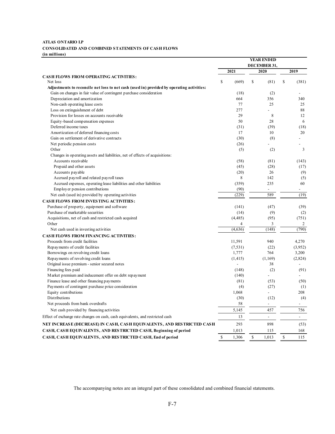### **ATLAS ONTARIO LP CONSOLIDATED AND COMBINED STATEMENTS OF CASH FLOWS (in millions)**

|                                                                                           |                | YEAR ENDED     |              |                          |
|-------------------------------------------------------------------------------------------|----------------|----------------|--------------|--------------------------|
|                                                                                           |                | DECEMBER 31,   |              |                          |
|                                                                                           | 2021           | 2020           |              | 2019                     |
| <b>CASH FLOWS FROM OPERATING ACTIVITIES:</b><br>Net loss                                  | \$<br>(669)    | \$<br>(81)     | S            | (381)                    |
| Adjustments to reconcile net loss to net cash (used in) provided by operating activities: |                |                |              |                          |
| Gain on changes in fair value of contingent purchase consideration                        | (18)           | (2)            |              |                          |
| Depreciation and amortization                                                             | 664            | 356            |              | 340                      |
|                                                                                           | 77             | 25             |              | 25                       |
| Non-cash operating lease costs<br>Loss on extinguishment of debt                          | 277            |                |              | 88                       |
|                                                                                           | 29             |                |              |                          |
| Provision for losses on accounts receivable                                               |                | 8              |              | 12                       |
| Equity-based compensation expenses                                                        | 50             | 28             |              | 6                        |
| Deferred income taxes                                                                     | (31)           | (39)           |              | (18)                     |
| Amortization of deferred financing costs                                                  | 17             | 10             |              | 20                       |
| Gain on settlement of derivative contracts                                                | (30)           | (8)            |              |                          |
| Net periodic pension costs                                                                | (26)           |                |              |                          |
| Other                                                                                     | (5)            | (2)            |              | 3                        |
| Changes in operating assets and liabilities, net of effects of acquisitions:              |                |                |              |                          |
| Accounts receivable                                                                       | (58)           | (81)           |              | (143)                    |
| Prepaid and other assets                                                                  | (45)           | (28)           |              | (17)                     |
| Accounts payable                                                                          | (20)           | 26             |              | (9)                      |
| Accrued payroll and related payroll taxes                                                 | 8              | 142            |              | (5)                      |
| Accrued expenses, operating lease liabilities and other liabilities                       | (359)          | 235            |              | 60                       |
| Employer pension contributions                                                            | (90)           |                |              |                          |
| Net cash (used in) provided by operating activities                                       | (229)          | 589            |              | (19)                     |
| <b>CASH FLOWS FROM INVESTING ACTIVITIES:</b>                                              |                |                |              |                          |
| Purchase of property, equipment and software                                              | (141)          | (47)           |              | (39)                     |
| Purchase of marketable securities                                                         | (14)           | (9)            |              | (2)                      |
| Acquisitions, net of cash and restricted cash acquired                                    | (4, 485)       | (95)           |              | (751)                    |
| Other                                                                                     | 4              | 3              |              | 2                        |
| Net cash used in investing activities                                                     | (4,636)        | (148)          |              | (790)                    |
| <b>CASH FLOWS FROM FINANCING ACTIVITIES:</b>                                              |                |                |              |                          |
| Proceeds from credit facilities                                                           | 11,591         | 940            |              | 4,270                    |
| Repayments of credit facilities                                                           | (7, 531)       | (22)           |              | (3,952)                  |
| Borrowings on revolving credit loans                                                      | 1,777          | 764            |              | 3,200                    |
| Repayments of revolving credit loans                                                      | (1, 415)       | (1, 169)       |              | (2,824)                  |
| Original issue premium - senior secured notes                                             | $\overline{a}$ | 38             |              |                          |
| Financing fees paid                                                                       | (148)          | (2)            |              | (91)                     |
| Market premium and inducement offer on debt repayment                                     | (140)          |                |              |                          |
| Finance lease and other financing payments                                                | (81)           | (53)           |              | (50)                     |
| Payments of contingent purchase price consideration                                       | (4)            | (27)           |              | (1)                      |
| Equity contributions                                                                      | 1,068          |                |              | 208                      |
| Distributions                                                                             | (30)           | (12)           |              | (4)                      |
| Net proceeds from bank overdrafts                                                         | 58             |                |              | ۰.                       |
|                                                                                           | 5,145          |                |              |                          |
| Net cash provided by financing activities                                                 |                | 457            |              | 756                      |
| Effect of exchange rate changes on cash, cash equivalents, and restricted cash            | 13             | $\overline{a}$ |              | $\overline{\phantom{a}}$ |
| NET INCREASE (DECREASE) IN CASH, CASH EQUIVALENTS, AND RESTRICTED CASH                    | 293            | 898            |              | (53)                     |
| CASH, CASH EQUIVALENTS, AND RESTRICTED CASH, Beginning of period                          | 1,013          | 115            |              | 168                      |
| CASH, CASH EQUIVALENTS, AND RESTRICTED CASH, End of period                                | \$<br>1,306    | \$<br>1,013    | $\mathbb{S}$ | 115                      |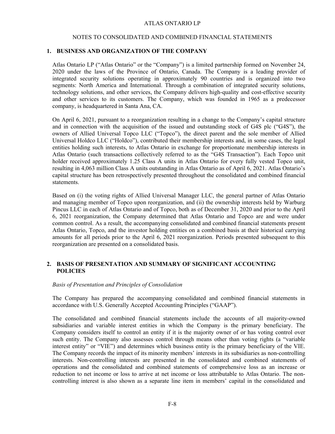### NOTES TO CONSOLIDATED AND COMBINED FINANCIAL STATEMENTS

### <span id="page-9-0"></span>**1. BUSINESS AND ORGANIZATION OF THE COMPANY**

Atlas Ontario LP ("Atlas Ontario" or the "Company") is a limited partnership formed on November 24, 2020 under the laws of the Province of Ontario, Canada. The Company is a leading provider of integrated security solutions operating in approximately 90 countries and is organized into two segments: North America and International. Through a combination of integrated security solutions, technology solutions, and other services, the Company delivers high-quality and cost-effective security and other services to its customers. The Company, which was founded in 1965 as a predecessor company, is headquartered in Santa Ana, CA.

On April 6, 2021, pursuant to a reorganization resulting in a change to the Company's capital structure and in connection with the acquisition of the issued and outstanding stock of G4S plc ("G4S"), the owners of Allied Universal Topco LLC ("Topco"), the direct parent and the sole member of Allied Universal Holdco LLC ("Holdco"), contributed their membership interests and, in some cases, the legal entities holding such interests, to Atlas Ontario in exchange for proportionate membership interests in Atlas Ontario (such transactions collectively referred to as the "G4S Transaction"). Each Topco unit holder received approximately 1.25 Class A units in Atlas Ontario for every fully vested Topco unit, resulting in 4,063 million Class A units outstanding in Atlas Ontario as of April 6, 2021. Atlas Ontario's capital structure has been retrospectively presented throughout the consolidated and combined financial statements.

Based on (i) the voting rights of Allied Universal Manager LLC, the general partner of Atlas Ontario and managing member of Topco upon reorganization, and (ii) the ownership interests held by Warburg Pincus LLC in each of Atlas Ontario and of Topco, both as of December 31, 2020 and prior to the April 6, 2021 reorganization, the Company determined that Atlas Ontario and Topco are and were under common control. As a result, the accompanying consolidated and combined financial statements present Atlas Ontario, Topco, and the investor holding entities on a combined basis at their historical carrying amounts for all periods prior to the April 6, 2021 reorganization. Periods presented subsequent to this reorganization are presented on a consolidated basis.

### **2. BASIS OF PRESENTATION AND SUMMARY OF SIGNIFICANT ACCOUNTING POLICIES**

### *Basis of Presentation and Principles of Consolidation*

The Company has prepared the accompanying consolidated and combined financial statements in accordance with U.S. Generally Accepted Accounting Principles ("GAAP").

The consolidated and combined financial statements include the accounts of all majority-owned subsidiaries and variable interest entities in which the Company is the primary beneficiary. The Company considers itself to control an entity if it is the majority owner of or has voting control over such entity. The Company also assesses control through means other than voting rights (a "variable interest entity" or "VIE") and determines which business entity is the primary beneficiary of the VIE. The Company records the impact of its minority members' interests in its subsidiaries as non-controlling interests. Non-controlling interests are presented in the consolidated and combined statements of operations and the consolidated and combined statements of comprehensive loss as an increase or reduction to net income or loss to arrive at net income or loss attributable to Atlas Ontario. The noncontrolling interest is also shown as a separate line item in members' capital in the consolidated and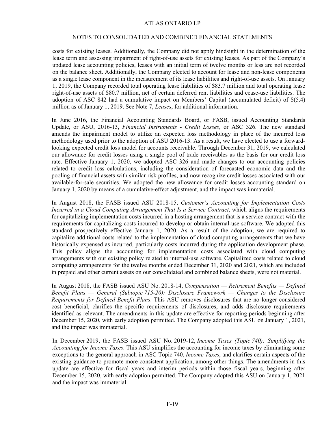Deloitte & Touche LLP 695 Town Center Drive **Suite 1000** Costa Mesa, CA 92626 **USA** 

Tel: +1 714 436 7100 Fax: +1 714 436 7200 www.deloitte.com

### **INDEPENDENT AUDITOR'S REPORT**

To the Board of Managers of Atlas Ontario LP:

### Opinion

We have audited the consolidated and combined financial statements of Atlas Ontario LP and subsidiaries (the "Company"), which comprise the consolidated and combined balance sheets as of December 31, 2021 and 2020, and the related consolidated and combined statements of operations, comprehensive loss, members' capital, and cash flows for each of the three years then ended, and the related notes to the consolidated and combined financial statements (collectively referred to as the "financial statements").

In our opinion, the accompanying financial statements present fairly, in all material respects, the financial position of the Company as of December 31, 2021 and 2020, and the results of its operations and its cash flows for each of the three years then ended, in accordance with accounting principles generally accepted in the United States of America.

### **Basis for Opinion**

We conducted our audits in accordance with auditing standards generally accepted in the United States of America (GAAS). Our responsibilities under those standards are further described in the Auditor's Responsibilities for the Audit of the Financial Statements section of our report. We are required to be independent of the Company and to meet our other ethical responsibilities, in accordance with the relevant ethical requirements relating to our audits. We believe that the audit evidence we have obtained is sufficient and appropriate to provide a basis for our audit opinion.

### Responsibilities of Management for the Financial Statements

Management is responsible for the preparation and fair presentation of the financial statements in accordance with accounting principles generally accepted in the United States of America, and for the design, implementation, and maintenance of internal control relevant to the preparation and fair presentation of financial statements that are free from material misstatement, whether due to fraud or error.

In preparing the financial statements, management is required to evaluate whether there are conditions or events, considered in the aggregate, that raise substantial doubt about the Company's ability to continue as a going concern for one year after the date that the financial statements are available to be issued.

### Auditor's Responsibilities for the Audit of the Financial Statements

Our objectives are to obtain reasonable assurance about whether the financial statements as a whole are free from material misstatement, whether due to fraud or error, and to issue an auditor's report that includes our opinion. Reasonable assurance is a high level of assurance but is not absolute assurance and therefore is not a guarantee that an audit conducted in accordance with GAAS will always detect a material misstatement when it exists. The risk of not detecting a material misstatement resulting from fraud is higher than for one resulting from error, as fraud may involve collusion, forgery, intentional omissions, misrepresentations, or the override of internal control. Misstatements are considered material if there is a substantial likelihood that, individually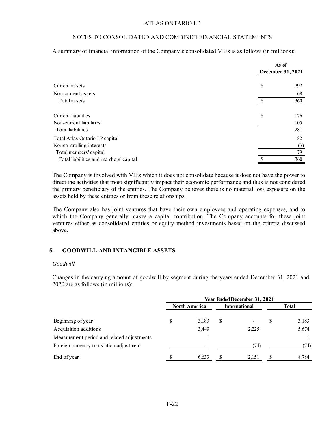# **TABLE OF CONTENTS**

|                                                                                                                                              | Page     |
|----------------------------------------------------------------------------------------------------------------------------------------------|----------|
| <b>INDEPENDENT AUDITOR'S REPORT</b>                                                                                                          | $F-1$    |
| ITEM 1. FINANCIAL STATEMENTS:                                                                                                                |          |
| CONSOLIDATED AND COMBINED FINANCIAL STATEMENTS AS OF DECEMBER 31, 2021<br>AND 2020 AND FOR THE YEARS ENDED DECEMBER 31, 2021, 2020 AND 2019: |          |
| <b>Balance Sheets</b>                                                                                                                        | $F-3$    |
| <b>Statements of Operations</b>                                                                                                              | $F-4$    |
| Statements of Comprehensive Loss                                                                                                             | $F-5$    |
| Statements of Members' Capital                                                                                                               | $F-6$    |
| <b>Statements of Cash Flows</b>                                                                                                              | $F-7$    |
| Notes to Consolidated and Combined Financial Statements                                                                                      | $F-8$    |
| ITEM 2. MANAGEMENT'S DISCUSSION AND ANALYSIS OF FINANCIAL<br>CONDITION AND RESULTS OF OPERATIONS (UNAUDITED)                                 | $1 - 24$ |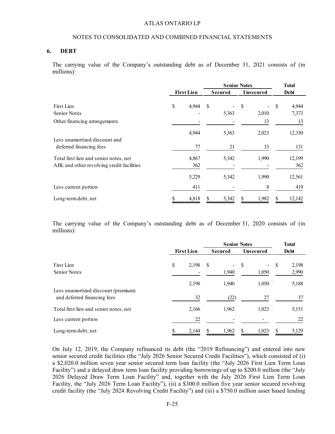### NOTES TO CONSOLIDATED AND COMBINED FINANCIAL STATEMENTS

#### 6. **6. DEBT**

The carrying value of the Company's outstanding debt as of December 31, 2021 consists of (in millions):

|                                                          |                   |       |                | <b>Senior Notes</b> |    |                  |    | <b>Total</b>   |
|----------------------------------------------------------|-------------------|-------|----------------|---------------------|----|------------------|----|----------------|
|                                                          | <b>First Lien</b> |       | <b>Secured</b> |                     |    | <b>Unsecured</b> |    | <b>Debt</b>    |
| First Lien<br><b>Senior Notes</b>                        | \$                | 4,944 | \$             | 5,363               | \$ | 2,010            | \$ | 4,944<br>7,373 |
| Other financing arrangements                             |                   |       |                |                     |    | 13               |    | 13             |
|                                                          |                   | 4,944 |                | 5,363               |    | 2,023            |    | 12,330         |
| Less unamortized discount and<br>deferred financing fees |                   | 77    |                | 21                  |    | 33               |    | 131            |
| Total first lien and senior notes, net                   |                   | 4,867 |                | 5,342               |    | 1,990            |    | 12,199         |
| ABL and other revolving credit facilities                |                   | 362   |                |                     |    |                  |    | 362            |
|                                                          |                   | 5,229 |                | 5,342               |    | 1,990            |    | 12,561         |
| Less current portion                                     |                   | 411   |                |                     |    | 8                |    | 419            |
| Long-term debt, net                                      |                   | 4,818 |                | 5,342               | S  | 1,982            | S. | 12,142         |

The carrying value of the Company's outstanding debt as of December 31, 2020 consists of (in millions):

|                                                                    |    |                   |                | <b>Senior Notes</b> |                  |       |   | <b>Total</b> |  |
|--------------------------------------------------------------------|----|-------------------|----------------|---------------------|------------------|-------|---|--------------|--|
|                                                                    |    | <b>First Lien</b> | <b>Secured</b> |                     | <b>Unsecured</b> |       |   | <b>Debt</b>  |  |
| First Lien                                                         | \$ | 2,198             | <sup>\$</sup>  | -                   | S                |       | S | 2,198        |  |
| Senior Notes                                                       |    |                   |                | 1,940               |                  | 1,050 |   | 2,990        |  |
|                                                                    |    | 2,198             |                | 1,940               |                  | 1,050 |   | 5,188        |  |
| Less unamortized discount (premium)<br>and deferred financing fees |    | 32                |                | (22)                |                  | 27    |   | 37           |  |
| Total first lien and senior notes, net                             |    | 2,166             |                | 1,962               |                  | 1,023 |   | 5,151        |  |
| Less current portion                                               |    | 22                |                |                     |                  |       |   | 22           |  |
| Long-term debt, net                                                |    | 2,144             |                | 1,962               |                  | 1,023 |   | 5,129        |  |

On July 12, 2019, the Company refinanced its debt (the "2019 Refinancing") and entered into new senior secured credit facilities (the "July 2026 Senior Secured Credit Facilities"), which consisted of (i) a \$2,020.0 million seven year senior secured term loan facility (the "July 2026 First Lien Term Loan Facility") and a delayed draw term loan facility providing borrowings of up to \$200.0 million (the "July 2026 Delayed Draw Term Loan Facility" and, together with the July 2026 First Lien Term Loan Facility, the "July 2026 Term Loan Facility"), (ii) a \$300.0 million five year senior secured revolving credit facility (the "July 2024 Revolving Credit Facility") and (iii) a \$750.0 million asset based lending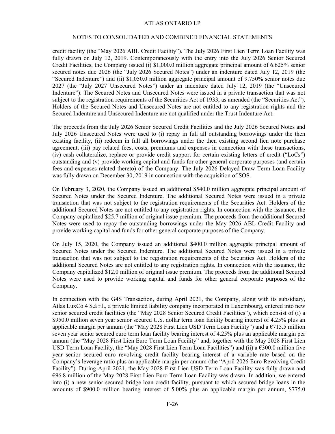### NOTES TO CONSOLIDATED AND COMBINED FINANCIAL STATEMENTS

 fully drawn on July 12, 2019. Contemporaneously with the entry into the July 2026 Senior Secured credit facility (the "May 2026 ABL Credit Facility"). The July 2026 First Lien Term Loan Facility was Credit Facilities, the Company issued (i) \$1,000.0 million aggregate principal amount of 6.625% senior secured notes due 2026 (the "July 2026 Secured Notes") under an indenture dated July 12, 2019 (the "Secured Indenture") and (ii) \$1,050.0 million aggregate principal amount of 9.750% senior notes due 2027 (the "July 2027 Unsecured Notes") under an indenture dated July 12, 2019 (the "Unsecured Indenture"). The Secured Notes and Unsecured Notes were issued in a private transaction that was not subject to the registration requirements of the Securities Act of 1933, as amended (the "Securities Act"). Holders of the Secured Notes and Unsecured Notes are not entitled to any registration rights and the Secured Indenture and Unsecured Indenture are not qualified under the Trust Indenture Act.

The proceeds from the July 2026 Senior Secured Credit Facilities and the July 2026 Secured Notes and July 2026 Unsecured Notes were used to (i) repay in full all outstanding borrowings under the then existing facility, (ii) redeem in full all borrowings under the then existing second lien note purchase agreement, (iii) pay related fees, costs, premiums and expenses in connection with these transactions, (iv) cash collateralize, replace or provide credit support for certain existing letters of credit ("LoCs") outstanding and (v) provide working capital and funds for other general corporate purposes (and certain fees and expenses related thereto) of the Company. The July 2026 Delayed Draw Term Loan Facility was fully drawn on December 30, 2019 in connection with the acquisition of SOS.

On February 3, 2020, the Company issued an additional \$540.0 million aggregate principal amount of Secured Notes under the Secured Indenture. The additional Secured Notes were issued in a private transaction that was not subject to the registration requirements of the Securities Act. Holders of the additional Secured Notes are not entitled to any registration rights. In connection with the issuance, the Company capitalized \$25.7 million of original issue premium. The proceeds from the additional Secured Notes were used to repay the outstanding borrowings under the May 2026 ABL Credit Facility and provide working capital and funds for other general corporate purposes of the Company.

On July 15, 2020, the Company issued an additional \$400.0 million aggregate principal amount of Secured Notes under the Secured Indenture. The additional Secured Notes were issued in a private transaction that was not subject to the registration requirements of the Securities Act. Holders of the additional Secured Notes are not entitled to any registration rights. In connection with the issuance, the Company capitalized \$12.0 million of original issue premium. The proceeds from the additional Secured Notes were used to provide working capital and funds for other general corporate purposes of the Company.

In connection with the G4S Transaction, during April 2021, the Company, along with its subsidiary, Atlas LuxCo 4 S.à r.l., a private limited liability company incorporated in Luxembourg, entered into new senior secured credit facilities (the "May 2028 Senior Secured Credit Facilities"), which consist of (i) a \$950.0 million seven year senior secured U.S. dollar term loan facility bearing interest of 4.25% plus an applicable margin per annum (the "May 2028 First Lien USD Term Loan Facility") and a  $\epsilon$ 715.5 million seven year senior secured euro term loan facility bearing interest of 4.25% plus an applicable margin per annum (the "May 2028 First Lien Euro Term Loan Facility" and, together with the May 2028 First Lien USD Term Loan Facility, the "May 2028 First Lien Term Loan Facilities") and (ii) a  $\epsilon$ 300.0 million five year senior secured euro revolving credit facility bearing interest of a variable rate based on the Company's leverage ratio plus an applicable margin per annum (the "April 2026 Euro Revolving Credit Facility"). During April 2021, the May 2028 First Lien USD Term Loan Facility was fully drawn and €96.8 million of the May 2028 First Lien Euro Term Loan Facility was drawn. In addition, we entered into (i) a new senior secured bridge loan credit facility, pursuant to which secured bridge loans in the amounts of \$900.0 million bearing interest of 5.00% plus an applicable margin per annum, \$775.0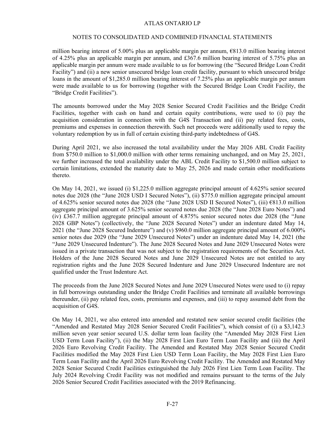### NOTES TO CONSOLIDATED AND COMBINED FINANCIAL STATEMENTS

"Bridge Credit Facilities"). million bearing interest of 5.00% plus an applicable margin per annum, €813.0 million bearing interest of 4.25% plus an applicable margin per annum, and £367.6 million bearing interest of 5.75% plus an applicable margin per annum were made available to us for borrowing (the "Secured Bridge Loan Credit Facility") and (ii) a new senior unsecured bridge loan credit facility, pursuant to which unsecured bridge loans in the amount of \$1,285.0 million bearing interest of 7.25% plus an applicable margin per annum were made available to us for borrowing (together with the Secured Bridge Loan Credit Facility, the

The amounts borrowed under the May 2028 Senior Secured Credit Facilities and the Bridge Credit Facilities, together with cash on hand and certain equity contributions, were used to (i) pay the acquisition consideration in connection with the G4S Transaction and (ii) pay related fees, costs, premiums and expenses in connection therewith. Such net proceeds were additionally used to repay the voluntary redemption by us in full of certain existing third-party indebtedness of G4S.

During April 2021, we also increased the total availability under the May 2026 ABL Credit Facility from \$750.0 million to \$1,000.0 million with other terms remaining unchanged, and on May 25, 2021, we further increased the total availability under the ABL Credit Facility to \$1,500.0 million subject to certain limitations, extended the maturity date to May 25, 2026 and made certain other modifications thereto.

On May 14, 2021, we issued (i) \$1,225.0 million aggregate principal amount of 4.625% senior secured notes due 2028 (the "June 2028 USD I Secured Notes"), (ii) \$775.0 million aggregate principal amount of 4.625% senior secured notes due 2028 (the "June 2028 USD II Secured Notes"), (iii) €813.0 million aggregate principal amount of 3.625% senior secured notes due 2028 (the "June 2028 Euro Notes") and (iv) £367.7 million aggregate principal amount of 4.875% senior secured notes due 2028 (the "June 2028 GBP Notes") (collectively, the "June 2028 Secured Notes") under an indenture dated May 14, 2021 (the "June 2028 Secured Indenture") and (v) \$960.0 million aggregate principal amount of 6.000% senior notes due 2029 (the "June 2029 Unsecured Notes") under an indenture dated May 14, 2021 (the "June 2029 Unsecured Indenture"). The June 2028 Secured Notes and June 2029 Unsecured Notes were issued in a private transaction that was not subject to the registration requirements of the Securities Act. Holders of the June 2028 Secured Notes and June 2029 Unsecured Notes are not entitled to any registration rights and the June 2028 Secured Indenture and June 2029 Unsecured Indenture are not qualified under the Trust Indenture Act.

The proceeds from the June 2028 Secured Notes and June 2029 Unsecured Notes were used to (i) repay in full borrowings outstanding under the Bridge Credit Facilities and terminate all available borrowings thereunder, (ii) pay related fees, costs, premiums and expenses, and (iii) to repay assumed debt from the acquisition of G4S.

On May 14, 2021, we also entered into amended and restated new senior secured credit facilities (the "Amended and Restated May 2028 Senior Secured Credit Facilities"), which consist of (i) a \$3,142.3 million seven year senior secured U.S. dollar term loan facility (the "Amended May 2028 First Lien USD Term Loan Facility"), (ii) the May 2028 First Lien Euro Term Loan Facility and (iii) the April 2026 Euro Revolving Credit Facility. The Amended and Restated May 2028 Senior Secured Credit Facilities modified the May 2028 First Lien USD Term Loan Facility, the May 2028 First Lien Euro Term Loan Facility and the April 2026 Euro Revolving Credit Facility. The Amended and Restated May 2028 Senior Secured Credit Facilities extinguished the July 2026 First Lien Term Loan Facility. The July 2024 Revolving Credit Facility was not modified and remains pursuant to the terms of the July 2026 Senior Secured Credit Facilities associated with the 2019 Refinancing.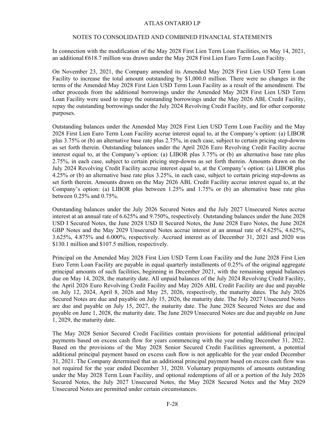### NOTES TO CONSOLIDATED AND COMBINED FINANCIAL STATEMENTS

In connection with the modification of the May 2028 First Lien Term Loan Facilities, on May 14, 2021, an additional €618.7 million was drawn under the May 2028 First Lien Euro Term Loan Facility.

On November 23, 2021, the Company amended its Amended May 2028 First Lien USD Term Loan Facility to increase the total amount outstanding by \$1,000.0 million. There were no changes in the terms of the Amended May 2028 First Lien USD Term Loan Facility as a result of the amendment. The other proceeds from the additional borrowings under the Amended May 2028 First Lien USD Term Loan Facility were used to repay the outstanding borrowings under the May 2026 ABL Credit Facility, repay the outstanding borrowings under the July 2024 Revolving Credit Facility, and for other corporate purposes.

Outstanding balances under the Amended May 2028 First Lien USD Term Loan Facility and the May 2028 First Lien Euro Term Loan Facility accrue interest equal to, at the Company's option: (a) LIBOR plus 3.75% or (b) an alternative base rate plus 2.75%, in each case, subject to certain pricing step-downs as set forth therein. Outstanding balances under the April 2026 Euro Revolving Credit Facility accrue interest equal to, at the Company's option: (a) LIBOR plus 3.75% or (b) an alternative base rate plus 2.75%, in each case, subject to certain pricing step-downs as set forth therein. Amounts drawn on the July 2024 Revolving Credit Facility accrue interest equal to, at the Company's option: (a) LIBOR plus 4.25% or (b) an alternative base rate plus 3.25%, in each case, subject to certain pricing step-downs as set forth therein. Amounts drawn on the May 2026 ABL Credit Facility accrue interest equal to, at the Company's option: (a) LIBOR plus between 1.25% and 1.75% or (b) an alternative base rate plus between 0.25% and 0.75%.

Outstanding balances under the July 2026 Secured Notes and the July 2027 Unsecured Notes accrue interest at an annual rate of 6.625% and 9.750%, respectively. Outstanding balances under the June 2028 USD I Secured Notes, the June 2028 USD II Secured Notes, the June 2028 Euro Notes, the June 2028 GBP Notes and the May 2029 Unsecured Notes accrue interest at an annual rate of 4.625%, 4.625%, 3.625%, 4.875% and 6.000%, respectively. Accrued interest as of December 31, 2021 and 2020 was \$130.1 million and \$107.5 million, respectively.

Principal on the Amended May 2028 First Lien USD Term Loan Facility and the June 2028 First Lien Euro Term Loan Facility are payable in equal quarterly installments of 0.25% of the original aggregate principal amounts of such facilities, beginning in December 2021, with the remaining unpaid balances due on May 14, 2028, the maturity date. All unpaid balances of the July 2024 Revolving Credit Facility, the April 2026 Euro Revolving Credit Facility and May 2026 ABL Credit Facility are due and payable on July 12, 2024, April 8, 2026 and May 25, 2026, respectively, the maturity dates. The July 2026 Secured Notes are due and payable on July 15, 2026, the maturity date. The July 2027 Unsecured Notes are due and payable on July 15, 2027, the maturity date. The June 2028 Secured Notes are due and payable on June 1, 2028, the maturity date. The June 2029 Unsecured Notes are due and payable on June 1, 2029, the maturity date.

The May 2028 Senior Secured Credit Facilities contain provisions for potential additional principal payments based on excess cash flow for years commencing with the year ending December 31, 2022. Based on the provisions of the May 2028 Senior Secured Credit Facilities agreement, a potential additional principal payment based on excess cash flow is not applicable for the year ended December 31, 2021. The Company determined that an additional principal payment based on excess cash flow was not required for the year ended December 31, 2020. Voluntary prepayments of amounts outstanding under the May 2028 Term Loan Facility, and optional redemptions of all or a portion of the July 2026 Secured Notes, the July 2027 Unsecured Notes, the May 2028 Secured Notes and the May 2029 Unsecured Notes are permitted under certain circumstances.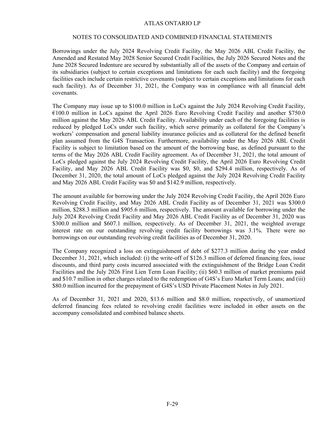### NOTES TO CONSOLIDATED AND COMBINED FINANCIAL STATEMENTS

Borrowings under the July 2024 Revolving Credit Facility, the May 2026 ABL Credit Facility, the Amended and Restated May 2028 Senior Secured Credit Facilities, the July 2026 Secured Notes and the June 2028 Secured Indenture are secured by substantially all of the assets of the Company and certain of its subsidiaries (subject to certain exceptions and limitations for each such facility) and the foregoing facilities each include certain restrictive covenants (subject to certain exceptions and limitations for each such facility). As of December 31, 2021, the Company was in compliance with all financial debt covenants.

The Company may issue up to \$100.0 million in LoCs against the July 2024 Revolving Credit Facility,  $\epsilon$ 100.0 million in LoCs against the April 2026 Euro Revolving Credit Facility and another \$750.0 million against the May 2026 ABL Credit Facility. Availability under each of the foregoing facilities is reduced by pledged LoCs under such facility, which serve primarily as collateral for the Company's workers' compensation and general liability insurance policies and as collateral for the defined benefit plan assumed from the G4S Transaction. Furthermore, availability under the May 2026 ABL Credit Facility is subject to limitation based on the amount of the borrowing base, as defined pursuant to the terms of the May 2026 ABL Credit Facility agreement. As of December 31, 2021, the total amount of LoCs pledged against the July 2024 Revolving Credit Facility, the April 2026 Euro Revolving Credit Facility, and May 2026 ABL Credit Facility was \$0, \$0, and \$294.4 million, respectively. As of December 31, 2020, the total amount of LoCs pledged against the July 2024 Revolving Credit Facility and May 2026 ABL Credit Facility was \$0 and \$142.9 million, respectively.

The amount available for borrowing under the July 2024 Revolving Credit Facility, the April 2026 Euro Revolving Credit Facility, and May 2026 ABL Credit Facility as of December 31, 2021 was \$300.0 million, \$288.3 million and \$905.6 million, respectively. The amount available for borrowing under the July 2024 Revolving Credit Facility and May 2026 ABL Credit Facility as of December 31, 2020 was \$300.0 million and \$607.1 million, respectively. As of December 31, 2021, the weighted average interest rate on our outstanding revolving credit facility borrowings was 3.1%. There were no borrowings on our outstanding revolving credit facilities as of December 31, 2020.

The Company recognized a loss on extinguishment of debt of \$277.3 million during the year ended December 31, 2021, which included: (i) the write-off of \$126.3 million of deferred financing fees, issue discounts, and third party costs incurred associated with the extinguishment of the Bridge Loan Credit Facilities and the July 2026 First Lien Term Loan Facility; (ii) \$60.3 million of market premiums paid and \$10.7 million in other charges related to the redemption of G4S's Euro Market Term Loans; and (iii) \$80.0 million incurred for the prepayment of G4S's USD Private Placement Notes in July 2021.

As of December 31, 2021 and 2020, \$13.6 million and \$8.0 million, respectively, of unamortized deferred financing fees related to revolving credit facilities were included in other assets on the accompany consolidated and combined balance sheets.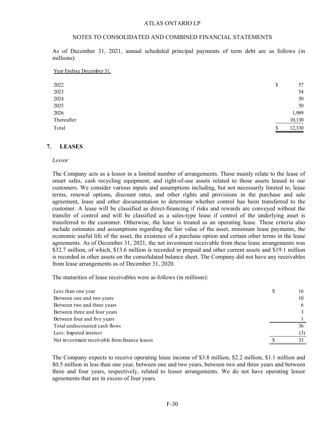### NOTES TO CONSOLIDATED AND COMBINED FINANCIAL STATEMENTS

As of December 31, 2021, annual scheduled principal payments of term debt are as follows (in millions):

### Year Ending December 31,

| 2022       | \$ | 57     |
|------------|----|--------|
| 2023       |    | 54     |
| 2024       |    | 50     |
| 2025       |    | 50     |
| 2026       |    | 1,989  |
| Thereafter |    | 10,130 |
| Total      | S  | 12,330 |

### **7. LEASES**

### *Lessor*

The Company acts as a lessor in a limited number of arrangements. These mainly relate to the lease of smart safes, cash recycling equipment, and right-of-use assets related to those assets leased to our customers. We consider various inputs and assumptions including, but not necessarily limited to, lease terms, renewal options, discount rates, and other rights and provisions in the purchase and sale agreement, lease and other documentation to determine whether control has been transferred to the customer. A lease will be classified as direct-financing if risks and rewards are conveyed without the transfer of control and will be classified as a sales-type lease if control of the underlying asset is transferred to the customer. Otherwise, the lease is treated as an operating lease. These criteria also include estimates and assumptions regarding the fair value of the asset, minimum lease payments, the economic useful life of the asset, the existence of a purchase option and certain other terms in the lease agreements. As of December 31, 2021, the net investment receivable from these lease arrangements was \$32.7 million, of which, \$13.6 million is recorded in prepaid and other current assets and \$19.1 million is recorded in other assets on the consolidated balance sheet. The Company did not have any receivables from lease arrangements as of December 31, 2020.

The maturities of lease receivables were as follows (in millions):

| Less than one year                            | 16  |
|-----------------------------------------------|-----|
| Between one and two years                     | 10  |
| Between two and three years                   | 6   |
| Between three and four years                  |     |
| Between four and five years                   |     |
| Total undiscounted cash flows                 | 36  |
| Less: Imputed interest                        | (3) |
| Net investment receivable from finance leases |     |

The Company expects to receive operating lease income of \$3.8 million, \$2.2 million, \$1.1 million and \$0.5 million in less than one year, between one and two years, between two and three years and between three and four years, respectively, related to lessor arrangements. We do not have operating lessor agreements that are in excess of four years.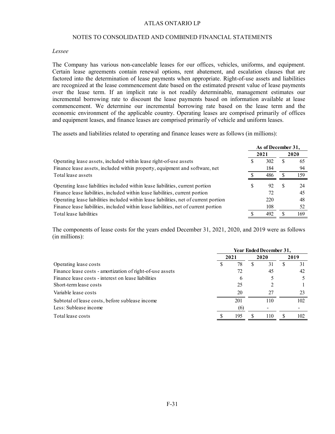### NOTES TO CONSOLIDATED AND COMBINED FINANCIAL STATEMENTS

### *Lessee*

The Company has various non-cancelable leases for our offices, vehicles, uniforms, and equipment. Certain lease agreements contain renewal options, rent abatement, and escalation clauses that are factored into the determination of lease payments when appropriate. Right-of-use assets and liabilities are recognized at the lease commencement date based on the estimated present value of lease payments over the lease term. If an implicit rate is not readily determinable, management estimates our incremental borrowing rate to discount the lease payments based on information available at lease commencement. We determine our incremental borrowing rate based on the lease term and the economic environment of the applicable country. Operating leases are comprised primarily of offices and equipment leases, and finance leases are comprised primarily of vehicle and uniform leases.

The assets and liabilities related to operating and finance leases were as follows (in millions):

|                                                                                       |   | As of December 31, |   |      |
|---------------------------------------------------------------------------------------|---|--------------------|---|------|
|                                                                                       |   | 2021               |   | 2020 |
| Operating lease assets, included within lease right-of-use assets                     | D | 302                | S | 65   |
| Finance lease assets, included within property, equipment and software, net           |   | 184                |   | 94   |
| Total lease assets                                                                    |   | 486                |   | 159  |
| Operating lease liabilities included within lease liabilities, current portion        | S | 92                 | S | 24   |
| Finance lease liabilities, included within lease liabilities, current portion         |   | 72                 |   | 45   |
| Operating lease liabilities included within lease liabilities, net of current portion |   | 220                |   | 48   |
| Finance lease liabilities, included within lease liabilities, net of current portion  |   | 108                |   | 52   |
| Total lease liabilities                                                               |   | 492                |   | 169  |
|                                                                                       |   |                    |   |      |

The components of lease costs for the years ended December 31, 2021, 2020, and 2019 were as follows (in millions):

|                                                           | Year Ended December 31, |              |      |     |      |     |  |
|-----------------------------------------------------------|-------------------------|--------------|------|-----|------|-----|--|
|                                                           | 2021                    |              | 2020 |     | 2019 |     |  |
| Operating lease costs                                     | S                       | 78           | S    | 31  | S    | 31  |  |
| Finance lease costs - amortization of right-of-use assets |                         | 72           |      | 45  |      | 42  |  |
| Finance lease costs - interest on lease liabilities       |                         | <sub>b</sub> |      |     |      |     |  |
| Short-term lease costs                                    |                         | 25           |      |     |      |     |  |
| Variable lease costs                                      |                         | 20           |      | 27  |      | 23  |  |
| Subtotal of lease costs, before sublease income           |                         | 201          |      | 110 |      | 102 |  |
| Less: Sublease income                                     |                         | (6)          |      |     |      |     |  |
| Total lease costs                                         |                         | 195          |      | 110 |      | 102 |  |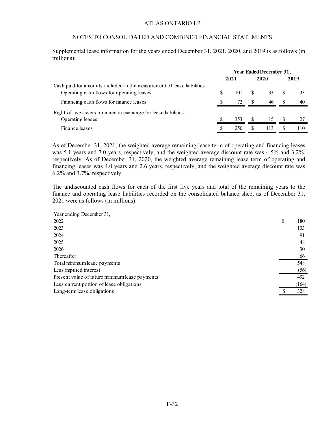### NOTES TO CONSOLIDATED AND COMBINED FINANCIAL STATEMENTS

Supplemental lease information for the years ended December 31, 2021, 2020, and 2019 is as follows (in millions):

|                                                                         | Year Ended December 31, |      |      |      |    |      |  |
|-------------------------------------------------------------------------|-------------------------|------|------|------|----|------|--|
|                                                                         |                         | 2021 |      | 2020 |    | 2019 |  |
| Cash paid for amounts included in the measurement of lease liabilities: |                         |      |      |      |    |      |  |
| Operating cash flows for operating leases                               |                         | 101  |      | 33   |    | 33   |  |
| Financing cash flows for finance leases                                 |                         | 72   | -S   | 46   |    |      |  |
| Right-of-use assets obtained in exchange for lease liabilities:         |                         |      |      |      |    |      |  |
| Operating leases                                                        |                         | 353  | - \$ | 15   | -8 |      |  |
| Finance leases                                                          |                         | 250  |      | 113  |    | 110  |  |

 was 5.1 years and 7.0 years, respectively, and the weighted average discount rate was 4.5% and 3.2%, As of December 31, 2021, the weighted average remaining lease term of operating and financing leases respectively. As of December 31, 2020, the weighted average remaining lease term of operating and financing leases was 4.0 years and 2.6 years, respectively, and the weighted average discount rate was 6.2% and 3.7%, respectively.

The undiscounted cash flows for each of the first five years and total of the remaining years to the finance and operating lease liabilities recorded on the consolidated balance sheet as of December 31, 2021 were as follows (in millions):

| Year ending December 31,                       |    |       |
|------------------------------------------------|----|-------|
| 2022                                           | \$ | 180   |
| 2023                                           |    | 133   |
| 2024                                           |    | 91    |
| 2025                                           |    | 48    |
| 2026                                           |    | 30    |
| Thereafter                                     |    | 66    |
| Total minimum lease payments                   |    | 548   |
| Less imputed interest                          |    | (56)  |
| Present value of future minimum lease payments |    | 492   |
| Less current portion of lease obligations      |    | (164) |
| Long-term lease obligations                    | S  | 328   |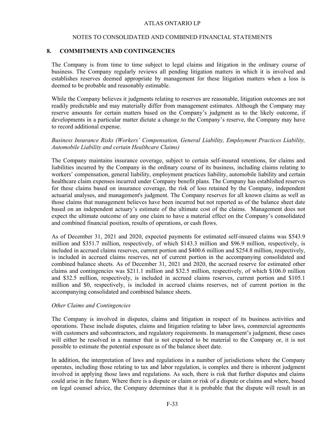### NOTES TO CONSOLIDATED AND COMBINED FINANCIAL STATEMENTS

### **8. COMMITMENTS AND CONTINGENCIES**

The Company is from time to time subject to legal claims and litigation in the ordinary course of business. The Company regularly reviews all pending litigation matters in which it is involved and establishes reserves deemed appropriate by management for these litigation matters when a loss is deemed to be probable and reasonably estimable.

While the Company believes it judgments relating to reserves are reasonable, litigation outcomes are not readily predictable and may materially differ from management estimates. Although the Company may reserve amounts for certain matters based on the Company's judgment as to the likely outcome, if developments in a particular matter dictate a change to the Company's reserve, the Company may have to record additional expense.

*Business Insurance Risks (Workers' Compensation, General Liability, Employment Practices Liability, Automobile Liability and certain Healthcare Claims)* 

The Company maintains insurance coverage, subject to certain self-insured retentions, for claims and liabilities incurred by the Company in the ordinary course of its business, including claims relating to workers' compensation, general liability, employment practices liability, automobile liability and certain healthcare claim expenses incurred under Company benefit plans. The Company has established reserves for these claims based on insurance coverage, the risk of loss retained by the Company, independent actuarial analyses, and management's judgment. The Company reserves for all known claims as well as those claims that management believes have been incurred but not reported as of the balance sheet date based on an independent actuary's estimate of the ultimate cost of the claims. Management does not expect the ultimate outcome of any one claim to have a material effect on the Company's consolidated and combined financial position, results of operations, or cash flows.

As of December 31, 2021 and 2020, expected payments for estimated self-insured claims was \$543.9 million and \$351.7 million, respectively, of which \$143.3 million and \$96.9 million, respectively, is included in accrued claims reserves, current portion and \$400.6 million and \$254.8 million, respectively, is included in accrued claims reserves, net of current portion in the accompanying consolidated and combined balance sheets. As of December 31, 2021 and 2020, the accrued reserve for estimated other claims and contingencies was \$211.1 million and \$32.5 million, respectively, of which \$106.0 million and \$32.5 million, respectively, is included in accrued claims reserves, current portion and \$105.1 million and \$0, respectively, is included in accrued claims reserves, net of current portion in the accompanying consolidated and combined balance sheets.

### *Other Claims and Contingencies*

The Company is involved in disputes, claims and litigation in respect of its business activities and operations. These include disputes, claims and litigation relating to labor laws, commercial agreements with customers and subcontractors, and regulatory requirements. In management's judgment, these cases will either be resolved in a manner that is not expected to be material to the Company or, it is not possible to estimate the potential exposure as of the balance sheet date.

In addition, the interpretation of laws and regulations in a number of jurisdictions where the Company operates, including those relating to tax and labor regulation, is complex and there is inherent judgment involved in applying those laws and regulations. As such, there is risk that further disputes and claims could arise in the future. Where there is a dispute or claim or risk of a dispute or claims and where, based on legal counsel advice, the Company determines that it is probable that the dispute will result in an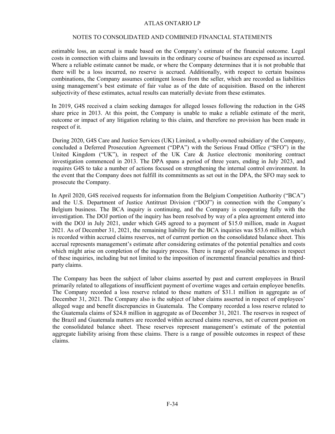### NOTES TO CONSOLIDATED AND COMBINED FINANCIAL STATEMENTS

estimable loss, an accrual is made based on the Company's estimate of the financial outcome. Legal costs in connection with claims and lawsuits in the ordinary course of business are expensed as incurred. Where a reliable estimate cannot be made, or where the Company determines that it is not probable that there will be a loss incurred, no reserve is accrued. Additionally, with respect to certain business combinations, the Company assumes contingent losses from the seller, which are recorded as liabilities using management's best estimate of fair value as of the date of acquisition. Based on the inherent subjectivity of these estimates, actual results can materially deviate from these estimates.

In 2019, G4S received a claim seeking damages for alleged losses following the reduction in the G4S share price in 2013. At this point, the Company is unable to make a reliable estimate of the merit, outcome or impact of any litigation relating to this claim, and therefore no provision has been made in respect of it.

 investigation commenced in 2013. The DPA spans a period of three years, ending in July 2023, and During 2020, G4S Care and Justice Services (UK) Limited, a wholly-owned subsidiary of the Company, concluded a Deferred Prosecution Agreement ("DPA") with the Serious Fraud Office ("SFO") in the United Kingdom ("UK"), in respect of the UK Care & Justice electronic monitoring contract requires G4S to take a number of actions focused on strengthening the internal control environment. In the event that the Company does not fulfill its commitments as set out in the DPA, the SFO may seek to prosecute the Company.

In April 2020, G4S received requests for information from the Belgium Competition Authority ("BCA") and the U.S. Department of Justice Antitrust Division ("DOJ") in connection with the Company's Belgium business. The BCA inquiry is continuing, and the Company is cooperating fully with the investigation. The DOJ portion of the inquiry has been resolved by way of a plea agreement entered into with the DOJ in July 2021, under which G4S agreed to a payment of \$15.0 million, made in August 2021. As of December 31, 2021, the remaining liability for the BCA inquiries was \$53.6 million, which is recorded within accrued claims reserves, net of current portion on the consolidated balance sheet. This accrual represents management's estimate after considering estimates of the potential penalties and costs which might arise on completion of the inquiry process. There is range of possible outcomes in respect of these inquiries, including but not limited to the imposition of incremental financial penalties and thirdparty claims.

The Company has been the subject of labor claims asserted by past and current employees in Brazil primarily related to allegations of insufficient payment of overtime wages and certain employee benefits. The Company recorded a loss reserve related to these matters of \$31.1 million in aggregate as of December 31, 2021. The Company also is the subject of labor claims asserted in respect of employees' alleged wage and benefit discrepancies in Guatemala. The Company recorded a loss reserve related to the Guatemala claims of \$24.8 million in aggregate as of December 31, 2021. The reserves in respect of the Brazil and Guatemala matters are recorded within accrued claims reserves, net of current portion on the consolidated balance sheet. These reserves represent management's estimate of the potential aggregate liability arising from these claims. There is a range of possible outcomes in respect of these claims.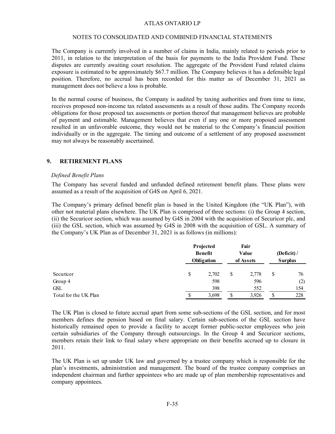#### NOTES TO CONSOLIDATED AND COMBINED FINANCIAL STATEMENTS

The Company is currently involved in a number of claims in India, mainly related to periods prior to 2011, in relation to the interpretation of the basis for payments to the India Provident Fund. These disputes are currently awaiting court resolution. The aggregate of the Provident Fund related claims exposure is estimated to be approximately \$67.7 million. The Company believes it has a defensible legal position. Therefore, no accrual has been recorded for this matter as of December 31, 2021 as management does not believe a loss is probable.

In the normal course of business, the Company is audited by taxing authorities and from time to time, receives proposed non-income tax related assessments as a result of those audits. The Company records obligations for those proposed tax assessments or portion thereof that management believes are probable of payment and estimable. Management believes that even if any one or more proposed assessment resulted in an unfavorable outcome, they would not be material to the Company's financial position individually or in the aggregate. The timing and outcome of a settlement of any proposed assessment may not always be reasonably ascertained.

# **9. RETIREMENT PLANS**

#### *Defined Benefit Plans*

The Company has several funded and unfunded defined retirement benefit plans. These plans were assumed as a result of the acquisition of G4S on April 6, 2021.

The Company's primary defined benefit plan is based in the United Kingdom (the "UK Plan"), with other not material plans elsewhere. The UK Plan is comprised of three sections: (i) the Group 4 section, (ii) the Securicor section, which was assumed by G4S in 2004 with the acquisition of Securicor plc, and (iii) the GSL section, which was assumed by G4S in 2008 with the acquisition of GSL. A summary of the Company's UK Plan as of December 31, 2021 is as follows (in millions):

|                       | Projected<br><b>Benefit</b><br>Obligation |    | Fair<br>Value<br>of Assets |    | (Deficit) /<br><b>Surplus</b> |
|-----------------------|-------------------------------------------|----|----------------------------|----|-------------------------------|
| Securicor             | \$<br>2,702                               | \$ | 2,778                      | \$ | 76                            |
| Group 4               | 598                                       |    | 596                        |    | (2)                           |
| <b>GSL</b>            | 398                                       |    | 552                        |    | 154                           |
| Total for the UK Plan | 3,698                                     | S  | 3,926                      | o  | 228                           |

The UK Plan is closed to future accrual apart from some sub-sections of the GSL section, and for most members defines the pension based on final salary. Certain sub-sections of the GSL section have historically remained open to provide a facility to accept former public-sector employees who join certain subsidiaries of the Company through outsourcings. In the Group 4 and Securicor sections, members retain their link to final salary where appropriate on their benefits accrued up to closure in 2011.

The UK Plan is set up under UK law and governed by a trustee company which is responsible for the plan's investments, administration and management. The board of the trustee company comprises an independent chairman and further appointees who are made up of plan membership representatives and company appointees.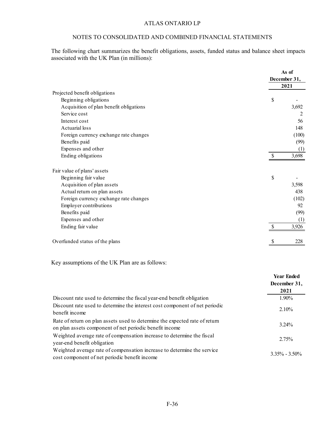# NOTES TO CONSOLIDATED AND COMBINED FINANCIAL STATEMENTS

The following chart summarizes the benefit obligations, assets, funded status and balance sheet impacts associated with the UK Plan (in millions):

|                                         | As of |              |
|-----------------------------------------|-------|--------------|
|                                         |       | December 31, |
|                                         |       | 2021         |
| Projected benefit obligations           |       |              |
| Beginning obligations                   | \$    |              |
| Acquisition of plan benefit obligations |       | 3,692        |
| Service cost                            |       | 2            |
| Interest cost                           |       | 56           |
| Actuarial loss                          |       | 148          |
| Foreign currency exchange rate changes  |       | (100)        |
| Benefits paid                           |       | (99)         |
| Expenses and other                      |       | (1)          |
| Ending obligations                      |       | 3,698        |
| Fair value of plans' assets             |       |              |
| Beginning fair value                    | \$    |              |
| Acquisition of plan assets              |       | 3,598        |
| Actual return on plan assets            |       | 438          |
| Foreign currency exchange rate changes  |       | (102)        |
| Employer contributions                  |       | 92           |
| Benefits paid                           |       | (99)         |
| Expenses and other                      |       | (1)          |
| Ending fair value                       |       | 3,926        |
| Overfunded status of the plans          |       | 228          |

# Key assumptions of the UK Plan are as follows:

|                                                                                                                                        | <b>Year Ended</b><br>December 31, |
|----------------------------------------------------------------------------------------------------------------------------------------|-----------------------------------|
|                                                                                                                                        | 2021                              |
| Discount rate used to determine the fiscal year-end benefit obligation                                                                 | 1.90%                             |
| Discount rate used to determine the interest cost component of net periodic<br>benefit income                                          | 2.10%                             |
| Rate of return on plan assets used to determine the expected rate of return<br>on plan assets component of net periodic benefit income | $3.24\%$                          |
| Weighted average rate of compensation increase to determine the fiscal<br>year-end benefit obligation                                  | 2.75%                             |
| Weighted average rate of compensation increase to determine the service<br>cost component of net periodic benefit income               | $3.35\% - 3.50\%$                 |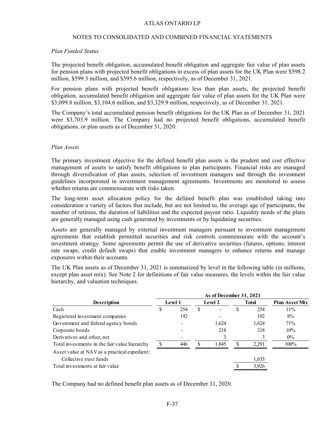# NOTES TO CONSOLIDATED AND COMBINED FINANCIAL STATEMENTS

# *Plan Funded Status*

The projected benefit obligation, accumulated benefit obligation and aggregate fair value of plan assets for pension plans with projected benefit obligations in excess of plan assets for the UK Plan were \$598.2 million, \$599.3 million, and \$595.6 million, respectively, as of December 31, 2021.

For pension plans with projected benefit obligations less than plan assets, the projected benefit obligation, accumulated benefit obligation and aggregate fair value of plan assets for the UK Plan were \$3,099.8 million, \$3,104.6 million, and \$3,329.9 million, respectively, as of December 31, 2021.

The Company's total accumulated pension benefit obligations for the UK Plan as of December 31, 2021 were \$3,703.9 million. The Company had no projected benefit obligations, accumulated benefit obligations, or plan assets as of December 31, 2020.

# *Plan Assets*

The primary investment objective for the defined benefit plan assets is the prudent and cost effective management of assets to satisfy benefit obligations to plan participants. Financial risks are managed through diversification of plan assets, selection of investment managers and through the investment guidelines incorporated in investment management agreements. Investments are monitored to assess whether returns are commensurate with risks taken.

The long-term asset allocation policy for the defined benefit plan was established taking into consideration a variety of factors that include, but are not limited to, the average age of participants, the number of retirees, the duration of liabilities and the expected payout ratio. Liquidity needs of the plans are generally managed using cash generated by investments or by liquidating securities.

Assets are generally managed by external investment managers pursuant to investment management agreements that establish permitted securities and risk controls commensurate with the account's investment strategy. Some agreements permit the use of derivative securities (futures, options, interest rate swaps, credit default swaps) that enable investment managers to enhance returns and manage exposures within their accounts.

The UK Plan assets as of December 31, 2021 is summarized by level in the following table (in millions, except plan asset mix). See Note 2 for definitions of fair value measures, the levels within the fair value hierarchy, and valuation techniques.

| <b>Level 1</b> |     | <b>Level 2</b> |       | <b>Total</b> |       | <b>Plan Asset Mix</b>   |  |
|----------------|-----|----------------|-------|--------------|-------|-------------------------|--|
| S              | 254 | S              |       | S            | 254   | 11%                     |  |
|                | 192 |                |       |              | 192   | 8%                      |  |
|                |     |                | 1,624 |              | 1,624 | 71%                     |  |
|                |     |                | 218   |              | 218   | 10%                     |  |
|                |     |                | 3     |              |       | $0\%$                   |  |
|                | 446 |                | 1,845 |              | 2,291 | 100%                    |  |
|                |     |                |       |              |       |                         |  |
|                |     |                |       |              | 1,635 |                         |  |
|                |     |                |       |              | 3,926 |                         |  |
|                |     |                |       |              |       | As of December 31, 2021 |  |

The Company had no defined benefit plan assets as of December 31, 2020.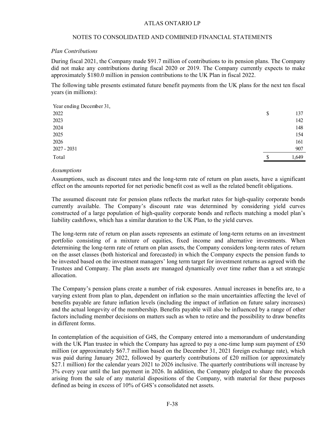## NOTES TO CONSOLIDATED AND COMBINED FINANCIAL STATEMENTS

# *Plan Contributions*

During fiscal 2021, the Company made \$91.7 million of contributions to its pension plans. The Company did not make any contributions during fiscal 2020 or 2019. The Company currently expects to make approximately \$180.0 million in pension contributions to the UK Plan in fiscal 2022.

The following table presents estimated future benefit payments from the UK plans for the next ten fiscal years (in millions):

| Year ending December 31, |           |
|--------------------------|-----------|
| 2022                     | \$<br>137 |
| 2023                     | 142       |
| 2024                     | 148       |
| 2025                     | 154       |
| 2026                     | 161       |
| 2027 - 2031              | 907       |
| Total                    | 1,649     |

#### *Assumptions*

Assumptions, such as discount rates and the long-term rate of return on plan assets, have a significant effect on the amounts reported for net periodic benefit cost as well as the related benefit obligations.

The assumed discount rate for pension plans reflects the market rates for high-quality corporate bonds currently available. The Company's discount rate was determined by considering yield curves constructed of a large population of high-quality corporate bonds and reflects matching a model plan's liability cashflows, which has a similar duration to the UK Plan, to the yield curves.

The long-term rate of return on plan assets represents an estimate of long-term returns on an investment portfolio consisting of a mixture of equities, fixed income and alternative investments. When determining the long-term rate of return on plan assets, the Company considers long-term rates of return on the asset classes (both historical and forecasted) in which the Company expects the pension funds to be invested based on the investment managers' long term target for investment returns as agreed with the Trustees and Company. The plan assets are managed dynamically over time rather than a set strategic allocation.

The Company's pension plans create a number of risk exposures. Annual increases in benefits are, to a varying extent from plan to plan, dependent on inflation so the main uncertainties affecting the level of benefits payable are future inflation levels (including the impact of inflation on future salary increases) and the actual longevity of the membership. Benefits payable will also be influenced by a range of other factors including member decisions on matters such as when to retire and the possibility to draw benefits in different forms.

In contemplation of the acquisition of G4S, the Company entered into a memorandum of understanding with the UK Plan trustee in which the Company has agreed to pay a one-time lump sum payment of £50 million (or approximately \$67.7 million based on the December 31, 2021 foreign exchange rate), which was paid during January 2022, followed by quarterly contributions of £20 million (or approximately \$27.1 million) for the calendar years 2021 to 2026 inclusive. The quarterly contributions will increase by 3% every year until the last payment in 2026. In addition, the Company pledged to share the proceeds arising from the sale of any material dispositions of the Company, with material for these purposes defined as being in excess of 10% of G4S's consolidated net assets.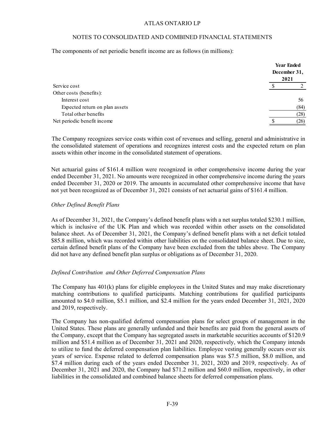# NOTES TO CONSOLIDATED AND COMBINED FINANCIAL STATEMENTS

The components of net periodic benefit income are as follows (in millions):

|                                | <b>Year Ended</b><br>December 31,<br>2021 |
|--------------------------------|-------------------------------------------|
| Service cost                   |                                           |
| Other costs (benefits):        |                                           |
| Interest cost                  | 56                                        |
| Expected return on plan assets | (84)                                      |
| Total other benefits           | (28)                                      |
| Net periodic benefit income    | (26)                                      |

The Company recognizes service costs within cost of revenues and selling, general and administrative in the consolidated statement of operations and recognizes interest costs and the expected return on plan assets within other income in the consolidated statement of operations.

Net actuarial gains of \$161.4 million were recognized in other comprehensive income during the year ended December 31, 2021. No amounts were recognized in other comprehensive income during the years ended December 31, 2020 or 2019. The amounts in accumulated other comprehensive income that have not yet been recognized as of December 31, 2021 consists of net actuarial gains of \$161.4 million.

# *Other Defined Benefit Plans*

As of December 31, 2021, the Company's defined benefit plans with a net surplus totaled \$230.1 million, which is inclusive of the UK Plan and which was recorded within other assets on the consolidated balance sheet. As of December 31, 2021, the Company's defined benefit plans with a net deficit totaled \$85.8 million, which was recorded within other liabilities on the consolidated balance sheet. Due to size, certain defined benefit plans of the Company have been excluded from the tables above. The Company did not have any defined benefit plan surplus or obligations as of December 31, 2020.

# *Defined Contribution and Other Deferred Compensation Plans*

The Company has 401(k) plans for eligible employees in the United States and may make discretionary matching contributions to qualified participants. Matching contributions for qualified participants amounted to \$4.0 million, \$5.1 million, and \$2.4 million for the years ended December 31, 2021, 2020 and 2019, respectively.

The Company has non-qualified deferred compensation plans for select groups of management in the United States. These plans are generally unfunded and their benefits are paid from the general assets of the Company, except that the Company has segregated assets in marketable securities accounts of \$120.9 million and \$51.4 million as of December 31, 2021 and 2020, respectively, which the Company intends to utilize to fund the deferred compensation plan liabilities. Employee vesting generally occurs over six years of service. Expense related to deferred compensation plans was \$7.5 million, \$8.0 million, and \$7.4 million during each of the years ended December 31, 2021, 2020 and 2019, respectively. As of December 31, 2021 and 2020, the Company had \$71.2 million and \$60.0 million, respectively, in other liabilities in the consolidated and combined balance sheets for deferred compensation plans.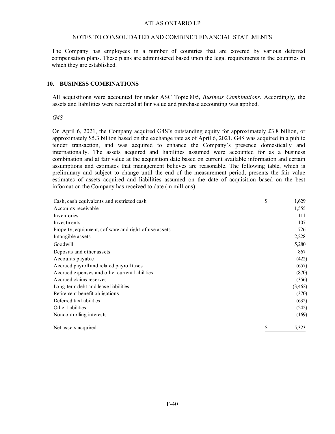## NOTES TO CONSOLIDATED AND COMBINED FINANCIAL STATEMENTS

 which they are established. The Company has employees in a number of countries that are covered by various deferred compensation plans. These plans are administered based upon the legal requirements in the countries in

# **10. BUSINESS COMBINATIONS**

All acquisitions were accounted for under ASC Topic 805, *Business Combinations*. Accordingly, the assets and liabilities were recorded at fair value and purchase accounting was applied.

*G4S* 

On April 6, 2021, the Company acquired G4S's outstanding equity for approximately £3.8 billion, or approximately \$5.3 billion based on the exchange rate as of April 6, 2021. G4S was acquired in a public tender transaction, and was acquired to enhance the Company's presence domestically and internationally. The assets acquired and liabilities assumed were accounted for as a business combination and at fair value at the acquisition date based on current available information and certain assumptions and estimates that management believes are reasonable. The following table, which is preliminary and subject to change until the end of the measurement period, presents the fair value estimates of assets acquired and liabilities assumed on the date of acquisition based on the best information the Company has received to date (in millions):

| Cash, cash equivalents and restricted cash            | \$<br>1,629 |
|-------------------------------------------------------|-------------|
| Accounts receivable                                   | 1,555       |
| Inventories                                           | 111         |
| Investments                                           | 107         |
| Property, equipment, software and right-of-use assets | 726         |
| Intangible assets                                     | 2,228       |
| Goodwill                                              | 5,280       |
| Deposits and other assets                             | 867         |
| Accounts payable                                      | (422)       |
| Accrued payroll and related payroll taxes             | (657)       |
| Accrued expenses and other current liabilities        | (870)       |
| Accrued claims reserves                               | (356)       |
| Long-term debt and lease liabilities                  | (3,462)     |
| Retirement benefit obligations                        | (370)       |
| Deferred tax liabilities                              | (632)       |
| Other liabilities                                     | (242)       |
| Noncontrolling interests                              | (169)       |
| Net assets acquired                                   | 5,323       |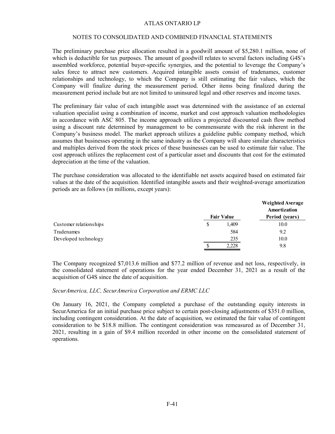## NOTES TO CONSOLIDATED AND COMBINED FINANCIAL STATEMENTS

The preliminary purchase price allocation resulted in a goodwill amount of \$5,280.1 million, none of which is deductible for tax purposes. The amount of goodwill relates to several factors including G4S's assembled workforce, potential buyer-specific synergies, and the potential to leverage the Company's sales force to attract new customers. Acquired intangible assets consist of tradenames, customer relationships and technology, to which the Company is still estimating the fair values, which the Company will finalize during the measurement period. Other items being finalized during the measurement period include but are not limited to uninsured legal and other reserves and income taxes.

depreciation at the time of the valuation. The preliminary fair value of each intangible asset was determined with the assistance of an external valuation specialist using a combination of income, market and cost approach valuation methodologies in accordance with ASC 805. The income approach utilizes a projected discounted cash flow method using a discount rate determined by management to be commensurate with the risk inherent in the Company's business model. The market approach utilizes a guideline public company method, which assumes that businesses operating in the same industry as the Company will share similar characteristics and multiples derived from the stock prices of these businesses can be used to estimate fair value. The cost approach utilizes the replacement cost of a particular asset and discounts that cost for the estimated

The purchase consideration was allocated to the identifiable net assets acquired based on estimated fair values at the date of the acquisition. Identified intangible assets and their weighted-average amortization periods are as follows (in millions, except years):

|                        |               |                   | Weighted Average<br>Amortization |
|------------------------|---------------|-------------------|----------------------------------|
|                        |               | <b>Fair Value</b> | Period (years)                   |
| Customer relationships | <sup>\$</sup> | 1,409             | 10.0                             |
| Tradenames             |               | 584               | 9.2                              |
| Developed technology   |               | 235               | 10.0                             |
|                        |               | 2,228             | 9.8                              |

The Company recognized \$7,013.6 million and \$77.2 million of revenue and net loss, respectively, in the consolidated statement of operations for the year ended December 31, 2021 as a result of the acquisition of G4S since the date of acquisition.

#### *SecurAmerica, LLC, SecurAmerica Corporation and ERMC LLC*

On January 16, 2021, the Company completed a purchase of the outstanding equity interests in SecurAmerica for an initial purchase price subject to certain post-closing adjustments of \$351.0 million, including contingent consideration. At the date of acquisition, we estimated the fair value of contingent consideration to be \$18.8 million. The contingent consideration was remeasured as of December 31, 2021, resulting in a gain of \$9.4 million recorded in other income on the consolidated statement of operations.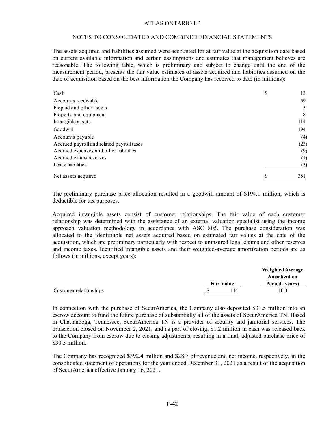#### NOTES TO CONSOLIDATED AND COMBINED FINANCIAL STATEMENTS

The assets acquired and liabilities assumed were accounted for at fair value at the acquisition date based on current available information and certain assumptions and estimates that management believes are reasonable. The following table, which is preliminary and subject to change until the end of the measurement period, presents the fair value estimates of assets acquired and liabilities assumed on the date of acquisition based on the best information the Company has received to date (in millions):

| Cash                                      | \$<br>13 |
|-------------------------------------------|----------|
| Accounts receivable                       | 59       |
| Prepaid and other assets                  |          |
| Property and equipment                    | 8        |
| Intangible assets                         | 114      |
| Goodwill                                  | 194      |
| Accounts payable                          | (4)      |
| Accrued payroll and related payroll taxes | (23)     |
| Accrued expenses and other liabilities    | (9)      |
| Accrued claims reserves                   | (1)      |
| Lease liabilities                         | (3)      |
| Net assets acquired                       | 351      |

The preliminary purchase price allocation resulted in a goodwill amount of \$194.1 million, which is deductible for tax purposes.

Acquired intangible assets consist of customer relationships. The fair value of each customer relationship was determined with the assistance of an external valuation specialist using the income approach valuation methodology in accordance with ASC 805. The purchase consideration was allocated to the identifiable net assets acquired based on estimated fair values at the date of the acquisition, which are preliminary particularly with respect to uninsured legal claims and other reserves and income taxes. Identified intangible assets and their weighted-average amortization periods are as follows (in millions, except years):

|                        |                   |     | Weighted Average |
|------------------------|-------------------|-----|------------------|
|                        |                   |     | Amortization     |
|                        | <b>Fair Value</b> |     | Period (years)   |
| Customer relationships |                   | 14، | 10.0             |

 escrow account to fund the future purchase of substantially all of the assets of SecurAmerica TN. Based In connection with the purchase of SecurAmerica, the Company also deposited \$31.5 million into an in Chattanooga, Tennessee, SecurAmerica TN is a provider of security and janitorial services. The transaction closed on November 2, 2021, and as part of closing, \$1.2 million in cash was released back to the Company from escrow due to closing adjustments, resulting in a final, adjusted purchase price of \$30.3 million.

The Company has recognized \$392.4 million and \$28.7 of revenue and net income, respectively, in the consolidated statement of operations for the year ended December 31, 2021 as a result of the acquisition of SecurAmerica effective January 16, 2021.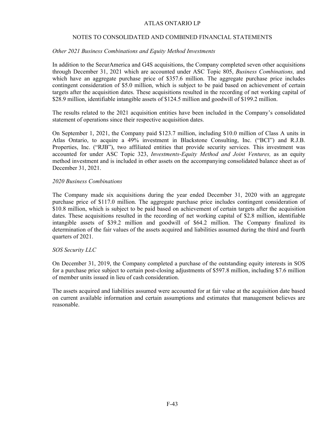#### NOTES TO CONSOLIDATED AND COMBINED FINANCIAL STATEMENTS

# *Other 2021 Business Combinations and Equity Method Investments*

In addition to the SecurAmerica and G4S acquisitions, the Company completed seven other acquisitions through December 31, 2021 which are accounted under ASC Topic 805, *Business Combinations,* and which have an aggregate purchase price of \$357.6 million. The aggregate purchase price includes contingent consideration of \$5.0 million, which is subject to be paid based on achievement of certain targets after the acquisition dates. These acquisitions resulted in the recording of net working capital of \$28.9 million, identifiable intangible assets of \$124.5 million and goodwill of \$199.2 million.

The results related to the 2021 acquisition entities have been included in the Company's consolidated statement of operations since their respective acquisition dates.

On September 1, 2021, the Company paid \$123.7 million, including \$10.0 million of Class A units in Atlas Ontario, to acquire a 49% investment in Blackstone Consulting, Inc. ("BCI") and R.J.B. Properties, Inc. ("RJB"), two affiliated entities that provide security services. This investment was accounted for under ASC Topic 323, *Investments-Equity Method and Joint Ventures,* as an equity method investment and is included in other assets on the accompanying consolidated balance sheet as of December 31, 2021.

## *2020 Business Combinations*

The Company made six acquisitions during the year ended December 31, 2020 with an aggregate purchase price of \$117.0 million. The aggregate purchase price includes contingent consideration of \$10.8 million, which is subject to be paid based on achievement of certain targets after the acquisition dates. These acquisitions resulted in the recording of net working capital of \$2.8 million, identifiable intangible assets of \$39.2 million and goodwill of \$64.2 million. The Company finalized its determination of the fair values of the assets acquired and liabilities assumed during the third and fourth quarters of 2021.

#### *SOS Security LLC*

On December 31, 2019, the Company completed a purchase of the outstanding equity interests in SOS for a purchase price subject to certain post-closing adjustments of \$597.8 million, including \$7.6 million of member units issued in lieu of cash consideration.

The assets acquired and liabilities assumed were accounted for at fair value at the acquisition date based on current available information and certain assumptions and estimates that management believes are reasonable.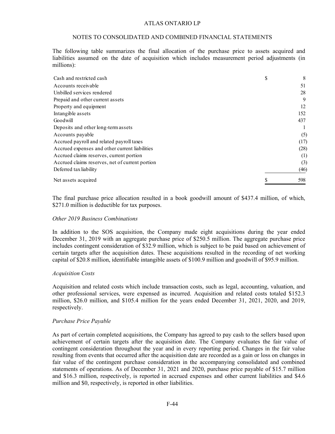#### NOTES TO CONSOLIDATED AND COMBINED FINANCIAL STATEMENTS

The following table summarizes the final allocation of the purchase price to assets acquired and liabilities assumed on the date of acquisition which includes measurement period adjustments (in millions):

| Cash and restricted cash                        | \$<br>8 |
|-------------------------------------------------|---------|
| Accounts receivable                             | 51      |
| Unbilled services rendered                      | 28      |
| Prepaid and other current assets                | 9       |
| Property and equipment                          | 12      |
| Intangible assets                               | 152     |
| Goodwill                                        | 437     |
| Deposits and other long-term assets             |         |
| Accounts payable                                | (5)     |
| Accrued payroll and related payroll taxes       | (17)    |
| Accrued expenses and other current liabilities  | (28)    |
| Accrued claims reserves, current portion        | (1)     |
| Accrued claims reserves, net of current portion | (3)     |
| Deferred tax liability                          | (46)    |
| Net assets acquired                             | 598     |

The final purchase price allocation resulted in a book goodwill amount of \$437.4 million, of which, \$271.0 million is deductible for tax purposes.

#### *Other 2019 Business Combinations*

In addition to the SOS acquisition, the Company made eight acquisitions during the year ended December 31, 2019 with an aggregate purchase price of \$250.5 million. The aggregate purchase price includes contingent consideration of \$32.9 million, which is subject to be paid based on achievement of certain targets after the acquisition dates. These acquisitions resulted in the recording of net working capital of \$20.8 million, identifiable intangible assets of \$100.9 million and goodwill of \$95.9 million.

#### *Acquisition Costs*

Acquisition and related costs which include transaction costs, such as legal, accounting, valuation, and other professional services, were expensed as incurred. Acquisition and related costs totaled \$152.3 million, \$26.0 million, and \$105.4 million for the years ended December 31, 2021, 2020, and 2019, respectively.

#### *Purchase Price Payable*

As part of certain completed acquisitions, the Company has agreed to pay cash to the sellers based upon achievement of certain targets after the acquisition date. The Company evaluates the fair value of contingent consideration throughout the year and in every reporting period. Changes in the fair value resulting from events that occurred after the acquisition date are recorded as a gain or loss on changes in fair value of the contingent purchase consideration in the accompanying consolidated and combined statements of operations. As of December 31, 2021 and 2020, purchase price payable of \$15.7 million and \$16.3 million, respectively, is reported in accrued expenses and other current liabilities and \$4.6 million and \$0, respectively, is reported in other liabilities.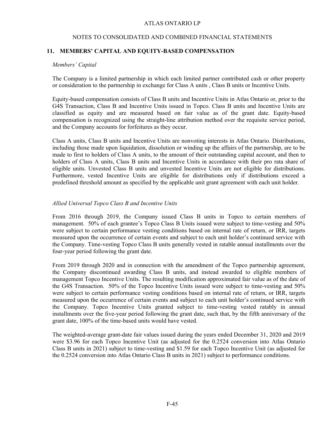## NOTES TO CONSOLIDATED AND COMBINED FINANCIAL STATEMENTS

# **11. MEMBERS' CAPITAL AND EQUITY-BASED COMPENSATION**

# *Members' Capital*

The Company is a limited partnership in which each limited partner contributed cash or other property or consideration to the partnership in exchange for Class A units , Class B units or Incentive Units.

Equity-based compensation consists of Class B units and Incentive Units in Atlas Ontario or, prior to the G4S Transaction, Class B and Incentive Units issued in Topco. Class B units and Incentive Units are classified as equity and are measured based on fair value as of the grant date. Equity-based compensation is recognized using the straight-line attribution method over the requisite service period, and the Company accounts for forfeitures as they occur.

Class A units, Class B units and Incentive Units are nonvoting interests in Atlas Ontario. Distributions, including those made upon liquidation, dissolution or winding up the affairs of the partnership, are to be made to first to holders of Class A units, to the amount of their outstanding capital account, and then to holders of Class A units, Class B units and Incentive Units in accordance with their pro rata share of eligible units. Unvested Class B units and unvested Incentive Units are not eligible for distributions. Furthermore, vested Incentive Units are eligible for distributions only if distributions exceed a predefined threshold amount as specified by the applicable unit grant agreement with each unit holder.

# *Allied Universal Topco Class B and Incentive Units*

From 2016 through 2019, the Company issued Class B units in Topco to certain members of management. 50% of each grantee's Topco Class B Units issued were subject to time-vesting and 50% were subject to certain performance vesting conditions based on internal rate of return, or IRR, targets measured upon the occurrence of certain events and subject to each unit holder's continued service with the Company. Time-vesting Topco Class B units generally vested in ratable annual installments over the four-year period following the grant date.

From 2019 through 2020 and in connection with the amendment of the Topco partnership agreement, the Company discontinued awarding Class B units, and instead awarded to eligible members of management Topco Incentive Units. The resulting modification approximated fair value as of the date of the G4S Transaction. 50% of the Topco Incentive Units issued were subject to time-vesting and 50% were subject to certain performance vesting conditions based on internal rate of return, or IRR, targets measured upon the occurrence of certain events and subject to each unit holder's continued service with the Company. Topco Incentive Units granted subject to time-vesting vested ratably in annual installments over the five-year period following the grant date, such that, by the fifth anniversary of the grant date, 100% of the time-based units would have vested.

The weighted-average grant-date fair values issued during the years ended December 31, 2020 and 2019 were \$3.96 for each Topco Incentive Unit (as adjusted for the 0.2524 conversion into Atlas Ontario Class B units in 2021) subject to time-vesting and \$1.59 for each Topco Incentive Unit (as adjusted for the 0.2524 conversion into Atlas Ontario Class B units in 2021) subject to performance conditions.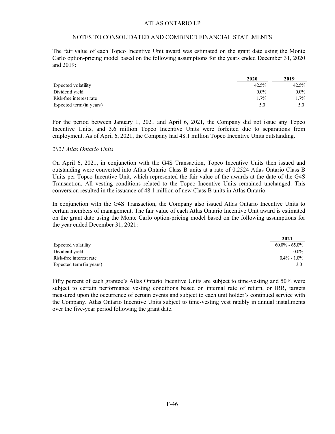## NOTES TO CONSOLIDATED AND COMBINED FINANCIAL STATEMENTS

The fair value of each Topco Incentive Unit award was estimated on the grant date using the Monte Carlo option-pricing model based on the following assumptions for the years ended December 31, 2020 and 2019:

|                          | 2020    | 2019    |
|--------------------------|---------|---------|
| Expected volatility      | 42.5%   | 42.5%   |
| Dividend yield           | $0.0\%$ | $0.0\%$ |
| Risk-free interest rate  | 1.7%    | $1.7\%$ |
| Expected term (in years) | 5.0     | 5.0     |

For the period between January 1, 2021 and April 6, 2021, the Company did not issue any Topco Incentive Units, and 3.6 million Topco Incentive Units were forfeited due to separations from employment. As of April 6, 2021, the Company had 48.1 million Topco Incentive Units outstanding.

#### *2021 Atlas Ontario Units*

On April 6, 2021, in conjunction with the G4S Transaction, Topco Incentive Units then issued and outstanding were converted into Atlas Ontario Class B units at a rate of 0.2524 Atlas Ontario Class B Units per Topco Incentive Unit, which represented the fair value of the awards at the date of the G4S Transaction. All vesting conditions related to the Topco Incentive Units remained unchanged. This conversion resulted in the issuance of 48.1 million of new Class B units in Atlas Ontario.

In conjunction with the G4S Transaction, the Company also issued Atlas Ontario Incentive Units to certain members of management. The fair value of each Atlas Ontario Incentive Unit award is estimated on the grant date using the Monte Carlo option-pricing model based on the following assumptions for the year ended December 31, 2021:

|                          | 2021              |
|--------------------------|-------------------|
| Expected volatility      | $60.0\% - 65.0\%$ |
| Dividend yield           | $0.0\%$           |
| Risk-free interest rate  | $0.4\% - 1.0\%$   |
| Expected term (in years) |                   |

Fifty percent of each grantee's Atlas Ontario Incentive Units are subject to time-vesting and 50% were subject to certain performance vesting conditions based on internal rate of return, or IRR, targets measured upon the occurrence of certain events and subject to each unit holder's continued service with the Company. Atlas Ontario Incentive Units subject to time-vesting vest ratably in annual installments over the five-year period following the grant date.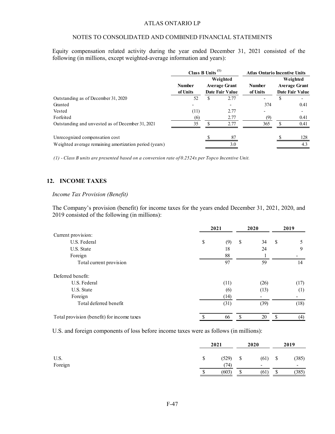# NOTES TO CONSOLIDATED AND COMBINED FINANCIAL STATEMENTS

Equity compensation related activity during the year ended December 31, 2021 consisted of the following (in millions, except weighted-average information and years):

|                                                        | Class B Units <sup>(1)</sup> |   |                                  | <b>Atlas Ontario Incentive Units</b> |  |                                  |  |
|--------------------------------------------------------|------------------------------|---|----------------------------------|--------------------------------------|--|----------------------------------|--|
|                                                        | <b>Number</b>                |   | Weighted<br><b>Average Grant</b> | <b>Number</b>                        |  | Weighted<br><b>Average Grant</b> |  |
|                                                        | of Units                     |   | Date Fair Value                  | of Units                             |  | Date Fair Value                  |  |
| Outstanding as of December 31, 2020                    | 52                           | S | 2.77                             |                                      |  |                                  |  |
| Granted                                                |                              |   |                                  | 374                                  |  | 0.41                             |  |
| Vested                                                 | (11)                         |   | 2.77                             | $\overline{\phantom{0}}$             |  |                                  |  |
| Forfeited                                              | (6)                          |   | 2.77                             | (9)                                  |  | 0.41                             |  |
| Outstanding and unvested as of December 31, 2021       | 35                           |   | 2.77                             | 365                                  |  | 0.41                             |  |
| Unrecognized compensation cost                         |                              |   | 87                               |                                      |  | 128                              |  |
| Weighted average remaining amortization period (years) |                              |   | 3.0                              |                                      |  | 4.3                              |  |

 *(1) - Class B units are presented based on a conversion rate of 0.2524x per Topco Incentive Unit.* 

# **12. INCOME TAXES**

# *Income Tax Provision (Benefit)*

The Company's provision (benefit) for income taxes for the years ended December 31, 2021, 2020, and 2019 consisted of the following (in millions):

|                                            | 2021      |    |      | 2019 |      |
|--------------------------------------------|-----------|----|------|------|------|
| Current provision:                         |           |    |      |      |      |
| U.S. Federal                               | \$<br>(9) | \$ | 34   | \$   | 5    |
| U.S. State                                 | 18        |    | 24   |      | 9    |
| Foreign                                    | 88        |    |      |      |      |
| Total current provision                    | 97        |    | 59   |      | 14   |
| Deferred benefit:                          |           |    |      |      |      |
| U.S. Federal                               | (11)      |    | (26) |      | (17) |
| U.S. State                                 | (6)       |    | (13) |      | (1)  |
| Foreign                                    | (14)      |    |      |      |      |
| Total deferred benefit                     | (31)      |    | (39) |      | (18) |
| Total provision (benefit) for income taxes | 66        | \$ | 20   |      | (4)  |

U.S. and foreign components of loss before income taxes were as follows (in millions):

|         | 2021    |       | 2020   |                          | 2019 |       |
|---------|---------|-------|--------|--------------------------|------|-------|
| U.S.    | ¢<br>Φ  | (529) | \$     | (61)                     | \$   | (385) |
| Foreign |         | (74)  |        | $\overline{\phantom{a}}$ |      | -     |
|         | ¢<br>۰D | (603) | ጦ<br>D | (61)                     | Φ    | (385) |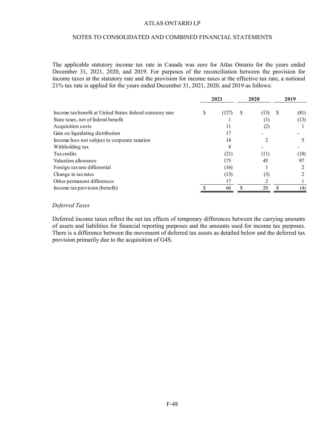# NOTES TO CONSOLIDATED AND COMBINED FINANCIAL STATEMENTS

The applicable statutory income tax rate in Canada was zero for Atlas Ontario for the years ended December 31, 2021, 2020, and 2019. For purposes of the reconciliation between the provision for income taxes at the statutory rate and the provision for income taxes at the effective tax rate, a notional 21% tax rate is applied for the years ended December 31, 2021, 2020, and 2019 as follows:

|                                                            | 2021 |       |   | 2020 |    | 2019 |  |
|------------------------------------------------------------|------|-------|---|------|----|------|--|
| Income tax benefit at United States federal statutory rate | S    | (127) | S | (13) | \$ | (81) |  |
| State taxes, net of federal benefit                        |      |       |   |      |    | (13) |  |
| Acquisition costs                                          |      | 11    |   | (2)  |    |      |  |
| Gain on liquidating distribution                           |      | 17    |   |      |    |      |  |
| Income/loss not subject to corporate taxation              |      | 14    |   |      |    |      |  |
| Withholding tax                                            |      | 8     |   |      |    |      |  |
| Tax credits                                                |      | (21)  |   | (11) |    | (18) |  |
| Valuation allowance                                        |      | 175   |   | 45   |    | 97   |  |
| Foreign tax rate differential                              |      | (16)  |   |      |    |      |  |
| Change in tax rates                                        |      | (13)  |   | (3)  |    |      |  |
| Other permanent differences                                |      | 17    |   |      |    |      |  |
| Income tax provision (benefit)                             |      | 66    |   | 20   |    | (4)  |  |

# *Deferred Taxes*

Deferred income taxes reflect the net tax effects of temporary differences between the carrying amounts of assets and liabilities for financial reporting purposes and the amounts used for income tax purposes. There is a difference between the movement of deferred tax assets as detailed below and the deferred tax provision primarily due to the acquisition of G4S.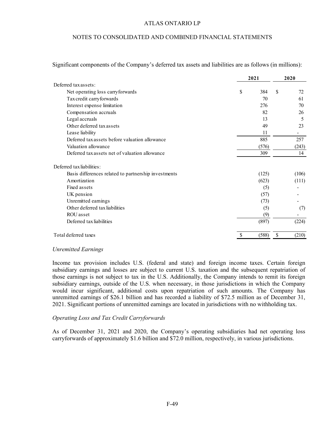# NOTES TO CONSOLIDATED AND COMBINED FINANCIAL STATEMENTS

Significant components of the Company's deferred tax assets and liabilities are as follows (in millions):

|                                                      | 2021        |    | 2020  |  |
|------------------------------------------------------|-------------|----|-------|--|
| Deferred tax assets:                                 |             |    |       |  |
| Net operating loss carryforwards                     | \$<br>384   | \$ | 72    |  |
| Tax credit carry forwards                            | 70          |    | 61    |  |
| Interest expense limitation                          | 276         |    | 70    |  |
| Compensation accruals                                | 82          |    | 26    |  |
| Legal accruals                                       | 13          |    | 5     |  |
| Other deferred tax assets                            | 49          |    | 23    |  |
| Lease liability                                      | 11          |    |       |  |
| Deferred taxassets before valuation allowance        | 885         |    | 257   |  |
| Valuation allowance                                  | (576)       |    | (243) |  |
| Deferred tax assets net of valuation allowance       | 309         |    | 14    |  |
| Deferred tax liabilities:                            |             |    |       |  |
| Basis differences related to partnership investments | (125)       |    | (106) |  |
| Amortization                                         | (623)       |    | (111) |  |
| Fixed assets                                         | (5)         |    |       |  |
| UK pension                                           | (57)        |    |       |  |
| Unremitted earnings                                  | (73)        |    |       |  |
| Other deferred tax liabilities                       | (5)         |    | (7)   |  |
| ROU asset                                            | (9)         |    |       |  |
| Deferred tax liabilities                             | (897)       |    | (224) |  |
| Total deferred taxes                                 | \$<br>(588) | \$ | (210) |  |

#### *Unremitted Earnings*

Income tax provision includes U.S. (federal and state) and foreign income taxes. Certain foreign subsidiary earnings and losses are subject to current U.S. taxation and the subsequent repatriation of those earnings is not subject to tax in the U.S. Additionally, the Company intends to remit its foreign subsidiary earnings, outside of the U.S. when necessary, in those jurisdictions in which the Company would incur significant, additional costs upon repatriation of such amounts. The Company has unremitted earnings of \$26.1 billion and has recorded a liability of \$72.5 million as of December 31, 2021. Significant portions of unremitted earnings are located in jurisdictions with no withholding tax.

#### *Operating Loss and Tax Credit Carryforwards*

As of December 31, 2021 and 2020, the Company's operating subsidiaries had net operating loss carryforwards of approximately \$1.6 billion and \$72.0 million, respectively, in various jurisdictions.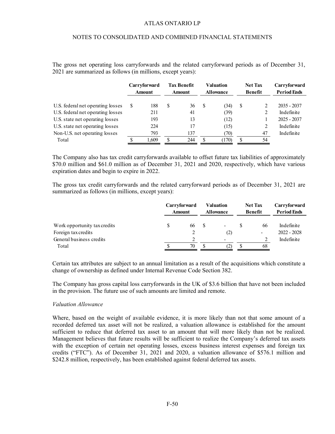# NOTES TO CONSOLIDATED AND COMBINED FINANCIAL STATEMENTS

The gross net operating loss carryforwards and the related carryforward periods as of December 31, 2021 are summarized as follows (in millions, except years):

|                                   | Carryforward<br><b>Amount</b> |    | <b>Tax Benefit</b><br><b>Amount</b> |    |       |   | Valuation<br><b>Allowance</b> |               |  |  | <b>Net Tax</b><br><b>Benefit</b> | Carryforward<br><b>Period Ends</b> |  |
|-----------------------------------|-------------------------------|----|-------------------------------------|----|-------|---|-------------------------------|---------------|--|--|----------------------------------|------------------------------------|--|
| U.S. federal net operating losses | 188                           | \$ | 36                                  | -S | (34)  | S |                               | $2035 - 2037$ |  |  |                                  |                                    |  |
| U.S. federal net operating losses | 211                           |    | 41                                  |    | (39)  |   |                               | Indefinite    |  |  |                                  |                                    |  |
| U.S. state net operating losses   | 193                           |    | 13                                  |    | (12)  |   |                               | $2025 - 2037$ |  |  |                                  |                                    |  |
| U.S. state net operating losses   | 224                           |    | 17                                  |    | (15)  |   |                               | Indefinite    |  |  |                                  |                                    |  |
| Non-U.S. net operating losses     | 793                           |    | 137                                 |    | (70)  |   | 47                            | Indefinite    |  |  |                                  |                                    |  |
| Total                             | 1.609                         | S  | 244                                 | S  | (170) |   | 54                            |               |  |  |                                  |                                    |  |

The Company also has tax credit carryforwards available to offset future tax liabilities of approximately \$70.0 million and \$61.0 million as of December 31, 2021 and 2020, respectively, which have various expiration dates and begin to expire in 2022.

The gross tax credit carryforwards and the related carryforward periods as of December 31, 2021 are summarized as follows (in millions, except years):

|                              | Carryforward<br><b>Amount</b> |    | Valuation<br><b>Allowance</b> |                | <b>Net Tax</b><br><b>Benefit</b> |                          | Carryforward<br><b>Period Ends</b> |  |
|------------------------------|-------------------------------|----|-------------------------------|----------------|----------------------------------|--------------------------|------------------------------------|--|
| Work opportunity tax credits |                               | 66 |                               | $\blacksquare$ |                                  | 66                       | Indefinite                         |  |
| Foreign tax credits          |                               |    |                               | (2)            |                                  | $\overline{\phantom{0}}$ | $2022 - 2028$                      |  |
| General business credits     |                               |    |                               |                |                                  |                          | Indefinite                         |  |
| Total                        |                               | 70 |                               | (2)            |                                  | 68                       |                                    |  |

Certain tax attributes are subject to an annual limitation as a result of the acquisitions which constitute a change of ownership as defined under Internal Revenue Code Section 382.

The Company has gross capital loss carryforwards in the UK of \$3.6 billion that have not been included in the provision. The future use of such amounts are limited and remote.

# *Valuation Allowance*

Where, based on the weight of available evidence, it is more likely than not that some amount of a recorded deferred tax asset will not be realized, a valuation allowance is established for the amount sufficient to reduce that deferred tax asset to an amount that will more likely than not be realized. Management believes that future results will be sufficient to realize the Company's deferred tax assets with the exception of certain net operating losses, excess business interest expenses and foreign tax credits ("FTC"). As of December 31, 2021 and 2020, a valuation allowance of \$576.1 million and \$242.8 million, respectively, has been established against federal deferred tax assets.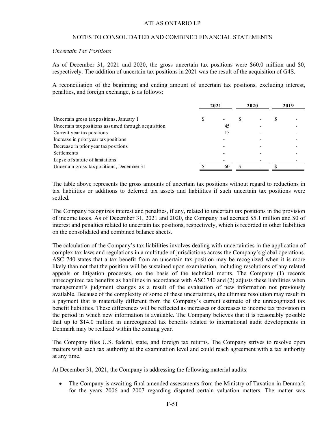## NOTES TO CONSOLIDATED AND COMBINED FINANCIAL STATEMENTS

# *Uncertain Tax Positions*

As of December 31, 2021 and 2020, the gross uncertain tax positions were \$60.0 million and \$0, respectively. The addition of uncertain tax positions in 2021 was the result of the acquisition of G4S.

A reconciliation of the beginning and ending amount of uncertain tax positions, excluding interest, penalties, and foreign exchange, is as follows:

|                                                     | 2021 |    | 2020 |  | 2019 |  |
|-----------------------------------------------------|------|----|------|--|------|--|
|                                                     |      |    |      |  |      |  |
| Uncertain gross taxpositions, January 1             |      |    |      |  |      |  |
| Uncertain tax positions assumed through acquisition |      | 45 |      |  |      |  |
| Current year tax positions                          |      | 15 |      |  |      |  |
| Increase in prior year tax positions                |      |    |      |  |      |  |
| Decrease in prior year tax positions                |      |    |      |  |      |  |
| <b>Settlements</b>                                  |      |    |      |  |      |  |
| Lapse of statute of limitations                     |      |    |      |  |      |  |
| Uncertain gross taxpositions, December 31           |      | 60 |      |  |      |  |

The table above represents the gross amounts of uncertain tax positions without regard to reductions in tax liabilities or additions to deferred tax assets and liabilities if such uncertain tax positions were settled.

The Company recognizes interest and penalties, if any, related to uncertain tax positions in the provision of income taxes. As of December 31, 2021 and 2020, the Company had accrued \$5.1 million and \$0 of interest and penalties related to uncertain tax positions, respectively, which is recorded in other liabilities on the consolidated and combined balance sheets.

The calculation of the Company's tax liabilities involves dealing with uncertainties in the application of complex tax laws and regulations in a multitude of jurisdictions across the Company's global operations. ASC 740 states that a tax benefit from an uncertain tax position may be recognized when it is more likely than not that the position will be sustained upon examination, including resolutions of any related appeals or litigation processes, on the basis of the technical merits. The Company (1) records unrecognized tax benefits as liabilities in accordance with ASC 740 and (2) adjusts these liabilities when management's judgment changes as a result of the evaluation of new information not previously available. Because of the complexity of some of these uncertainties, the ultimate resolution may result in a payment that is materially different from the Company's current estimate of the unrecognized tax benefit liabilities. These differences will be reflected as increases or decreases to income tax provision in the period in which new information is available. The Company believes that it is reasonably possible that up to \$14.0 million in unrecognized tax benefits related to international audit developments in Denmark may be realized within the coming year.

The Company files U.S. federal, state, and foreign tax returns. The Company strives to resolve open matters with each tax authority at the examination level and could reach agreement with a tax authority at any time.

At December 31, 2021, the Company is addressing the following material audits:

• The Company is awaiting final amended assessments from the Ministry of Taxation in Denmark for the years 2006 and 2007 regarding disputed certain valuation matters. The matter was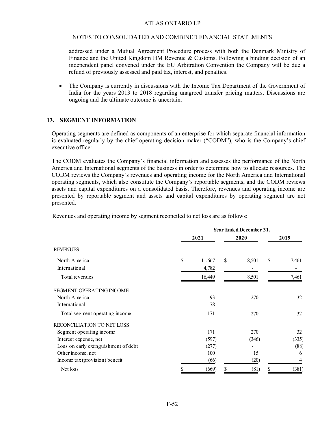# NOTES TO CONSOLIDATED AND COMBINED FINANCIAL STATEMENTS

addressed under a Mutual Agreement Procedure process with both the Denmark Ministry of Finance and the United Kingdom HM Revenue & Customs. Following a binding decision of an independent panel convened under the EU Arbitration Convention the Company will be due a refund of previously assessed and paid tax, interest, and penalties.

• The Company is currently in discussions with the Income Tax Department of the Government of India for the years 2013 to 2018 regarding unagreed transfer pricing matters. Discussions are ongoing and the ultimate outcome is uncertain.

# **13. SEGMENT INFORMATION**

Operating segments are defined as components of an enterprise for which separate financial information is evaluated regularly by the chief operating decision maker ("CODM"), who is the Company's chief executive officer.

The CODM evaluates the Company's financial information and assesses the performance of the North America and International segments of the business in order to determine how to allocate resources. The CODM reviews the Company's revenues and operating income for the North America and International operating segments, which also constitute the Company's reportable segments, and the CODM reviews assets and capital expenditures on a consolidated basis. Therefore, revenues and operating income are presented by reportable segment and assets and capital expenditures by operating segment are not presented.

Revenues and operating income by segment reconciled to net loss are as follows:

|                                      | Year Ended December 31, |        |    |       |    |       |  |  |
|--------------------------------------|-------------------------|--------|----|-------|----|-------|--|--|
|                                      |                         | 2021   |    |       |    | 2019  |  |  |
| <b>REVENUES</b>                      |                         |        |    |       |    |       |  |  |
| North America                        | \$                      | 11,667 | \$ | 8,501 | \$ | 7,461 |  |  |
| International                        |                         | 4,782  |    |       |    |       |  |  |
| Total revenues                       |                         | 16,449 |    | 8,501 |    | 7,461 |  |  |
| <b>SEGMENT OPERATING INCOME</b>      |                         |        |    |       |    |       |  |  |
| North America                        |                         | 93     |    | 270   |    | 32    |  |  |
| International                        |                         | 78     |    |       |    |       |  |  |
| Total segment operating income       |                         | 171    |    | 270   |    | 32    |  |  |
| RECONCILIATION TO NET LOSS           |                         |        |    |       |    |       |  |  |
| Segment operating income             |                         | 171    |    | 270   |    | 32    |  |  |
| Interest expense, net                |                         | (597)  |    | (346) |    | (335) |  |  |
| Loss on early extinguishment of debt |                         | (277)  |    |       |    | (88)  |  |  |
| Other income, net                    |                         | 100    |    | 15    |    | 6     |  |  |
| Income tax (provision) benefit       |                         | (66)   |    | (20)  |    | 4     |  |  |
| Net loss                             |                         | (669)  | \$ | (81)  | \$ | (381) |  |  |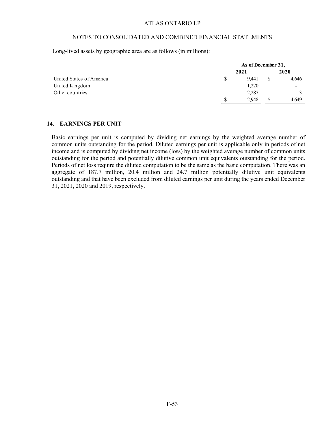# NOTES TO CONSOLIDATED AND COMBINED FINANCIAL STATEMENTS

Long-lived assets by geographic area are as follows (in millions):

|                          | As of December 31, |      |       |  |  |
|--------------------------|--------------------|------|-------|--|--|
|                          | 2021               | 2020 |       |  |  |
| United States of America | \$<br>9.441        |      | 4,646 |  |  |
| United Kingdom           | 1,220              |      |       |  |  |
| Other countries          | 2,287              |      |       |  |  |
|                          | 12.948             |      | 4,649 |  |  |
|                          |                    |      |       |  |  |

# **14. EARNINGS PER UNIT**

Basic earnings per unit is computed by dividing net earnings by the weighted average number of common units outstanding for the period. Diluted earnings per unit is applicable only in periods of net income and is computed by dividing net income (loss) by the weighted average number of common units outstanding for the period and potentially dilutive common unit equivalents outstanding for the period. Periods of net loss require the diluted computation to be the same as the basic computation. There was an aggregate of 187.7 million, 20.4 million and 24.7 million potentially dilutive unit equivalents outstanding and that have been excluded from diluted earnings per unit during the years ended December 31, 2021, 2020 and 2019, respectively.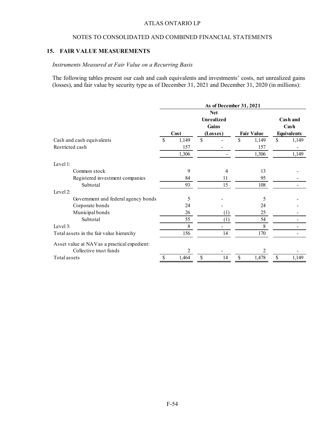# NOTES TO CONSOLIDATED AND COMBINED FINANCIAL STATEMENTS

## **15. FAIR VALUE MEASUREMENTS**

# *Instruments Measured at Fair Value on a Recurring Basis*

The following tables present our cash and cash equivalents and investments' costs, net unrealized gains (losses), and fair value by security type as of December 31, 2021 and December 31, 2020 (in millions):

|                                              | As of December 31, 2021 |       |                                                   |                  |                                  |       |    |       |  |  |
|----------------------------------------------|-------------------------|-------|---------------------------------------------------|------------------|----------------------------------|-------|----|-------|--|--|
|                                              |                         | Cost  | Cash and<br>$\mathbf{Cash}$<br><b>Equivalents</b> |                  |                                  |       |    |       |  |  |
| Cash and cash equivalents                    | S                       | 1,149 | \$                                                | (Losses)         | <b>Fair Value</b><br>\$<br>1,149 |       | \$ | 1,149 |  |  |
| Restricted cash                              |                         | 157   |                                                   |                  |                                  | 157   |    |       |  |  |
|                                              |                         | 1,306 |                                                   |                  |                                  | 1,306 |    | 1,149 |  |  |
| Level 1:                                     |                         |       |                                                   |                  |                                  |       |    |       |  |  |
| Common stock                                 |                         | 9     |                                                   | 4                |                                  | 13    |    |       |  |  |
| Registered investment companies              |                         | 84    |                                                   | 11               |                                  | 95    |    |       |  |  |
| Subtotal                                     |                         | 93    |                                                   | 15               |                                  | 108   |    |       |  |  |
| Level 2:                                     |                         |       |                                                   |                  |                                  |       |    |       |  |  |
| Government and federal agency bonds          |                         | 5     |                                                   |                  |                                  | 5     |    |       |  |  |
| Corporate bonds                              |                         | 24    |                                                   |                  |                                  | 24    |    |       |  |  |
| Municipal bonds                              |                         | 26    |                                                   | (1)              |                                  | 25    |    |       |  |  |
| Subtotal                                     |                         | 55    |                                                   | $\left(1\right)$ |                                  | 54    |    |       |  |  |
| Level $3:$                                   |                         | 8     |                                                   |                  |                                  | 8     |    |       |  |  |
| Total assets in the fair value hierarchy     |                         | 156   |                                                   | 14               |                                  | 170   |    |       |  |  |
| Asset value at NAV as a practical expedient: |                         |       |                                                   |                  |                                  |       |    |       |  |  |
| Collective trust funds                       |                         | 2     |                                                   |                  |                                  | 2     |    |       |  |  |
| Total assets                                 |                         | 1,464 | \$                                                | 14               | \$                               | 1,478 | \$ | 1,149 |  |  |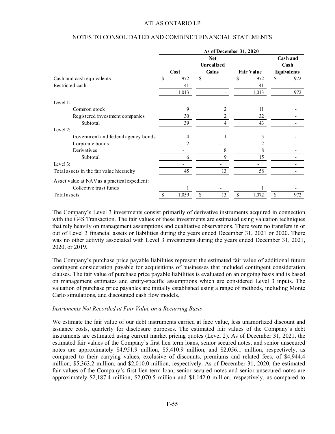|                                              |     |                                 |    | As of December 31, 2020 |    |                   |    |                             |
|----------------------------------------------|-----|---------------------------------|----|-------------------------|----|-------------------|----|-----------------------------|
|                                              |     | <b>Net</b><br><b>Unrealized</b> |    |                         |    |                   |    | Cash and<br>$\mathbf{Cash}$ |
|                                              |     | Cost                            |    | Gains                   |    | <b>Fair Value</b> |    | <b>Equivalents</b>          |
| Cash and cash equivalents                    | \$. | 972                             | \$ |                         | \$ | 972               | \$ | 972                         |
| Restricted cash                              |     | 41                              |    |                         |    | 41                |    |                             |
|                                              |     | 1,013                           |    |                         |    | 1,013             |    | 972                         |
| Level 1:                                     |     |                                 |    |                         |    |                   |    |                             |
| Common stock                                 |     | 9                               |    | 2                       |    | 11                |    |                             |
| Registered investment companies              |     | 30                              |    |                         |    | 32                |    |                             |
| Subtotal                                     |     | 39                              |    | 4                       |    | 43                |    |                             |
| Level 2:                                     |     |                                 |    |                         |    |                   |    |                             |
| Government and federal agency bonds          |     | 4                               |    |                         |    |                   |    |                             |
| Corporate bonds                              |     | $\mathfrak{D}$                  |    |                         |    | 2                 |    |                             |
| Derivatives                                  |     |                                 |    | 8                       |    | 8                 |    |                             |
| Subtotal                                     |     | 6                               |    | 9                       |    | 15                |    |                             |
| Level $3:$                                   |     |                                 |    |                         |    |                   |    |                             |
| Total assets in the fair value hierarchy     |     | 45                              |    | 13                      |    | 58                |    |                             |
| Asset value at NAV as a practical expedient: |     |                                 |    |                         |    |                   |    |                             |
| Collective trust funds                       |     |                                 |    |                         |    |                   |    |                             |
| Total assets                                 |     | 1,059                           | S  | 13                      | \$ | 1,072             | \$ | 972                         |

# NOTES TO CONSOLIDATED AND COMBINED FINANCIAL STATEMENTS

The Company's Level 3 investments consist primarily of derivative instruments acquired in connection with the G4S Transaction. The fair values of these investments are estimated using valuation techniques that rely heavily on management assumptions and qualitative observations. There were no transfers in or out of Level 3 financial assets or liabilities during the years ended December 31, 2021 or 2020. There was no other activity associated with Level 3 investments during the years ended December 31, 2021, 2020, or 2019.

The Company's purchase price payable liabilities represent the estimated fair value of additional future contingent consideration payable for acquisitions of businesses that included contingent consideration clauses. The fair value of purchase price payable liabilities is evaluated on an ongoing basis and is based on management estimates and entity-specific assumptions which are considered Level 3 inputs. The valuation of purchase price payables are initially established using a range of methods, including Monte Carlo simulations, and discounted cash flow models.

#### *Instruments Not Recorded at Fair Value on a Recurring Basis*

We estimate the fair value of our debt instruments carried at face value, less unamortized discount and issuance costs, quarterly for disclosure purposes. The estimated fair values of the Company's debt instruments are estimated using current market pricing quotes (Level 2). As of December 31, 2021, the estimated fair values of the Company's first lien term loans, senior secured notes, and senior unsecured notes are approximately \$4,951.9 million, \$5,410.9 million, and \$2,056.1 million, respectively, as compared to their carrying values, exclusive of discounts, premiums and related fees, of \$4,944.4 million, \$5,363.2 million, and \$2,010.0 million, respectively. As of December 31, 2020, the estimated fair values of the Company's first lien term loan, senior secured notes and senior unsecured notes are approximately \$2,187.4 million, \$2,070.5 million and \$1,142.0 million, respectively, as compared to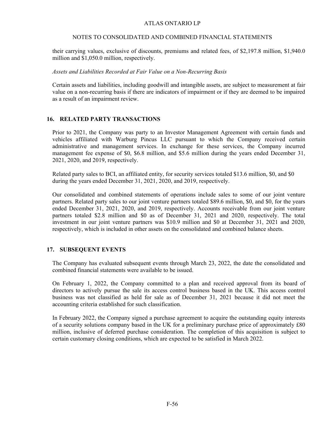# NOTES TO CONSOLIDATED AND COMBINED FINANCIAL STATEMENTS

their carrying values, exclusive of discounts, premiums and related fees, of \$2,197.8 million, \$1,940.0 million and \$1,050.0 million, respectively.

*Assets and Liabilities Recorded at Fair Value on a Non-Recurring Basis* 

Certain assets and liabilities, including goodwill and intangible assets, are subject to measurement at fair value on a non-recurring basis if there are indicators of impairment or if they are deemed to be impaired as a result of an impairment review.

# **16. RELATED PARTY TRANSACTIONS**

Prior to 2021, the Company was party to an Investor Management Agreement with certain funds and vehicles affiliated with Warburg Pincus LLC pursuant to which the Company received certain administrative and management services. In exchange for these services, the Company incurred management fee expense of \$0, \$6.8 million, and \$5.6 million during the years ended December 31, 2021, 2020, and 2019, respectively.

Related party sales to BCI, an affiliated entity, for security services totaled \$13.6 million, \$0, and \$0 during the years ended December 31, 2021, 2020, and 2019, respectively.

Our consolidated and combined statements of operations include sales to some of our joint venture partners. Related party sales to our joint venture partners totaled \$89.6 million, \$0, and \$0, for the years ended December 31, 2021, 2020, and 2019, respectively. Accounts receivable from our joint venture partners totaled \$2.8 million and \$0 as of December 31, 2021 and 2020, respectively. The total investment in our joint venture partners was \$10.9 million and \$0 at December 31, 2021 and 2020, respectively, which is included in other assets on the consolidated and combined balance sheets.

# **17. SUBSEQUENT EVENTS**

The Company has evaluated subsequent events through March 23, 2022, the date the consolidated and combined financial statements were available to be issued.

On February 1, 2022, the Company committed to a plan and received approval from its board of directors to actively pursue the sale its access control business based in the UK. This access control business was not classified as held for sale as of December 31, 2021 because it did not meet the accounting criteria established for such classification.

In February 2022, the Company signed a purchase agreement to acquire the outstanding equity interests of a security solutions company based in the UK for a preliminary purchase price of approximately £80 million, inclusive of deferred purchase consideration. The completion of this acquisition is subject to certain customary closing conditions, which are expected to be satisfied in March 2022.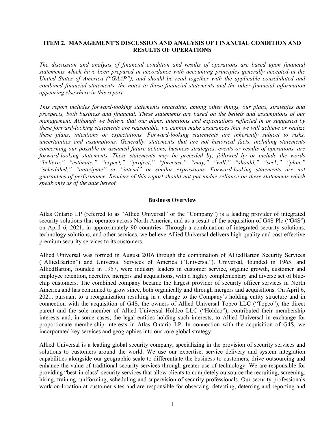# **ITEM 2. MANAGEMENT'S DISCUSSION AND ANALYSIS OF FINANCIAL CONDITION AND RESULTS OF OPERATIONS**

appearing elsewhere in this report. *The discussion and analysis of financial condition and results of operations are based upon financial statements which have been prepared in accordance with accounting principles generally accepted in the United States of America ("GAAP"), and should be read together with the applicable consolidated and combined financial statements, the notes to those financial statements and the other financial information* 

*appearing elsewhere in this report. This report includes forward-looking statements regarding, among other things, our plans, strategies and prospects, both business and financial. These statements are based on the beliefs and assumptions of our management. Although we believe that our plans, intentions and expectations reflected in or suggested by these forward-looking statements are reasonable, we cannot make assurances that we will achieve or realize these plans, intentions or expectations. Forward-looking statements are inherently subject to risks, uncertainties and assumptions. Generally, statements that are not historical facts, including statements concerning our possible or assumed future actions, business strategies, events or results of operations, are forward-looking statements. These statements may be preceded by, followed by or include the words "believe," "estimate," "expect," "project," "forecast," "may," "will," "should," "seek," "plan," "scheduled," "anticipate" or "intend" or similar expressions. Forward-looking statements are not guarantees of performance. Readers of this report should not put undue reliance on these statements which speak only as of the date hereof.* 

#### **Business Overview**

Atlas Ontario LP (referred to as "Allied Universal" or the "Company") is a leading provider of integrated security solutions that operates across North America, and as a result of the acquisition of G4S Plc ("G4S") on April 6, 2021, in approximately 90 countries. Through a combination of integrated security solutions, technology solutions, and other services, we believe Allied Universal delivers high-quality and cost-effective premium security services to its customers.

Allied Universal was formed in August 2016 through the combination of AlliedBarton Security Services ("AlliedBarton") and Universal Services of America ("Universal"). Universal, founded in 1965, and AlliedBarton, founded in 1957, were industry leaders in customer service, organic growth, customer and employee retention, accretive mergers and acquisitions, with a highly complementary and diverse set of bluechip customers. The combined company became the largest provider of security officer services in North America and has continued to grow since, both organically and through mergers and acquisitions. On April 6, 2021, pursuant to a reorganization resulting in a change to the Company's holding entity structure and in connection with the acquisition of G4S, the owners of Allied Universal Topco LLC ("Topco"), the direct parent and the sole member of Allied Universal Holdco LLC ("Holdco"), contributed their membership interests and, in some cases, the legal entities holding such interests, to Allied Universal in exchange for proportionate membership interests in Atlas Ontario LP. In connection with the acquisition of G4S, we incorporated key services and geographies into our core global strategy.

Allied Universal is a leading global security company, specializing in the provision of security services and solutions to customers around the world. We use our expertise, service delivery and system integration capabilities alongside our geographic scale to differentiate the business to customers, drive outsourcing and enhance the value of traditional security services through greater use of technology. We are responsible for providing "best-in-class" security services that allow clients to completely outsource the recruiting, screening, hiring, training, uniforming, scheduling and supervision of security professionals. Our security professionals work on-location at customer sites and are responsible for observing, detecting, deterring and reporting and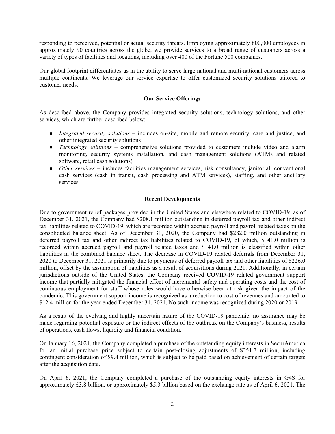responding to perceived, potential or actual security threats. Employing approximately 800,000 employees in approximately 90 countries across the globe, we provide services to a broad range of customers across a variety of types of facilities and locations, including over 400 of the Fortune 500 companies.

Our global footprint differentiates us in the ability to serve large national and multi-national customers across multiple continents. We leverage our service expertise to offer customized security solutions tailored to customer needs.

## **Our Service Offerings**

As described above, the Company provides integrated security solutions, technology solutions, and other services, which are further described below:

- *Integrated security solutions* includes on-site, mobile and remote security, care and justice, and other integrated security solutions
- *Technology solutions* comprehensive solutions provided to customers include video and alarm monitoring, security systems installation, and cash management solutions (ATMs and related software, retail cash solutions)
- *Other services* includes facilities management services, risk consultancy, janitorial, conventional cash services (cash in transit, cash processing and ATM services), staffing, and other ancillary services

# **Recent Developments**

 liabilities in the combined balance sheet. The decrease in COVID-19 related deferrals from December 31, pandemic. This government support income is recognized as a reduction to cost of revenues and amounted to Due to government relief packages provided in the United States and elsewhere related to COVID-19, as of December 31, 2021, the Company had \$208.1 million outstanding in deferred payroll tax and other indirect tax liabilities related to COVID-19, which are recorded within accrued payroll and payroll related taxes on the consolidated balance sheet. As of December 31, 2020, the Company had \$282.0 million outstanding in deferred payroll tax and other indirect tax liabilities related to COVID-19, of which, \$141.0 million is recorded within accrued payroll and payroll related taxes and \$141.0 million is classified within other 2020 to December 31, 2021 is primarily due to payments of deferred payroll tax and other liabilities of \$226.0 million, offset by the assumption of liabilities as a result of acquisitions during 2021. Additionally, in certain jurisdictions outside of the United States, the Company received COVID-19 related government support income that partially mitigated the financial effect of incremental safety and operating costs and the cost of continuous employment for staff whose roles would have otherwise been at risk given the impact of the \$12.4 million for the year ended December 31, 2021. No such income was recognized during 2020 or 2019.

As a result of the evolving and highly uncertain nature of the COVID-19 pandemic, no assurance may be made regarding potential exposure or the indirect effects of the outbreak on the Company's business, results of operations, cash flows, liquidity and financial condition.

On January 16, 2021, the Company completed a purchase of the outstanding equity interests in SecurAmerica for an initial purchase price subject to certain post-closing adjustments of \$351.7 million, including contingent consideration of \$9.4 million, which is subject to be paid based on achievement of certain targets after the acquisition date.

On April 6, 2021, the Company completed a purchase of the outstanding equity interests in G4S for approximately £3.8 billion, or approximately \$5.3 billion based on the exchange rate as of April 6, 2021. The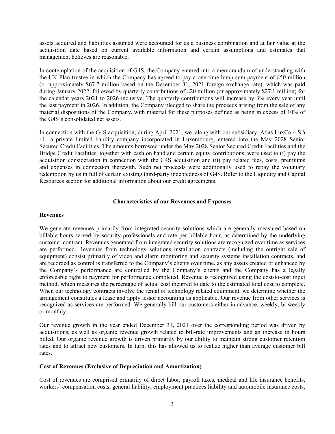assets acquired and liabilities assumed were accounted for as a business combination and at fair value at the acquisition date based on current available information and certain assumptions and estimates that management believes are reasonable.

In contemplation of the acquisition of G4S, the Company entered into a memorandum of understanding with the UK Plan trustee in which the Company has agreed to pay a one-time lump sum payment of £50 million (or approximately \$67.7 million based on the December 31, 2021 foreign exchange rate), which was paid during January 2022, followed by quarterly contributions of £20 million (or approximately \$27.1 million) for the calendar years 2021 to 2026 inclusive. The quarterly contributions will increase by 3% every year until the last payment in 2026. In addition, the Company pledged to share the proceeds arising from the sale of any material dispositions of the Company, with material for these purposes defined as being in excess of 10% of the G4S's consolidated net assets.

In connection with the G4S acquisition, during April 2021, we, along with our subsidiary, Atlas LuxCo 4 S.à r.l., a private limited liability company incorporated in Luxembourg, entered into the May 2028 Senior Secured Credit Facilities. The amounts borrowed under the May 2028 Senior Secured Credit Facilities and the Bridge Credit Facilities, together with cash on hand and certain equity contributions, were used to (i) pay the acquisition consideration in connection with the G4S acquisition and (ii) pay related fees, costs, premiums and expenses in connection therewith. Such net proceeds were additionally used to repay the voluntary redemption by us in full of certain existing third-party indebtedness of G4S. Refer to the Liquidity and Capital Resources section for additional information about our credit agreements.

#### **Characteristics of our Revenues and Expenses**

#### **Revenues**

or monthly. We generate revenues primarily from integrated security solutions which are generally measured based on billable hours served by security professionals and rate per billable hour, as determined by the underlying customer contract. Revenues generated from integrated security solutions are recognized over time as services are performed. Revenues from technology solutions installation contracts (including the outright sale of equipment) consist primarily of video and alarm monitoring and security systems installation contracts, and are recorded as control is transferred to the Company's clients over time, as any assets created or enhanced by the Company's performance are controlled by the Company's clients and the Company has a legally enforceable right to payment for performance completed. Revenue is recognized using the cost-to-cost input method, which measures the percentage of actual cost incurred to date to the estimated total cost to complete. When our technology contracts involve the rental of technology related equipment, we determine whether the arrangement constitutes a lease and apply lessor accounting as applicable. Our revenue from other services is recognized as services are performed. We generally bill our customers either in advance, weekly, bi-weekly

Our revenue growth in the year ended December 31, 2021 over the corresponding period was driven by acquisitions, as well as organic revenue growth related to bill-rate improvements and an increase in hours billed. Our organic revenue growth is driven primarily by our ability to maintain strong customer retention rates and to attract new customers. In turn, this has allowed us to realize higher than average customer bill rates.

#### **Cost of Revenues (Exclusive of Depreciation and Amortization)**

Cost of revenues are comprised primarily of direct labor, payroll taxes, medical and life insurance benefits, workers' compensation costs, general liability, employment practices liability and automobile insurance costs,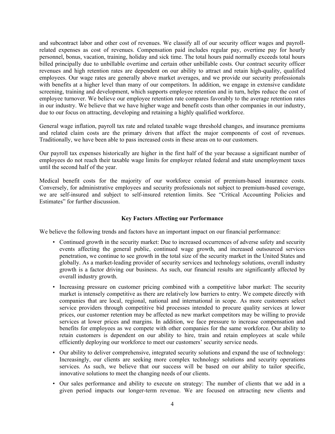and subcontract labor and other cost of revenues. We classify all of our security officer wages and payrollrelated expenses as cost of revenues. Compensation paid includes regular pay, overtime pay for hourly personnel, bonus, vacation, training, holiday and sick time. The total hours paid normally exceeds total hours billed principally due to unbillable overtime and certain other unbillable costs. Our contract security officer revenues and high retention rates are dependent on our ability to attract and retain high-quality, qualified employees. Our wage rates are generally above market averages, and we provide our security professionals with benefits at a higher level than many of our competitors. In addition, we engage in extensive candidate screening, training and development, which supports employee retention and in turn, helps reduce the cost of employee turnover. We believe our employee retention rate compares favorably to the average retention rates in our industry. We believe that we have higher wage and benefit costs than other companies in our industry, due to our focus on attracting, developing and retaining a highly qualified workforce.

General wage inflation, payroll tax rate and related taxable wage threshold changes, and insurance premiums and related claim costs are the primary drivers that affect the major components of cost of revenues. Traditionally, we have been able to pass increased costs in these areas on to our customers.

Our payroll tax expenses historically are higher in the first half of the year because a significant number of employees do not reach their taxable wage limits for employer related federal and state unemployment taxes until the second half of the year.

Medical benefit costs for the majority of our workforce consist of premium-based insurance costs. Conversely, for administrative employees and security professionals not subject to premium-based coverage, we are self-insured and subject to self-insured retention limits. See "Critical Accounting Policies and Estimates" for further discussion.

# **Key Factors Affecting our Performance**

We believe the following trends and factors have an important impact on our financial performance:

- Continued growth in the security market: Due to increased occurrences of adverse safety and security events affecting the general public, continued wage growth, and increased outsourced services penetration, we continue to see growth in the total size of the security market in the United States and globally. As a market-leading provider of security services and technology solutions, overall industry growth is a factor driving our business. As such, our financial results are significantly affected by overall industry growth.
- Increasing pressure on customer pricing combined with a competitive labor market: The security market is intensely competitive as there are relatively low barriers to entry. We compete directly with companies that are local, regional, national and international in scope. As more customers select service providers through competitive bid processes intended to procure quality services at lower prices, our customer retention may be affected as new market competitors may be willing to provide services at lower prices and margins. In addition, we face pressure to increase compensation and benefits for employees as we compete with other companies for the same workforce. Our ability to retain customers is dependent on our ability to hire, train and retain employees at scale while efficiently deploying our workforce to meet our customers' security service needs.
- Our ability to deliver comprehensive, integrated security solutions and expand the use of technology: Increasingly, our clients are seeking more complex technology solutions and security operations services. As such, we believe that our success will be based on our ability to tailor specific, innovative solutions to meet the changing needs of our clients.
- Our sales performance and ability to execute on strategy: The number of clients that we add in a given period impacts our longer-term revenue. We are focused on attracting new clients and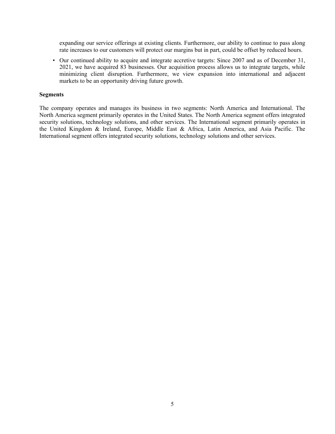expanding our service offerings at existing clients. Furthermore, our ability to continue to pass along rate increases to our customers will protect our margins but in part, could be offset by reduced hours.

• Our continued ability to acquire and integrate accretive targets: Since 2007 and as of December 31, 2021, we have acquired 83 businesses. Our acquisition process allows us to integrate targets, while minimizing client disruption. Furthermore, we view expansion into international and adjacent markets to be an opportunity driving future growth.

#### **Segments**

The company operates and manages its business in two segments: North America and International. The North America segment primarily operates in the United States. The North America segment offers integrated security solutions, technology solutions, and other services. The International segment primarily operates in the United Kingdom & Ireland, Europe, Middle East & Africa, Latin America, and Asia Pacific. The International segment offers integrated security solutions, technology solutions and other services.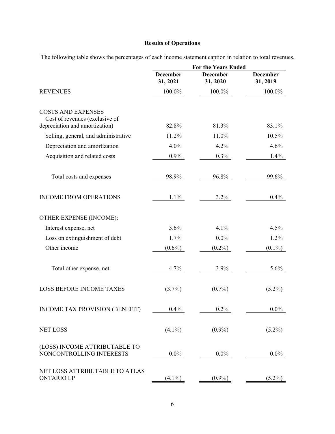# **Results of Operations**

The following table shows the percentages of each income statement caption in relation to total revenues.

|                                                             | <b>For the Years Ended</b>  |                             |                             |  |  |  |  |  |  |
|-------------------------------------------------------------|-----------------------------|-----------------------------|-----------------------------|--|--|--|--|--|--|
|                                                             | <b>December</b><br>31, 2021 | <b>December</b><br>31, 2020 | <b>December</b><br>31, 2019 |  |  |  |  |  |  |
| <b>REVENUES</b>                                             | 100.0%                      | 100.0%                      | 100.0%                      |  |  |  |  |  |  |
| <b>COSTS AND EXPENSES</b><br>Cost of revenues (exclusive of |                             |                             |                             |  |  |  |  |  |  |
| depreciation and amortization)                              | 82.8%                       | 81.3%                       | 83.1%                       |  |  |  |  |  |  |
| Selling, general, and administrative                        | 11.2%                       | 11.0%                       | 10.5%                       |  |  |  |  |  |  |
| Depreciation and amortization                               | 4.0%                        | 4.2%                        | 4.6%                        |  |  |  |  |  |  |
| Acquisition and related costs                               | $0.9\%$                     | $0.3\%$                     | 1.4%                        |  |  |  |  |  |  |
| Total costs and expenses                                    | 98.9%                       | 96.8%                       | 99.6%                       |  |  |  |  |  |  |
| <b>INCOME FROM OPERATIONS</b>                               | 1.1%                        | $3.2\%$                     | 0.4%                        |  |  |  |  |  |  |
| OTHER EXPENSE (INCOME):                                     |                             |                             |                             |  |  |  |  |  |  |
| Interest expense, net                                       | 3.6%                        | 4.1%                        | 4.5%                        |  |  |  |  |  |  |
| Loss on extinguishment of debt                              | 1.7%                        | $0.0\%$                     | 1.2%                        |  |  |  |  |  |  |
| Other income                                                | $(0.6\%)$                   | $(0.2\%)$                   | $(0.1\%)$                   |  |  |  |  |  |  |
| Total other expense, net                                    | 4.7%                        | $3.9\%$                     | 5.6%                        |  |  |  |  |  |  |
| <b>LOSS BEFORE INCOME TAXES</b>                             | $(3.7\%)$                   | $(0.7\%)$                   | $(5.2\%)$                   |  |  |  |  |  |  |
| <b>INCOME TAX PROVISION (BENEFIT)</b>                       | 0.4%                        | 0.2%                        | $0.0\%$                     |  |  |  |  |  |  |
| <b>NET LOSS</b>                                             | $(4.1\%)$                   | $(0.9\%)$                   | $(5.2\%)$                   |  |  |  |  |  |  |
| (LOSS) INCOME ATTRIBUTABLE TO<br>NONCONTROLLING INTERESTS   | $0.0\%$                     | $0.0\%$                     | $0.0\%$                     |  |  |  |  |  |  |
| NET LOSS ATTRIBUTABLE TO ATLAS<br><b>ONTARIOLP</b>          | $(4.1\%)$                   | $(0.9\%)$                   | $(5.2\%)$                   |  |  |  |  |  |  |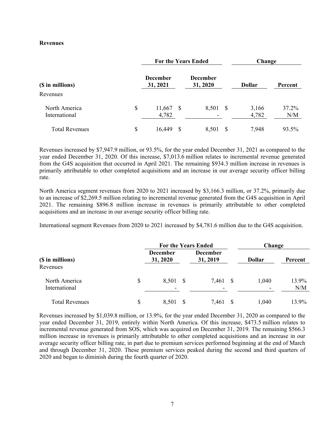## **Revenues**

|                                |    |                             |               | <b>For the Years Ended</b>  |    | Change         |              |  |
|--------------------------------|----|-----------------------------|---------------|-----------------------------|----|----------------|--------------|--|
| (\$ in millions)               |    | <b>December</b><br>31, 2021 |               | <b>December</b><br>31, 2020 |    | <b>Dollar</b>  | Percent      |  |
| Revenues                       |    |                             |               |                             |    |                |              |  |
| North America<br>International | \$ | 11,667<br>4,782             | - S           | 8,501                       | -S | 3,166<br>4,782 | 37.2%<br>N/M |  |
| <b>Total Revenues</b>          | \$ | 16,449                      | <sup>\$</sup> | 8,501                       | S  | 7,948          | 93.5%        |  |

Revenues increased by \$7,947.9 million, or 93.5%, for the year ended December 31, 2021 as compared to the year ended December 31, 2020. Of this increase, \$7,013.6 million relates to incremental revenue generated from the G4S acquisition that occurred in April 2021. The remaining \$934.3 million increase in revenues is primarily attributable to other completed acquisitions and an increase in our average security officer billing rate.

North America segment revenues from 2020 to 2021 increased by \$3,166.3 million, or 37.2%, primarily due to an increase of \$2,269.5 million relating to incremental revenue generated from the G4S acquisition in April 2021. The remaining \$896.8 million increase in revenues is primarily attributable to other completed acquisitions and an increase in our average security officer billing rate.

International segment Revenues from 2020 to 2021 increased by \$4,781.6 million due to the G4S acquisition.

|                                |   |                                   |    | <b>For the Years Ended</b>  |              | Change        |              |  |
|--------------------------------|---|-----------------------------------|----|-----------------------------|--------------|---------------|--------------|--|
| (\$ in millions)<br>Revenues   |   | <b>December</b><br>31, 2020       |    | <b>December</b><br>31, 2019 |              | <b>Dollar</b> | Percent      |  |
| North America<br>International | S | 8,501<br>$\overline{\phantom{0}}$ | -S | 7,461<br>-                  | <sup>S</sup> | 1,040         | 13.9%<br>N/M |  |
| <b>Total Revenues</b>          |   | 8,501                             |    | 7,461                       |              | 1,040         | 13.9%        |  |

Revenues increased by \$1,039.8 million, or 13.9%, for the year ended December 31, 2020 as compared to the year ended December 31, 2019, entirely within North America. Of this increase, \$473.5 million relates to incremental revenue generated from SOS, which was acquired on December 31, 2019. The remaining \$566.3 million increase in revenues is primarily attributable to other completed acquisitions and an increase in our average security officer billing rate, in part due to premium services performed beginning at the end of March and through December 31, 2020. These premium services peaked during the second and third quarters of 2020 and began to diminish during the fourth quarter of 2020.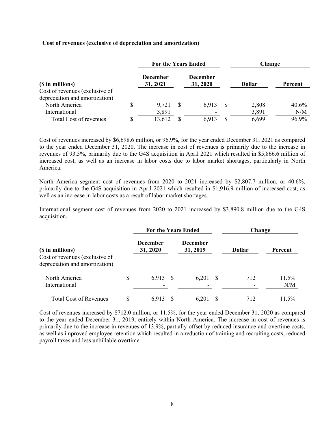#### **Cost of revenues (exclusive of depreciation and amortization)**

| (\$ in millions)               |   | <b>For the Years Ended</b>  |                             | Change        |         |  |  |
|--------------------------------|---|-----------------------------|-----------------------------|---------------|---------|--|--|
|                                |   | <b>December</b><br>31, 2021 | <b>December</b><br>31, 2020 | <b>Dollar</b> | Percent |  |  |
| Cost of revenues (exclusive of |   |                             |                             |               |         |  |  |
| depreciation and amortization) |   |                             |                             |               |         |  |  |
| North America                  |   | 9,721                       | 6.913                       | 2,808         | 40.6%   |  |  |
| International                  |   | 3,891                       |                             | 3,891         | N/M     |  |  |
| Total Cost of revenues         | S | 13,612                      | 6,913                       | 6,699         | 96.9%   |  |  |

Cost of revenues increased by \$6,698.6 million, or 96.9%, for the year ended December 31, 2021 as compared to the year ended December 31, 2020. The increase in cost of revenues is primarily due to the increase in revenues of 93.5%, primarily due to the G4S acquisition in April 2021 which resulted in \$5,866.6 million of increased cost, as well as an increase in labor costs due to labor market shortages, particularly in North America.

North America segment cost of revenues from 2020 to 2021 increased by \$2,807.7 million, or 40.6%, primarily due to the G4S acquisition in April 2021 which resulted in \$1,916.9 million of increased cost, as well as an increase in labor costs as a result of labor market shortages.

International segment cost of revenues from 2020 to 2021 increased by \$3,890.8 million due to the G4S acquisition.

| (\$ in millions)                                                 |   |                             |  | <b>For the Years Ended</b> | Change |               |              |  |
|------------------------------------------------------------------|---|-----------------------------|--|----------------------------|--------|---------------|--------------|--|
|                                                                  |   | <b>December</b><br>31, 2020 |  | December<br>31, 2019       |        | <b>Dollar</b> | Percent      |  |
| Cost of revenues (exclusive of<br>depreciation and amortization) |   |                             |  |                            |        |               |              |  |
| North America<br>International                                   | S | 6,913                       |  | 6,201                      | -S     | 712           | 11.5%<br>N/M |  |
| <b>Total Cost of Revenues</b>                                    | S | 6,913                       |  | 6.201                      |        | 712           | 11.5%        |  |

Cost of revenues increased by \$712.0 million, or 11.5%, for the year ended December 31, 2020 as compared to the year ended December 31, 2019, entirely within North America. The increase in cost of revenues is primarily due to the increase in revenues of 13.9%, partially offset by reduced insurance and overtime costs, as well as improved employee retention which resulted in a reduction of training and recruiting costs, reduced payroll taxes and less unbillable overtime.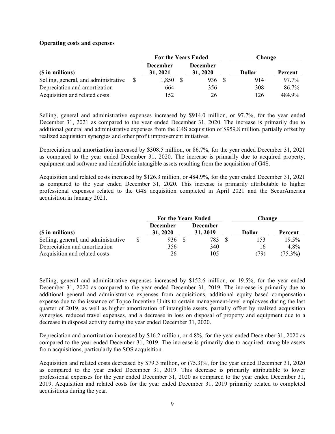#### **Operating costs and expenses**

|                                      | <b>For the Years Ended</b>  |                             | Change |         |  |
|--------------------------------------|-----------------------------|-----------------------------|--------|---------|--|
| (\$ in millions)                     | <b>December</b><br>31, 2021 | <b>December</b><br>31, 2020 | Dollar | Percent |  |
| Selling, general, and administrative | 1,850                       | 936                         | 914    | 97.7%   |  |
| Depreciation and amortization        | 664                         | 356                         | 308    | 86.7%   |  |
| Acquisition and related costs        | 152                         | 26                          | 126    | 484.9%  |  |

Selling, general and administrative expenses increased by \$914.0 million, or 97.7%, for the year ended December 31, 2021 as compared to the year ended December 31, 2020. The increase is primarily due to additional general and administrative expenses from the G4S acquisition of \$959.8 million, partially offset by realized acquisition synergies and other profit improvement initiatives.

Depreciation and amortization increased by \$308.5 million, or 86.7%, for the year ended December 31, 2021 as compared to the year ended December 31, 2020. The increase is primarily due to acquired property, equipment and software and identifiable intangible assets resulting from the acquisition of G4S.

Acquisition and related costs increased by \$126.3 million, or 484.9%, for the year ended December 31, 2021 as compared to the year ended December 31, 2020. This increase is primarily attributable to higher professional expenses related to the G4S acquisition completed in April 2021 and the SecurAmerica acquisition in January 2021.

|                                      |                             | <b>For the Years Ended</b>  | Change |            |  |
|--------------------------------------|-----------------------------|-----------------------------|--------|------------|--|
| (\$ in millions)                     | <b>December</b><br>31, 2020 | <b>December</b><br>31, 2019 | Dollar | Percent    |  |
| Selling, general, and administrative | 936                         | 783                         | 153    | 19.5%      |  |
| Depreciation and amortization        | 356                         | 340                         | 16     | 4.8%       |  |
| Acquisition and related costs        | 26                          | 105                         | 79)    | $(75.3\%)$ |  |

Selling, general and administrative expenses increased by \$152.6 million, or 19.5%, for the year ended December 31, 2020 as compared to the year ended December 31, 2019. The increase is primarily due to additional general and administrative expenses from acquisitions, additional equity based compensation expense due to the issuance of Topco Incentive Units to certain management-level employees during the last quarter of 2019, as well as higher amortization of intangible assets, partially offset by realized acquisition synergies, reduced travel expenses, and a decrease in loss on disposal of property and equipment due to a decrease in disposal activity during the year ended December 31, 2020.

Depreciation and amortization increased by \$16.2 million, or 4.8%, for the year ended December 31, 2020 as compared to the year ended December 31, 2019. The increase is primarily due to acquired intangible assets from acquisitions, particularly the SOS acquisition.

Acquisition and related costs decreased by \$79.3 million, or (75.3)%, for the year ended December 31, 2020 as compared to the year ended December 31, 2019. This decrease is primarily attributable to lower professional expenses for the year ended December 31, 2020 as compared to the year ended December 31, 2019. Acquisition and related costs for the year ended December 31, 2019 primarily related to completed acquisitions during the year.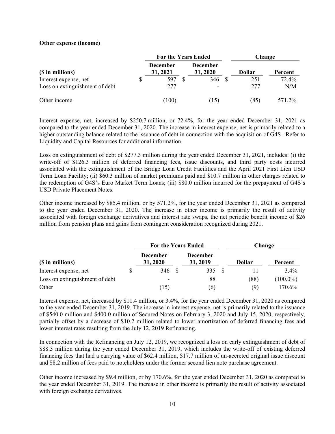# **Other expense (income)**

|                                                         | <b>For the Years Ended</b>  |  |                             |  | Change        |              |  |
|---------------------------------------------------------|-----------------------------|--|-----------------------------|--|---------------|--------------|--|
| (\$ in millions)                                        | <b>December</b><br>31, 2021 |  | <b>December</b><br>31, 2020 |  | <b>Dollar</b> | Percent      |  |
| Interest expense, net<br>Loss on extinguishment of debt | 597<br>277                  |  | 346                         |  | 251<br>277    | 72.4%<br>N/M |  |
| Other income                                            | (100)                       |  | (15)                        |  | (85)          | 571.2%       |  |

Interest expense, net, increased by \$250.7 million, or 72.4%, for the year ended December 31, 2021 as compared to the year ended December 31, 2020. The increase in interest expense, net is primarily related to a higher outstanding balance related to the issuance of debt in connection with the acquisition of G4S . Refer to Liquidity and Capital Resources for additional information.

Loss on extinguishment of debt of \$277.3 million during the year ended December 31, 2021, includes: (i) the write-off of \$126.3 million of deferred financing fees, issue discounts, and third party costs incurred associated with the extinguishment of the Bridge Loan Credit Facilities and the April 2021 First Lien USD Term Loan Facility; (ii) \$60.3 million of market premiums paid and \$10.7 million in other charges related to the redemption of G4S's Euro Market Term Loans; (iii) \$80.0 million incurred for the prepayment of G4S's USD Private Placement Notes.

Other income increased by \$85.4 million, or by 571.2%, for the year ended December 31, 2021 as compared to the year ended December 31, 2020. The increase in other income is primarily the result of activity associated with foreign exchange derivatives and interest rate swaps, the net periodic benefit income of \$26 million from pension plans and gains from contingent consideration recognized during 2021.

|                                |                             | <b>For the Years Ended</b>  | Change        |             |  |
|--------------------------------|-----------------------------|-----------------------------|---------------|-------------|--|
| (\$ in millions)               | <b>December</b><br>31, 2020 | <b>December</b><br>31, 2019 | <b>Dollar</b> | Percent     |  |
| Interest expense, net          | 346                         | 335                         |               | $3.4\%$     |  |
| Loss on extinguishment of debt | -                           | 88                          | (88)          | $(100.0\%)$ |  |
| Other                          | (15)                        | (6)                         | (9)           | 170.6%      |  |

Interest expense, net, increased by \$11.4 million, or 3.4%, for the year ended December 31, 2020 as compared to the year ended December 31, 2019. The increase in interest expense, net is primarily related to the issuance of \$540.0 million and \$400.0 million of Secured Notes on February 3, 2020 and July 15, 2020, respectively, partially offset by a decrease of \$10.2 million related to lower amortization of deferred financing fees and lower interest rates resulting from the July 12, 2019 Refinancing.

In connection with the Refinancing on July 12, 2019, we recognized a loss on early extinguishment of debt of \$88.3 million during the year ended December 31, 2019, which includes the write-off of existing deferred financing fees that had a carrying value of \$62.4 million, \$17.7 million of un-accreted original issue discount and \$8.2 million of fees paid to noteholders under the former second lien note purchase agreement.

Other income increased by \$9.4 million, or by 170.6%, for the year ended December 31, 2020 as compared to the year ended December 31, 2019. The increase in other income is primarily the result of activity associated with foreign exchange derivatives.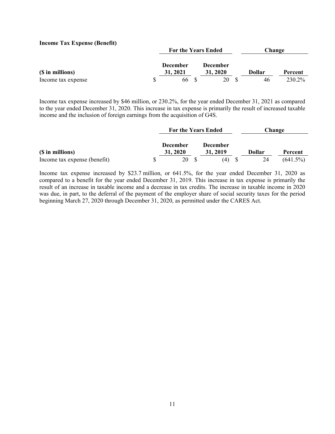#### **Income Tax Expense (Benefit)**

|                    | <b>For the Years Ended</b>  |  |                             |  |        | Change  |
|--------------------|-----------------------------|--|-----------------------------|--|--------|---------|
| (\$ in millions)   | <b>December</b><br>31, 2021 |  | <b>December</b><br>31, 2020 |  | Dollar | Percent |
| Income tax expense | 66                          |  | 20                          |  | 46     | 230.2%  |

Income tax expense increased by \$46 million, or 230.2%, for the year ended December 31, 2021 as compared to the year ended December 31, 2020. This increase in tax expense is primarily the result of increased taxable income and the inclusion of foreign earnings from the acquisition of G4S.

|                              | <b>For the Years Ended</b> | Change          |  |        |             |
|------------------------------|----------------------------|-----------------|--|--------|-------------|
|                              | <b>December</b>            | <b>December</b> |  |        |             |
| (\$ in millions)             | 31, 2020                   | 31, 2019        |  | Dollar | Percent     |
| Income tax expense (benefit) | 20                         |                 |  |        | $(641.5\%)$ |

Income tax expense increased by \$23.7 million, or 641.5%, for the year ended December 31, 2020 as compared to a benefit for the year ended December 31, 2019. This increase in tax expense is primarily the result of an increase in taxable income and a decrease in tax credits. The increase in taxable income in 2020 was due, in part, to the deferral of the payment of the employer share of social security taxes for the period beginning March 27, 2020 through December 31, 2020, as permitted under the CARES Act.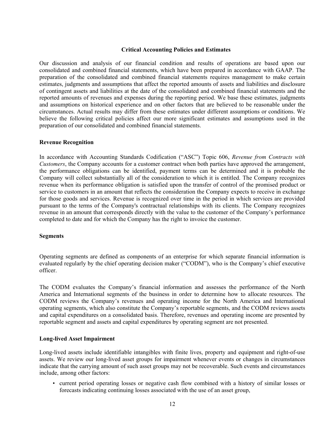#### **Critical Accounting Policies and Estimates**

Our discussion and analysis of our financial condition and results of operations are based upon our consolidated and combined financial statements, which have been prepared in accordance with GAAP. The preparation of the consolidated and combined financial statements requires management to make certain estimates, judgments and assumptions that affect the reported amounts of assets and liabilities and disclosure of contingent assets and liabilities at the date of the consolidated and combined financial statements and the reported amounts of revenues and expenses during the reporting period. We base these estimates, judgments and assumptions on historical experience and on other factors that are believed to be reasonable under the circumstances. Actual results may differ from these estimates under different assumptions or conditions. We believe the following critical policies affect our more significant estimates and assumptions used in the preparation of our consolidated and combined financial statements.

#### **Revenue Recognition**

In accordance with Accounting Standards Codification ("ASC") Topic 606, *Revenue from Contracts with Customers*, the Company accounts for a customer contract when both parties have approved the arrangement, the performance obligations can be identified, payment terms can be determined and it is probable the Company will collect substantially all of the consideration to which it is entitled. The Company recognizes revenue when its performance obligation is satisfied upon the transfer of control of the promised product or service to customers in an amount that reflects the consideration the Company expects to receive in exchange for those goods and services. Revenue is recognized over time in the period in which services are provided pursuant to the terms of the Company's contractual relationships with its clients. The Company recognizes revenue in an amount that corresponds directly with the value to the customer of the Company's performance completed to date and for which the Company has the right to invoice the customer.

#### **Segments**

Operating segments are defined as components of an enterprise for which separate financial information is evaluated regularly by the chief operating decision maker ("CODM"), who is the Company's chief executive officer.

The CODM evaluates the Company's financial information and assesses the performance of the North America and International segments of the business in order to determine how to allocate resources. The CODM reviews the Company's revenues and operating income for the North America and International operating segments, which also constitute the Company's reportable segments, and the CODM reviews assets and capital expenditures on a consolidated basis. Therefore, revenues and operating income are presented by reportable segment and assets and capital expenditures by operating segment are not presented.

#### **Long-lived Asset Impairment**

Long-lived assets include identifiable intangibles with finite lives, property and equipment and right-of-use assets. We review our long-lived asset groups for impairment whenever events or changes in circumstances indicate that the carrying amount of such asset groups may not be recoverable. Such events and circumstances include, among other factors:

• current period operating losses or negative cash flow combined with a history of similar losses or forecasts indicating continuing losses associated with the use of an asset group,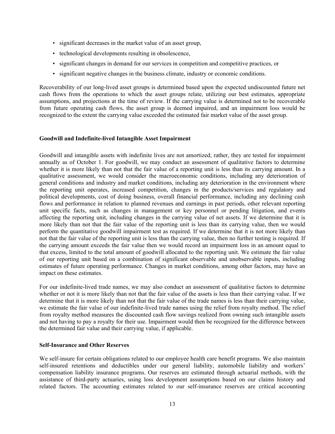- significant decreases in the market value of an asset group,
- technological developments resulting in obsolescence,
- significant changes in demand for our services in competition and competitive practices, or
- significant negative changes in the business climate, industry or economic conditions.

Recoverability of our long-lived asset groups is determined based upon the expected undiscounted future net cash flows from the operations to which the asset groups relate, utilizing our best estimates, appropriate assumptions, and projections at the time of review. If the carrying value is determined not to be recoverable from future operating cash flows, the asset group is deemed impaired, and an impairment loss would be recognized to the extent the carrying value exceeded the estimated fair market value of the asset group.

# **Goodwill and Indefinite-lived Intangible Asset Impairment**

Goodwill and intangible assets with indefinite lives are not amortized; rather, they are tested for impairment annually as of October 1. For goodwill, we may conduct an assessment of qualitative factors to determine whether it is more likely than not that the fair value of a reporting unit is less than its carrying amount. In a qualitative assessment, we would consider the macroeconomic conditions, including any deterioration of general conditions and industry and market conditions, including any deterioration in the environment where the reporting unit operates, increased competition, changes in the products/services and regulatory and political developments, cost of doing business, overall financial performance, including any declining cash flows and performance in relation to planned revenues and earnings in past periods, other relevant reporting unit specific facts, such as changes in management or key personnel or pending litigation, and events affecting the reporting unit, including changes in the carrying value of net assets. If we determine that it is more likely than not that the fair value of the reporting unit is less than its carrying value, then we would perform the quantitative goodwill impairment test as required. If we determine that it is not more likely than not that the fair value of the reporting unit is less than the carrying value, then no further testing is required. If the carrying amount exceeds the fair value then we would record an impairment loss in an amount equal to that excess, limited to the total amount of goodwill allocated to the reporting unit. We estimate the fair value of our reporting unit based on a combination of significant observable and unobservable inputs, including estimates of future operating performance. Changes in market conditions, among other factors, may have an impact on these estimates.

For our indefinite-lived trade names, we may also conduct an assessment of qualitative factors to determine whether or not it is more likely than not that the fair value of the assets is less than their carrying value. If we determine that it is more likely than not that the fair value of the trade names is less than their carrying value, we estimate the fair value of our indefinite-lived trade names using the relief from royalty method. The relief from royalty method measures the discounted cash flow savings realized from owning such intangible assets and not having to pay a royalty for their use. Impairment would then be recognized for the difference between the determined fair value and their carrying value, if applicable.

#### **Self-Insurance and Other Reserves**

We self-insure for certain obligations related to our employee health care benefit programs. We also maintain self-insured retentions and deductibles under our general liability, automobile liability and workers' compensation liability insurance programs. Our reserves are estimated through actuarial methods, with the assistance of third-party actuaries, using loss development assumptions based on our claims history and related factors. The accounting estimates related to our self-insurance reserves are critical accounting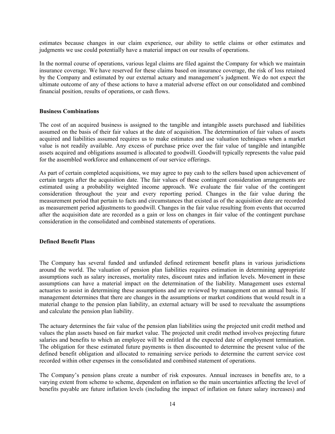estimates because changes in our claim experience, our ability to settle claims or other estimates and judgments we use could potentially have a material impact on our results of operations.

In the normal course of operations, various legal claims are filed against the Company for which we maintain insurance coverage. We have reserved for these claims based on insurance coverage, the risk of loss retained by the Company and estimated by our external actuary and management's judgment. We do not expect the ultimate outcome of any of these actions to have a material adverse effect on our consolidated and combined financial position, results of operations, or cash flows.

#### **Business Combinations**

The cost of an acquired business is assigned to the tangible and intangible assets purchased and liabilities assumed on the basis of their fair values at the date of acquisition. The determination of fair values of assets acquired and liabilities assumed requires us to make estimates and use valuation techniques when a market value is not readily available. Any excess of purchase price over the fair value of tangible and intangible assets acquired and obligations assumed is allocated to goodwill. Goodwill typically represents the value paid for the assembled workforce and enhancement of our service offerings.

As part of certain completed acquisitions, we may agree to pay cash to the sellers based upon achievement of certain targets after the acquisition date. The fair values of these contingent consideration arrangements are estimated using a probability weighted income approach. We evaluate the fair value of the contingent consideration throughout the year and every reporting period. Changes in the fair value during the measurement period that pertain to facts and circumstances that existed as of the acquisition date are recorded as measurement period adjustments to goodwill. Changes in the fair value resulting from events that occurred after the acquisition date are recorded as a gain or loss on changes in fair value of the contingent purchase consideration in the consolidated and combined statements of operations.

#### **Defined Benefit Plans**

The Company has several funded and unfunded defined retirement benefit plans in various jurisdictions around the world. The valuation of pension plan liabilities requires estimation in determining appropriate assumptions such as salary increases, mortality rates, discount rates and inflation levels. Movement in these assumptions can have a material impact on the determination of the liability. Management uses external actuaries to assist in determining these assumptions and are reviewed by management on an annual basis. If management determines that there are changes in the assumptions or market conditions that would result in a material change to the pension plan liability, an external actuary will be used to reevaluate the assumptions and calculate the pension plan liability.

The actuary determines the fair value of the pension plan liabilities using the projected unit credit method and values the plan assets based on fair market value. The projected unit credit method involves projecting future salaries and benefits to which an employee will be entitled at the expected date of employment termination. The obligation for these estimated future payments is then discounted to determine the present value of the defined benefit obligation and allocated to remaining service periods to determine the current service cost recorded within other expenses in the consolidated and combined statement of operations.

The Company's pension plans create a number of risk exposures. Annual increases in benefits are, to a varying extent from scheme to scheme, dependent on inflation so the main uncertainties affecting the level of benefits payable are future inflation levels (including the impact of inflation on future salary increases) and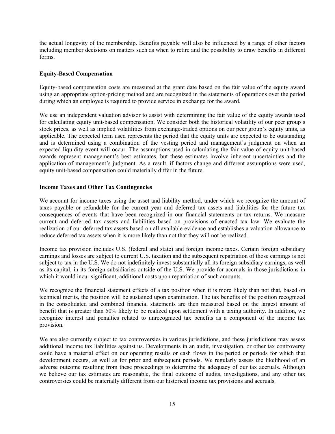the actual longevity of the membership. Benefits payable will also be influenced by a range of other factors including member decisions on matters such as when to retire and the possibility to draw benefits in different forms.

## **Equity-Based Compensation**

Equity-based compensation costs are measured at the grant date based on the fair value of the equity award using an appropriate option-pricing method and are recognized in the statements of operations over the period during which an employee is required to provide service in exchange for the award.

We use an independent valuation advisor to assist with determining the fair value of the equity awards used for calculating equity unit-based compensation. We consider both the historical volatility of our peer group's stock prices, as well as implied volatilities from exchange-traded options on our peer group's equity units, as applicable. The expected term used represents the period that the equity units are expected to be outstanding and is determined using a combination of the vesting period and management's judgment on when an expected liquidity event will occur. The assumptions used in calculating the fair value of equity unit-based awards represent management's best estimates, but these estimates involve inherent uncertainties and the application of management's judgment. As a result, if factors change and different assumptions were used, equity unit-based compensation could materially differ in the future.

# **Income Taxes and Other Tax Contingencies**

We account for income taxes using the asset and liability method, under which we recognize the amount of taxes payable or refundable for the current year and deferred tax assets and liabilities for the future tax consequences of events that have been recognized in our financial statements or tax returns. We measure current and deferred tax assets and liabilities based on provisions of enacted tax law. We evaluate the realization of our deferred tax assets based on all available evidence and establishes a valuation allowance to reduce deferred tax assets when it is more likely than not that they will not be realized.

Income tax provision includes U.S. (federal and state) and foreign income taxes. Certain foreign subsidiary earnings and losses are subject to current U.S. taxation and the subsequent repatriation of those earnings is not subject to tax in the U.S. We do not indefinitely invest substantially all its foreign subsidiary earnings, as well as its capital, in its foreign subsidiaries outside of the U.S. We provide for accruals in those jurisdictions in which it would incur significant, additional costs upon repatriation of such amounts.

We recognize the financial statement effects of a tax position when it is more likely than not that, based on technical merits, the position will be sustained upon examination. The tax benefits of the position recognized in the consolidated and combined financial statements are then measured based on the largest amount of benefit that is greater than 50% likely to be realized upon settlement with a taxing authority. In addition, we recognize interest and penalties related to unrecognized tax benefits as a component of the income tax provision.

We are also currently subject to tax controversies in various jurisdictions, and these jurisdictions may assess additional income tax liabilities against us. Developments in an audit, investigation, or other tax controversy could have a material effect on our operating results or cash flows in the period or periods for which that development occurs, as well as for prior and subsequent periods. We regularly assess the likelihood of an adverse outcome resulting from these proceedings to determine the adequacy of our tax accruals. Although we believe our tax estimates are reasonable, the final outcome of audits, investigations, and any other tax controversies could be materially different from our historical income tax provisions and accruals.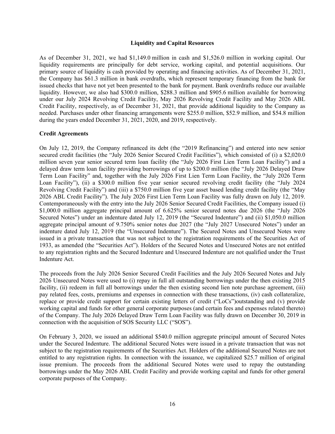#### **Liquidity and Capital Resources**

As of December 31, 2021, we had \$1,149.0 million in cash and \$1,526.0 million in working capital. Our liquidity requirements are principally for debt service, working capital, and potential acquisitions. Our primary source of liquidity is cash provided by operating and financing activities. As of December 31, 2021, the Company has \$61.3 million in bank overdrafts, which represent temporary financing from the bank for issued checks that have not yet been presented to the bank for payment. Bank overdrafts reduce our available liquidity. However, we also had \$300.0 million, \$288.3 million and \$905.6 million available for borrowing under our July 2024 Revolving Credit Facility, May 2026 Revolving Credit Facility and May 2026 ABL Credit Facility, respectively, as of December 31, 2021, that provide additional liquidity to the Company as needed. Purchases under other financing arrangements were \$255.0 million, \$52.9 million, and \$54.8 million during the years ended December 31, 2021, 2020, and 2019, respectively.

## **Credit Agreements**

On July 12, 2019, the Company refinanced its debt (the "2019 Refinancing") and entered into new senior secured credit facilities (the "July 2026 Senior Secured Credit Facilities"), which consisted of (i) a \$2,020.0 million seven year senior secured term loan facility (the "July 2026 First Lien Term Loan Facility") and a delayed draw term loan facility providing borrowings of up to \$200.0 million (the "July 2026 Delayed Draw Term Loan Facility" and, together with the July 2026 First Lien Term Loan Facility, the "July 2026 Term Loan Facility"), (ii) a \$300.0 million five year senior secured revolving credit facility (the "July 2024 Revolving Credit Facility") and (iii) a \$750.0 million five year asset based lending credit facility (the "May 2026 ABL Credit Facility"). The July 2026 First Lien Term Loan Facility was fully drawn on July 12, 2019. Contemporaneously with the entry into the July 2026 Senior Secured Credit Facilities, the Company issued (i) \$1,000.0 million aggregate principal amount of 6.625% senior secured notes due 2026 (the "July 2026 Secured Notes") under an indenture dated July 12, 2019 (the "Secured Indenture") and (ii) \$1,050.0 million aggregate principal amount of 9.750% senior notes due 2027 (the "July 2027 Unsecured Notes") under an indenture dated July 12, 2019 (the "Unsecured Indenture"). The Secured Notes and Unsecured Notes were issued in a private transaction that was not subject to the registration requirements of the Securities Act of 1933, as amended (the "Securities Act"). Holders of the Secured Notes and Unsecured Notes are not entitled to any registration rights and the Secured Indenture and Unsecured Indenture are not qualified under the Trust Indenture Act.

The proceeds from the July 2026 Senior Secured Credit Facilities and the July 2026 Secured Notes and July 2026 Unsecured Notes were used to (i) repay in full all outstanding borrowings under the then existing 2015 facility, (ii) redeem in full all borrowings under the then existing second lien note purchase agreement, (iii) pay related fees, costs, premiums and expenses in connection with these transactions, (iv) cash collateralize, replace or provide credit support for certain existing letters of credit ("LoCs")outstanding and (v) provide working capital and funds for other general corporate purposes (and certain fees and expenses related thereto) of the Company. The July 2026 Delayed Draw Term Loan Facility was fully drawn on December 30, 2019 in connection with the acquisition of SOS Security LLC ("SOS").

On February 3, 2020, we issued an additional \$540.0 million aggregate principal amount of Secured Notes under the Secured Indenture. The additional Secured Notes were issued in a private transaction that was not subject to the registration requirements of the Securities Act. Holders of the additional Secured Notes are not entitled to any registration rights. In connection with the issuance, we capitalized \$25.7 million of original issue premium. The proceeds from the additional Secured Notes were used to repay the outstanding borrowings under the May 2026 ABL Credit Facility and provide working capital and funds for other general corporate purposes of the Company.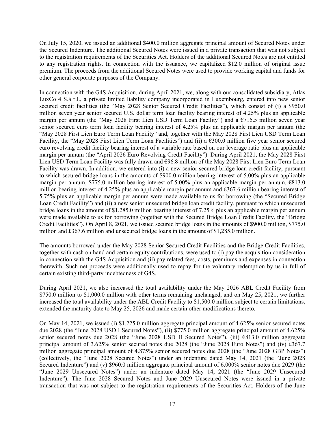On July 15, 2020, we issued an additional \$400.0 million aggregate principal amount of Secured Notes under the Secured Indenture. The additional Secured Notes were issued in a private transaction that was not subject to the registration requirements of the Securities Act. Holders of the additional Secured Notes are not entitled to any registration rights. In connection with the issuance, we capitalized \$12.0 million of original issue premium. The proceeds from the additional Secured Notes were used to provide working capital and funds for other general corporate purposes of the Company.

In connection with the G4S Acquisition, during April 2021, we, along with our consolidated subsidiary, Atlas LuxCo 4 S.à r.l., a private limited liability company incorporated in Luxembourg, entered into new senior secured credit facilities (the "May 2028 Senior Secured Credit Facilities"), which consist of (i) a \$950.0 million seven year senior secured U.S. dollar term loan facility bearing interest of 4.25% plus an applicable margin per annum (the "May 2028 First Lien USD Term Loan Facility") and a €715.5 million seven year senior secured euro term loan facility bearing interest of 4.25% plus an applicable margin per annum (the "May 2028 First Lien Euro Term Loan Facility" and, together with the May 2028 First Lien USD Term Loan Facility, the "May 2028 First Lien Term Loan Facilities") and (ii) a €300.0 million five year senior secured euro revolving credit facility bearing interest of a variable rate based on our leverage ratio plus an applicable margin per annum (the "April 2026 Euro Revolving Credit Facility"). During April 2021, the May 2028 First Lien USD Term Loan Facility was fully drawn and €96.8 million of the May 2028 First Lien Euro Term Loan Facility was drawn. In addition, we entered into (i) a new senior secured bridge loan credit facility, pursuant to which secured bridge loans in the amounts of \$900.0 million bearing interest of 5.00% plus an applicable margin per annum, \$775.0 million bearing interest of 5.00% plus an applicable margin per annum, €813.0 million bearing interest of 4.25% plus an applicable margin per annum and £367.6 million bearing interest of 5.75% plus an applicable margin per annum were made available to us for borrowing (the "Secured Bridge Loan Credit Facility") and (ii) a new senior unsecured bridge loan credit facility, pursuant to which unsecured bridge loans in the amount of \$1,285.0 million bearing interest of 7.25% plus an applicable margin per annum were made available to us for borrowing (together with the Secured Bridge Loan Credit Facility, the "Bridge Credit Facilities"). On April 8, 2021, we issued secured bridge loans in the amounts of \$900.0 million, \$775.0 million and £367.6 million and unsecured bridge loans in the amount of \$1,285.0 million.

The amounts borrowed under the May 2028 Senior Secured Credit Facilities and the Bridge Credit Facilities, together with cash on hand and certain equity contributions, were used to (i) pay the acquisition consideration in connection with the G4S Acquisition and (ii) pay related fees, costs, premiums and expenses in connection therewith. Such net proceeds were additionally used to repay for the voluntary redemption by us in full of certain existing third-party indebtedness of G4S.

During April 2021, we also increased the total availability under the May 2026 ABL Credit Facility from \$750.0 million to \$1,000.0 million with other terms remaining unchanged, and on May 25, 2021, we further increased the total availability under the ABL Credit Facility to \$1,500.0 million subject to certain limitations, extended the maturity date to May 25, 2026 and made certain other modifications thereto.

On May 14, 2021, we issued (i) \$1,225.0 million aggregate principal amount of 4.625% senior secured notes due 2028 (the "June 2028 USD I Secured Notes"), (ii) \$775.0 million aggregate principal amount of 4.625% senior secured notes due 2028 (the "June 2028 USD II Secured Notes"), (iii) €813.0 million aggregate principal amount of 3.625% senior secured notes due 2028 (the "June 2028 Euro Notes") and (iv) £367.7 million aggregate principal amount of 4.875% senior secured notes due 2028 (the "June 2028 GBP Notes") (collectively, the "June 2028 Secured Notes") under an indenture dated May 14, 2021 (the "June 2028 Secured Indenture") and (v) \$960.0 million aggregate principal amount of 6.000% senior notes due 2029 (the "June 2029 Unsecured Notes") under an indenture dated May 14, 2021 (the "June 2029 Unsecured Indenture"). The June 2028 Secured Notes and June 2029 Unsecured Notes were issued in a private transaction that was not subject to the registration requirements of the Securities Act. Holders of the June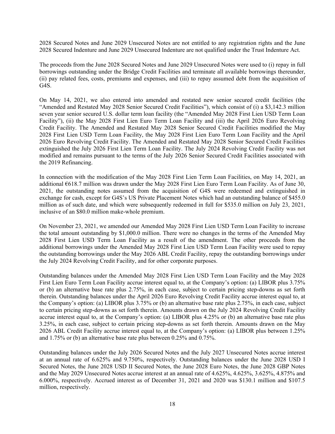2028 Secured Notes and June 2029 Unsecured Notes are not entitled to any registration rights and the June 2028 Secured Indenture and June 2029 Unsecured Indenture are not qualified under the Trust Indenture Act.

The proceeds from the June 2028 Secured Notes and June 2029 Unsecured Notes were used to (i) repay in full borrowings outstanding under the Bridge Credit Facilities and terminate all available borrowings thereunder, (ii) pay related fees, costs, premiums and expenses, and (iii) to repay assumed debt from the acquisition of G4S.

On May 14, 2021, we also entered into amended and restated new senior secured credit facilities (the "Amended and Restated May 2028 Senior Secured Credit Facilities"), which consist of (i) a \$3,142.3 million seven year senior secured U.S. dollar term loan facility (the "Amended May 2028 First Lien USD Term Loan Facility"), (ii) the May 2028 First Lien Euro Term Loan Facility and (iii) the April 2026 Euro Revolving Credit Facility. The Amended and Restated May 2028 Senior Secured Credit Facilities modified the May 2028 First Lien USD Term Loan Facility, the May 2028 First Lien Euro Term Loan Facility and the April 2026 Euro Revolving Credit Facility. The Amended and Restated May 2028 Senior Secured Credit Facilities extinguished the July 2026 First Lien Term Loan Facility. The July 2024 Revolving Credit Facility was not modified and remains pursuant to the terms of the July 2026 Senior Secured Credit Facilities associated with the 2019 Refinancing.

In connection with the modification of the May 2028 First Lien Term Loan Facilities, on May 14, 2021, an additional €618.7 million was drawn under the May 2028 First Lien Euro Term Loan Facility. As of June 30, 2021, the outstanding notes assumed from the acquisition of G4S were redeemed and extinguished in exchange for cash, except for G4S's US Private Placement Notes which had an outstanding balance of \$455.0 million as of such date, and which were subsequently redeemed in full for \$535.0 million on July 23, 2021, inclusive of an \$80.0 million make-whole premium.

On November 23, 2021, we amended our Amended May 2028 First Lien USD Term Loan Facility to increase the total amount outstanding by \$1,000.0 million. There were no changes in the terms of the Amended May 2028 First Lien USD Term Loan Facility as a result of the amendment. The other proceeds from the additional borrowings under the Amended May 2028 First Lien USD Term Loan Facility were used to repay the outstanding borrowings under the May 2026 ABL Credit Facility, repay the outstanding borrowings under the July 2024 Revolving Credit Facility, and for other corporate purposes.

Outstanding balances under the Amended May 2028 First Lien USD Term Loan Facility and the May 2028 First Lien Euro Term Loan Facility accrue interest equal to, at the Company's option: (a) LIBOR plus 3.75% or (b) an alternative base rate plus 2.75%, in each case, subject to certain pricing step-downs as set forth therein. Outstanding balances under the April 2026 Euro Revolving Credit Facility accrue interest equal to, at the Company's option: (a) LIBOR plus 3.75% or (b) an alternative base rate plus 2.75%, in each case, subject to certain pricing step-downs as set forth therein. Amounts drawn on the July 2024 Revolving Credit Facility accrue interest equal to, at the Company's option: (a) LIBOR plus 4.25% or (b) an alternative base rate plus 3.25%, in each case, subject to certain pricing step-downs as set forth therein. Amounts drawn on the May 2026 ABL Credit Facility accrue interest equal to, at the Company's option: (a) LIBOR plus between 1.25% and 1.75% or (b) an alternative base rate plus between 0.25% and 0.75%.

Outstanding balances under the July 2026 Secured Notes and the July 2027 Unsecured Notes accrue interest at an annual rate of 6.625% and 9.750%, respectively. Outstanding balances under the June 2028 USD I Secured Notes, the June 2028 USD II Secured Notes, the June 2028 Euro Notes, the June 2028 GBP Notes and the May 2029 Unsecured Notes accrue interest at an annual rate of 4.625%, 4.625%, 3.625%, 4.875% and 6.000%, respectively. Accrued interest as of December 31, 2021 and 2020 was \$130.1 million and \$107.5 million, respectively.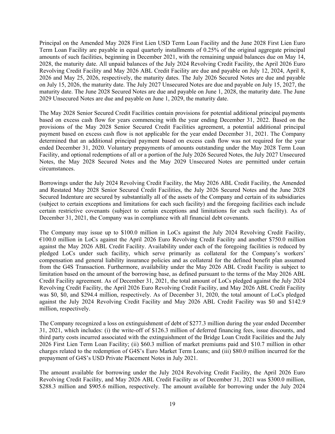Principal on the Amended May 2028 First Lien USD Term Loan Facility and the June 2028 First Lien Euro Term Loan Facility are payable in equal quarterly installments of 0.25% of the original aggregate principal amounts of such facilities, beginning in December 2021, with the remaining unpaid balances due on May 14, 2028, the maturity date. All unpaid balances of the July 2024 Revolving Credit Facility, the April 2026 Euro Revolving Credit Facility and May 2026 ABL Credit Facility are due and payable on July 12, 2024, April 8, 2026 and May 25, 2026, respectively, the maturity dates. The July 2026 Secured Notes are due and payable on July 15, 2026, the maturity date. The July 2027 Unsecured Notes are due and payable on July 15, 2027, the maturity date. The June 2028 Secured Notes are due and payable on June 1, 2028, the maturity date. The June 2029 Unsecured Notes are due and payable on June 1, 2029, the maturity date.

The May 2028 Senior Secured Credit Facilities contain provisions for potential additional principal payments based on excess cash flow for years commencing with the year ending December 31, 2022. Based on the provisions of the May 2028 Senior Secured Credit Facilities agreement, a potential additional principal payment based on excess cash flow is not applicable for the year ended December 31, 2021. The Company determined that an additional principal payment based on excess cash flow was not required for the year ended December 31, 2020. Voluntary prepayments of amounts outstanding under the May 2028 Term Loan Facility, and optional redemptions of all or a portion of the July 2026 Secured Notes, the July 2027 Unsecured Notes, the May 2028 Secured Notes and the May 2029 Unsecured Notes are permitted under certain circumstances.

Borrowings under the July 2024 Revolving Credit Facility, the May 2026 ABL Credit Facility, the Amended and Restated May 2028 Senior Secured Credit Facilities, the July 2026 Secured Notes and the June 2028 Secured Indenture are secured by substantially all of the assets of the Company and certain of its subsidiaries (subject to certain exceptions and limitations for each such facility) and the foregoing facilities each include certain restrictive covenants (subject to certain exceptions and limitations for each such facility). As of December 31, 2021, the Company was in compliance with all financial debt covenants.

The Company may issue up to \$100.0 million in LoCs against the July 2024 Revolving Credit Facility, €100.0 million in LoCs against the April 2026 Euro Revolving Credit Facility and another \$750.0 million against the May 2026 ABL Credit Facility. Availability under each of the foregoing facilities is reduced by pledged LoCs under such facility, which serve primarily as collateral for the Company's workers' compensation and general liability insurance policies and as collateral for the defined benefit plan assumed from the G4S Transaction. Furthermore, availability under the May 2026 ABL Credit Facility is subject to limitation based on the amount of the borrowing base, as defined pursuant to the terms of the May 2026 ABL Credit Facility agreement. As of December 31, 2021, the total amount of LoCs pledged against the July 2024 Revolving Credit Facility, the April 2026 Euro Revolving Credit Facility, and May 2026 ABL Credit Facility was \$0, \$0, and \$294.4 million, respectively. As of December 31, 2020, the total amount of LoCs pledged against the July 2024 Revolving Credit Facility and May 2026 ABL Credit Facility was \$0 and \$142.9 million, respectively.

The Company recognized a loss on extinguishment of debt of \$277.3 million during the year ended December 31, 2021, which includes: (i) the write-off of \$126.3 million of deferred financing fees, issue discounts, and third party costs incurred associated with the extinguishment of the Bridge Loan Credit Facilities and the July 2026 First Lien Term Loan Facility; (ii) \$60.3 million of market premiums paid and \$10.7 million in other charges related to the redemption of G4S's Euro Market Term Loans; and (iii) \$80.0 million incurred for the prepayment of G4S's USD Private Placement Notes in July 2021.

The amount available for borrowing under the July 2024 Revolving Credit Facility, the April 2026 Euro Revolving Credit Facility, and May 2026 ABL Credit Facility as of December 31, 2021 was \$300.0 million, \$288.3 million and \$905.6 million, respectively. The amount available for borrowing under the July 2024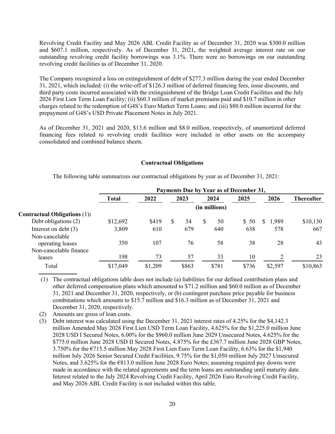Revolving Credit Facility and May 2026 ABL Credit Facility as of December 31, 2020 was \$300.0 million and \$607.1 million, respectively. As of December 31, 2021, the weighted average interest rate on our outstanding revolving credit facility borrowings was 3.1%. There were no borrowings on our outstanding revolving credit facilities as of December 31, 2020.

The Company recognized a loss on extinguishment of debt of \$277.3 million during the year ended December 31, 2021, which included: (i) the write-off of \$126.3 million of deferred financing fees, issue discounts, and third party costs incurred associated with the extinguishment of the Bridge Loan Credit Facilities and the July 2026 First Lien Term Loan Facility; (ii) \$60.3 million of market premiums paid and \$10.7 million in other charges related to the redemption of G4S's Euro Market Term Loans; and (iii) \$80.0 million incurred for the prepayment of G4S's USD Private Placement Notes in July 2021.

As of December 31, 2021 and 2020, \$13.6 million and \$8.0 million, respectively, of unamortized deferred financing fees related to revolving credit facilities were included in other assets on the accompany consolidated and combined balance sheets.

#### **Contractual Obligations**

The following table summarizes our contractual obligations by year as of December 31, 2021:

|                                     |              |         |      |       |   |       | Payments Due by Year as of December 31, |              |         |                   |
|-------------------------------------|--------------|---------|------|-------|---|-------|-----------------------------------------|--------------|---------|-------------------|
|                                     | <b>Total</b> | 2022    | 2023 |       |   | 2024  | 2025                                    |              | 2026    | <b>Thereafter</b> |
|                                     |              |         |      |       |   |       |                                         |              |         |                   |
| <b>Contractual Obligations (1):</b> |              |         |      |       |   |       |                                         |              |         |                   |
| Debt obligations (2)                | \$12,692     | \$419   | S    | 54    | S | 50    | \$50                                    | <sup>S</sup> | 1,989   | \$10,130          |
| Interest on debt $(3)$              | 3,809        | 610     |      | 679   |   | 640   | 638                                     |              | 578     | 667               |
| Non-cancelable<br>operating leases  | 350          | 107     |      | 76    |   | 58    | 38                                      |              | 28      | 43                |
| Non-cancelable finance              |              |         |      |       |   |       |                                         |              |         |                   |
| leases                              | 198          | 73      |      | 57    |   | 33    | 10                                      |              |         | 23                |
| Total                               | \$17,049     | \$1,209 |      | \$863 |   | \$781 | \$736                                   |              | \$2,597 | \$10,863          |

 (1) The contractual obligations table does not include (a) liabilities for our defined contribution plans and other deferred compensation plans which amounted to \$71.2 million and \$60.0 million as of December 31, 2021 and December 31, 2020, respectively, or (b) contingent purchase price payable for business combinations which amounts to \$15.7 million and \$16.3 million as of December 31, 2021 and December 31, 2020, respectively.

(2) Amounts are gross of loan costs.

(3) Debt interest was calculated using the December 31, 2021 interest rates of 4.25% for the \$4,142.3 million Amended May 2028 First Lien USD Term Loan Facility, 4.625% for the \$1,225.0 million June 2028 USD I Secured Notes, 6.00% for the \$960.0 million June 2029 Unsecured Notes, 4.625% for the \$775.0 million June 2028 USD II Secured Notes, 4.875% for the £367.7 million June 2028 GBP Notes, 3.750% for the €715.5 million May 2028 First Lien Euro Term Loan Facility, 6.63% for the \$1,940 million July 2026 Senior Secured Credit Facilities, 9.75% for the \$1,050 million July 2027 Unsecured Notes, and 3.625% for the  $\epsilon$ 813.0 million June 2028 Euro Notes; assuming required pay downs were made in accordance with the related agreements and the term loans are outstanding until maturity date. Interest related to the July 2024 Revolving Credit Facility, April 2026 Euro Revolving Credit Facility, and May 2026 ABL Credit Facility is not included within this table.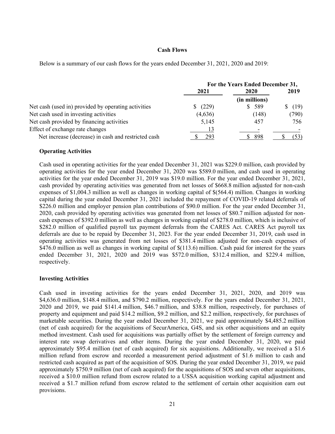#### **Cash Flows**

Below is a summary of our cash flows for the years ended December 31, 2021, 2020 and 2019:

|                                                     |         | For the Years Ended December 31, |       |  |  |  |  |
|-----------------------------------------------------|---------|----------------------------------|-------|--|--|--|--|
|                                                     | 2021    | 2020                             | 2019  |  |  |  |  |
|                                                     |         | (in millions)                    |       |  |  |  |  |
| Net cash (used in) provided by operating activities | (229)   | \$589                            | (19)  |  |  |  |  |
| Net cash used in investing activities               | (4,636) | (148)                            | (790) |  |  |  |  |
| Net cash provided by financing activities           | 5,145   | 457                              | 756   |  |  |  |  |
| Effect of exchange rate changes                     |         |                                  |       |  |  |  |  |
| Net increase (decrease) in cash and restricted cash | 293     | 898                              |       |  |  |  |  |

## **Operating Activities**

Cash used in operating activities for the year ended December 31, 2021 was \$229.0 million, cash provided by operating activities for the year ended December 31, 2020 was \$589.0 million, and cash used in operating activities for the year ended December 31, 2019 was \$19.0 million. For the year ended December 31, 2021, cash provided by operating activities was generated from net losses of \$668.8 million adjusted for non-cash expenses of \$1,004.3 million as well as changes in working capital of \$(564.4) million. Changes in working capital during the year ended December 31, 2021 included the repayment of COVID-19 related deferrals of \$226.0 million and employer pension plan contributions of \$90.0 million. For the year ended December 31, 2020, cash provided by operating activities was generated from net losses of \$80.7 million adjusted for noncash expenses of \$392.0 million as well as changes in working capital of \$278.0 million, which is inclusive of \$282.0 million of qualified payroll tax payment deferrals from the CARES Act. CARES Act payroll tax deferrals are due to be repaid by December 31, 2023. For the year ended December 31, 2019, cash used in operating activities was generated from net losses of \$381.4 million adjusted for non-cash expenses of \$476.0 million as well as changes in working capital of \$(113.6) million. Cash paid for interest for the years ended December 31, 2021, 2020 and 2019 was \$572.0 million, \$312.4 million, and \$229.4 million, respectively.

#### **Investing Activities**

Cash used in investing activities for the years ended December 31, 2021, 2020, and 2019 was \$4,636.0 million, \$148.4 million, and \$790.2 million, respectively. For the years ended December 31, 2021, 2020 and 2019, we paid \$141.4 million, \$46.7 million, and \$38.8 million, respectively, for purchases of property and equipment and paid \$14.2 million, \$9.2 million, and \$2.2 million, respectively, for purchases of marketable securities. During the year ended December 31, 2021, we paid approximately \$4,485.2 million (net of cash acquired) for the acquisitions of SecurAmerica, G4S, and six other acquisitions and an equity method investment. Cash used for acquisitions was partially offset by the settlement of foreign currency and interest rate swap derivatives and other items. During the year ended December 31, 2020, we paid approximately \$95.4 million (net of cash acquired) for six acquisitions. Additionally, we received a \$1.6 million refund from escrow and recorded a measurement period adjustment of \$1.6 million to cash and restricted cash acquired as part of the acquisition of SOS. During the year ended December 31, 2019, we paid approximately \$750.9 million (net of cash acquired) for the acquisitions of SOS and seven other acquisitions, received a \$10.0 million refund from escrow related to a USSA acquisition working capital adjustment and received a \$1.7 million refund from escrow related to the settlement of certain other acquisition earn out provisions.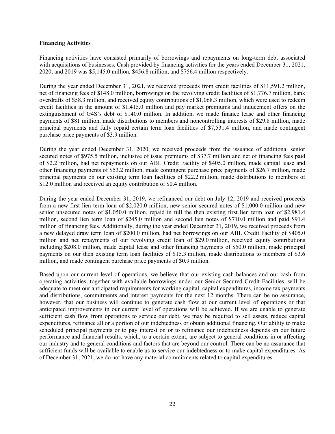### **Financing Activities**

Financing activities have consisted primarily of borrowings and repayments on long-term debt associated with acquisitions of businesses. Cash provided by financing activities for the years ended December 31, 2021, 2020, and 2019 was \$5,145.0 million, \$456.8 million, and \$756.4 million respectively.

During the year ended December 31, 2021, we received proceeds from credit facilities of \$11,591.2 million, net of financing fees of \$148.0 million, borrowings on the revolving credit facilities of \$1,776.7 million, bank overdrafts of \$58.3 million, and received equity contributions of \$1,068.3 million, which were used to redeem credit facilities in the amount of \$1,415.0 million and pay market premiums and inducement offers on the extinguishment of G4S's debt of \$140.0 million. In addition, we made finance lease and other financing payments of \$81 million, made distributions to members and noncontrolling interests of \$29.8 million, made principal payments and fully repaid certain term loan facilities of \$7,531.4 million, and made contingent purchase price payments of \$3.9 million.

During the year ended December 31, 2020, we received proceeds from the issuance of additional senior secured notes of \$975.5 million, inclusive of issue premiums of \$37.7 million and net of financing fees paid of \$2.2 million, had net repayments on our ABL Credit Facility of \$405.0 million, made capital lease and other financing payments of \$53.2 million, made contingent purchase price payments of \$26.7 million, made principal payments on our existing term loan facilities of \$22.2 million, made distributions to members of \$12.0 million and received an equity contribution of \$0.4 million.

During the year ended December 31, 2019, we refinanced our debt on July 12, 2019 and received proceeds from a new first lien term loan of \$2,020.0 million, new senior secured notes of \$1,000.0 million and new senior unsecured notes of \$1,050.0 million, repaid in full the then existing first lien term loan of \$2,981.4 million, second lien term loan of \$245.0 million and second lien notes of \$710.0 million and paid \$91.4 million of financing fees. Additionally, during the year ended December 31, 2019, we received proceeds from a new delayed draw term loan of \$200.0 million, had net borrowings on our ABL Credit Facility of \$405.0 million and net repayments of our revolving credit loan of \$29.0 million, received equity contributions including \$208.0 million, made capital lease and other financing payments of \$50.0 million, made principal payments on our then existing term loan facilities of \$15.3 million, made distributions to members of \$3.6 million, and made contingent purchase price payments of \$0.9 million.

Based upon our current level of operations, we believe that our existing cash balances and our cash from operating activities, together with available borrowings under our Senior Secured Credit Facilities, will be adequate to meet our anticipated requirements for working capital, capital expenditures, income tax payments and distributions, commitments and interest payments for the next 12 months. There can be no assurance, however, that our business will continue to generate cash flow at our current level of operations or that anticipated improvements in our current level of operations will be achieved. If we are unable to generate sufficient cash flow from operations to service our debt, we may be required to sell assets, reduce capital expenditures, refinance all or a portion of our indebtedness or obtain additional financing. Our ability to make scheduled principal payments or to pay interest on or to refinance our indebtedness depends on our future performance and financial results, which, to a certain extent, are subject to general conditions in or affecting our industry and to general conditions and factors that are beyond our control. There can be no assurance that sufficient funds will be available to enable us to service our indebtedness or to make capital expenditures. As of December 31, 2021, we do not have any material commitments related to capital expenditures.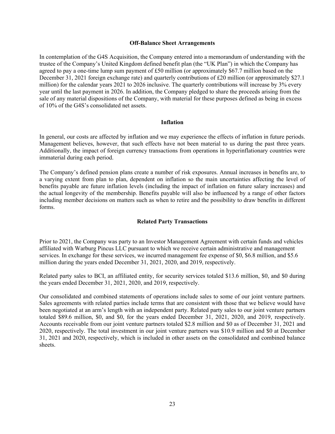#### **Off-Balance Sheet Arrangements**

In contemplation of the G4S Acquisition, the Company entered into a memorandum of understanding with the trustee of the Company's United Kingdom defined benefit plan (the "UK Plan") in which the Company has agreed to pay a one-time lump sum payment of £50 million (or approximately \$67.7 million based on the December 31, 2021 foreign exchange rate) and quarterly contributions of £20 million (or approximately \$27.1) million) for the calendar years 2021 to 2026 inclusive. The quarterly contributions will increase by 3% every year until the last payment in 2026. In addition, the Company pledged to share the proceeds arising from the sale of any material dispositions of the Company, with material for these purposes defined as being in excess of 10% of the G4S's consolidated net assets.

#### **Inflation**

In general, our costs are affected by inflation and we may experience the effects of inflation in future periods. Management believes, however, that such effects have not been material to us during the past three years. Additionally, the impact of foreign currency transactions from operations in hyperinflationary countries were immaterial during each period.

The Company's defined pension plans create a number of risk exposures. Annual increases in benefits are, to a varying extent from plan to plan, dependent on inflation so the main uncertainties affecting the level of benefits payable are future inflation levels (including the impact of inflation on future salary increases) and the actual longevity of the membership. Benefits payable will also be influenced by a range of other factors including member decisions on matters such as when to retire and the possibility to draw benefits in different forms.

#### **Related Party Transactions**

Prior to 2021, the Company was party to an Investor Management Agreement with certain funds and vehicles affiliated with Warburg Pincus LLC pursuant to which we receive certain administrative and management services. In exchange for these services, we incurred management fee expense of \$0, \$6.8 million, and \$5.6 million during the years ended December 31, 2021, 2020, and 2019, respectively.

Related party sales to BCI, an affiliated entity, for security services totaled \$13.6 million, \$0, and \$0 during the years ended December 31, 2021, 2020, and 2019, respectively.

Our consolidated and combined statements of operations include sales to some of our joint venture partners. Sales agreements with related parties include terms that are consistent with those that we believe would have been negotiated at an arm's length with an independent party. Related party sales to our joint venture partners totaled \$89.6 million, \$0, and \$0, for the years ended December 31, 2021, 2020, and 2019, respectively. Accounts receivable from our joint venture partners totaled \$2.8 million and \$0 as of December 31, 2021 and 2020, respectively. The total investment in our joint venture partners was \$10.9 million and \$0 at December 31, 2021 and 2020, respectively, which is included in other assets on the consolidated and combined balance sheets.